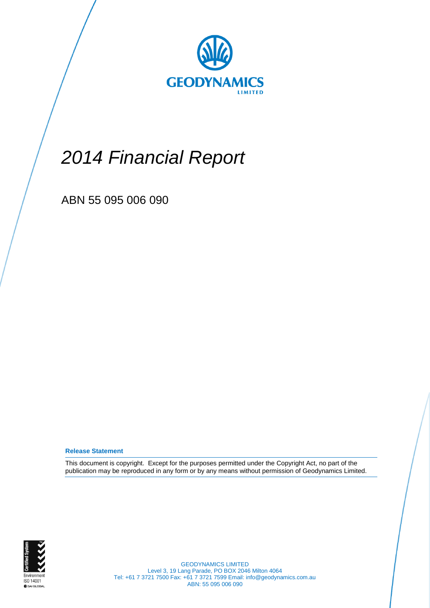

# *2014 Financial Report*

ABN 55 095 006 090

**Release Statement**

This document is copyright. Except for the purposes permitted under the Copyright Act, no part of the publication may be reproduced in any form or by any means without permission of Geodynamics Limited.



GEODYNAMICS LIMITED Level 3, 19 Lang Parade, PO BOX 2046 Milton 4064 Tel: +61 7 3721 7500 Fax: +61 7 3721 7599 Email: info@geodynamics.com.au ABN: 55 095 006 090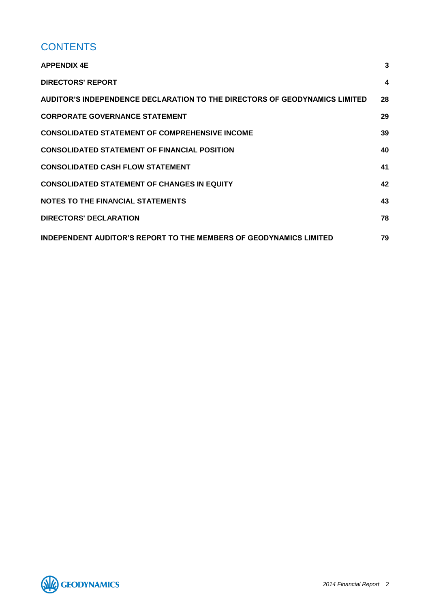# **CONTENTS**

| <b>APPENDIX 4E</b>                                                         | 3  |
|----------------------------------------------------------------------------|----|
| <b>DIRECTORS' REPORT</b>                                                   | 4  |
| AUDITOR'S INDEPENDENCE DECLARATION TO THE DIRECTORS OF GEODYNAMICS LIMITED | 28 |
| <b>CORPORATE GOVERNANCE STATEMENT</b>                                      | 29 |
| <b>CONSOLIDATED STATEMENT OF COMPREHENSIVE INCOME</b>                      | 39 |
| <b>CONSOLIDATED STATEMENT OF FINANCIAL POSITION</b>                        | 40 |
| <b>CONSOLIDATED CASH FLOW STATEMENT</b>                                    | 41 |
| <b>CONSOLIDATED STATEMENT OF CHANGES IN EQUITY</b>                         | 42 |
| <b>NOTES TO THE FINANCIAL STATEMENTS</b>                                   | 43 |
| <b>DIRECTORS' DECLARATION</b>                                              | 78 |
| <b>INDEPENDENT AUDITOR'S REPORT TO THE MEMBERS OF GEODYNAMICS LIMITED</b>  | 79 |

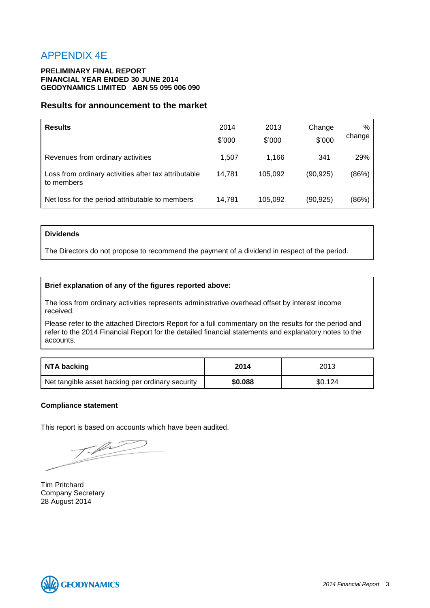# <span id="page-2-0"></span>APPENDIX 4E

# **PRELIMINARY FINAL REPORT FINANCIAL YEAR ENDED 30 JUNE 2014 GEODYNAMICS LIMITED ABN 55 095 006 090**

# **Results for announcement to the market**

| <b>Results</b>                                                     | 2014<br>\$'000 | 2013<br>\$'000 | Change<br>\$'000 | %<br>change |
|--------------------------------------------------------------------|----------------|----------------|------------------|-------------|
| Revenues from ordinary activities                                  | 1,507          | 1.166          | 341              | 29%         |
| Loss from ordinary activities after tax attributable<br>to members | 14.781         | 105.092        | (90, 925)        | (86%)       |
| Net loss for the period attributable to members                    | 14,781         | 105,092        | (90, 925)        | (86%)       |

# **Dividends**

The Directors do not propose to recommend the payment of a dividend in respect of the period.

# **Brief explanation of any of the figures reported above:**

The loss from ordinary activities represents administrative overhead offset by interest income received.

Please refer to the attached Directors Report for a full commentary on the results for the period and refer to the 2014 Financial Report for the detailed financial statements and explanatory notes to the accounts.

| NTA backing                                      | 2014<br>2013 |         |
|--------------------------------------------------|--------------|---------|
| Net tangible asset backing per ordinary security | \$0,088      | \$0.124 |

# **Compliance statement**

This report is based on accounts which have been audited.

Tim Pritchard Company Secretary 28 August 2014

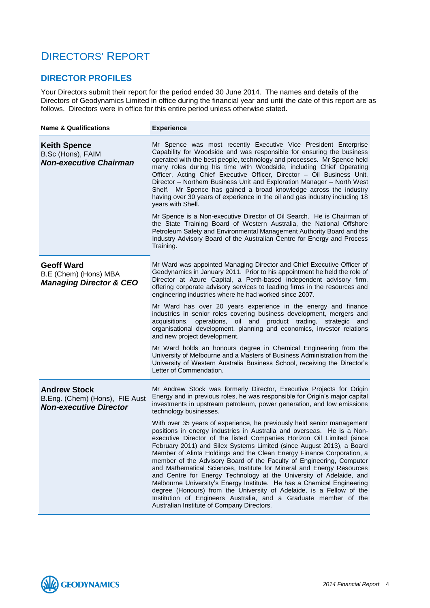# <span id="page-3-0"></span>DIRECTORS' REPORT

# **DIRECTOR PROFILES**

Your Directors submit their report for the period ended 30 June 2014. The names and details of the Directors of Geodynamics Limited in office during the financial year and until the date of this report are as follows. Directors were in office for this entire period unless otherwise stated.

| <b>Name &amp; Qualifications</b>                                                       | <b>Experience</b>                                                                                                                                                                                                                                                                                                                                                                                                                                                                                                                                                                                                                                                                                                                                                                                                                                                                                                                                                                                                                                                                                                                  |
|----------------------------------------------------------------------------------------|------------------------------------------------------------------------------------------------------------------------------------------------------------------------------------------------------------------------------------------------------------------------------------------------------------------------------------------------------------------------------------------------------------------------------------------------------------------------------------------------------------------------------------------------------------------------------------------------------------------------------------------------------------------------------------------------------------------------------------------------------------------------------------------------------------------------------------------------------------------------------------------------------------------------------------------------------------------------------------------------------------------------------------------------------------------------------------------------------------------------------------|
| <b>Keith Spence</b><br>B.Sc (Hons), FAIM<br><b>Non-executive Chairman</b>              | Mr Spence was most recently Executive Vice President Enterprise<br>Capability for Woodside and was responsible for ensuring the business<br>operated with the best people, technology and processes. Mr Spence held<br>many roles during his time with Woodside, including Chief Operating<br>Officer, Acting Chief Executive Officer, Director - Oil Business Unit,<br>Director - Northern Business Unit and Exploration Manager - North West<br>Shelf. Mr Spence has gained a broad knowledge across the industry<br>having over 30 years of experience in the oil and gas industry including 18<br>years with Shell.<br>Mr Spence is a Non-executive Director of Oil Search. He is Chairman of<br>the State Training Board of Western Australia, the National Offshore<br>Petroleum Safety and Environmental Management Authority Board and the<br>Industry Advisory Board of the Australian Centre for Energy and Process<br>Training.                                                                                                                                                                                         |
| <b>Geoff Ward</b><br>B.E (Chem) (Hons) MBA<br><b>Managing Director &amp; CEO</b>       | Mr Ward was appointed Managing Director and Chief Executive Officer of<br>Geodynamics in January 2011. Prior to his appointment he held the role of<br>Director at Azure Capital, a Perth-based independent advisory firm,<br>offering corporate advisory services to leading firms in the resources and<br>engineering industries where he had worked since 2007.<br>Mr Ward has over 20 years experience in the energy and finance<br>industries in senior roles covering business development, mergers and<br>acquisitions, operations, oil and product trading, strategic and<br>organisational development, planning and economics, investor relations<br>and new project development.<br>Mr Ward holds an honours degree in Chemical Engineering from the<br>University of Melbourne and a Masters of Business Administration from the<br>University of Western Australia Business School, receiving the Director's<br>Letter of Commendation.                                                                                                                                                                               |
| <b>Andrew Stock</b><br>B.Eng. (Chem) (Hons), FIE Aust<br><b>Non-executive Director</b> | Mr Andrew Stock was formerly Director, Executive Projects for Origin<br>Energy and in previous roles, he was responsible for Origin's major capital<br>investments in upstream petroleum, power generation, and low emissions<br>technology businesses.<br>With over 35 years of experience, he previously held senior management<br>positions in energy industries in Australia and overseas. He is a Non-<br>executive Director of the listed Companies Horizon Oil Limited (since<br>February 2011) and Silex Systems Limited (since August 2013), a Board<br>Member of Alinta Holdings and the Clean Energy Finance Corporation, a<br>member of the Advisory Board of the Faculty of Engineering, Computer<br>and Mathematical Sciences, Institute for Mineral and Energy Resources<br>and Centre for Energy Technology at the University of Adelaide, and<br>Melbourne University's Energy Institute. He has a Chemical Engineering<br>degree (Honours) from the University of Adelaide, is a Fellow of the<br>Institution of Engineers Australia, and a Graduate member of the<br>Australian Institute of Company Directors. |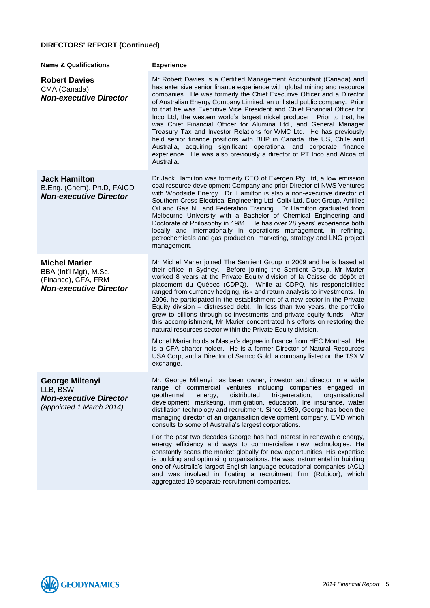| <b>Name &amp; Qualifications</b>                                                                       | <b>Experience</b>                                                                                                                                                                                                                                                                                                                                                                                                                                                                                                                                                                                                                                                                                                                                                                                                                                                                                                                                                                                |
|--------------------------------------------------------------------------------------------------------|--------------------------------------------------------------------------------------------------------------------------------------------------------------------------------------------------------------------------------------------------------------------------------------------------------------------------------------------------------------------------------------------------------------------------------------------------------------------------------------------------------------------------------------------------------------------------------------------------------------------------------------------------------------------------------------------------------------------------------------------------------------------------------------------------------------------------------------------------------------------------------------------------------------------------------------------------------------------------------------------------|
| <b>Robert Davies</b><br>CMA (Canada)<br><b>Non-executive Director</b>                                  | Mr Robert Davies is a Certified Management Accountant (Canada) and<br>has extensive senior finance experience with global mining and resource<br>companies. He was formerly the Chief Executive Officer and a Director<br>of Australian Energy Company Limited, an unlisted public company. Prior<br>to that he was Executive Vice President and Chief Financial Officer for<br>Inco Ltd, the western world's largest nickel producer. Prior to that, he<br>was Chief Financial Officer for Alumina Ltd., and General Manager<br>Treasury Tax and Investor Relations for WMC Ltd. He has previously<br>held senior finance positions with BHP in Canada, the US, Chile and<br>Australia, acquiring significant operational and corporate finance<br>experience. He was also previously a director of PT Inco and Alcoa of<br>Australia.                                                                                                                                                          |
| <b>Jack Hamilton</b><br>B.Eng. (Chem), Ph.D, FAICD<br><b>Non-executive Director</b>                    | Dr Jack Hamilton was formerly CEO of Exergen Pty Ltd, a low emission<br>coal resource development Company and prior Director of NWS Ventures<br>with Woodside Energy. Dr. Hamilton is also a non-executive director of<br>Southern Cross Electrical Engineering Ltd, Calix Ltd, Duet Group, Antilles<br>Oil and Gas NL and Federation Training. Dr Hamilton graduated from<br>Melbourne University with a Bachelor of Chemical Engineering and<br>Doctorate of Philosophy in 1981. He has over 28 years' experience both<br>locally and internationally in operations management, in refining,<br>petrochemicals and gas production, marketing, strategy and LNG project<br>management.                                                                                                                                                                                                                                                                                                          |
| <b>Michel Marier</b><br>BBA (Int'l Mgt), M.Sc.<br>(Finance), CFA, FRM<br><b>Non-executive Director</b> | Mr Michel Marier joined The Sentient Group in 2009 and he is based at<br>their office in Sydney. Before joining the Sentient Group, Mr Marier<br>worked 8 years at the Private Equity division of la Caisse de dépôt et<br>placement du Québec (CDPQ). While at CDPQ, his responsibilities<br>ranged from currency hedging, risk and return analysis to investments. In<br>2006, he participated in the establishment of a new sector in the Private<br>Equity division - distressed debt. In less than two years, the portfolio<br>grew to billions through co-investments and private equity funds. After<br>this accomplishment, Mr Marier concentrated his efforts on restoring the<br>natural resources sector within the Private Equity division.<br>Michel Marier holds a Master's degree in finance from HEC Montreal. He<br>is a CFA charter holder. He is a former Director of Natural Resources<br>USA Corp, and a Director of Samco Gold, a company listed on the TSX.V<br>exchange. |
|                                                                                                        |                                                                                                                                                                                                                                                                                                                                                                                                                                                                                                                                                                                                                                                                                                                                                                                                                                                                                                                                                                                                  |
| <b>George Miltenyi</b><br>LLB, BSW<br><b>Non-executive Director</b><br>(appointed 1 March 2014)        | Mr. George Miltenyi has been owner, investor and director in a wide<br>range of commercial ventures including companies engaged in<br>geothermal<br>distributed<br>tri-generation,<br>organisational<br>energy,<br>development, marketing, immigration, education, life insurance, water<br>distillation technology and recruitment. Since 1989, George has been the<br>managing director of an organisation development company, EMD which<br>consults to some of Australia's largest corporations.                                                                                                                                                                                                                                                                                                                                                                                                                                                                                             |
|                                                                                                        | For the past two decades George has had interest in renewable energy,<br>energy efficiency and ways to commercialise new technologies. He<br>constantly scans the market globally for new opportunities. His expertise<br>is building and optimising organisations. He was instrumental in building<br>one of Australia's largest English language educational companies (ACL)<br>and was involved in floating a recruitment firm (Rubicor), which<br>aggregated 19 separate recruitment companies.                                                                                                                                                                                                                                                                                                                                                                                                                                                                                              |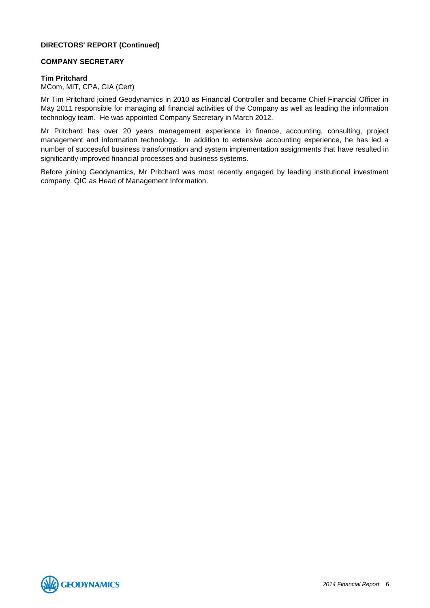# **COMPANY SECRETARY**

# **Tim Pritchard**

MCom, MIT, CPA, GIA (Cert)

Mr Tim Pritchard joined Geodynamics in 2010 as Financial Controller and became Chief Financial Officer in May 2011 responsible for managing all financial activities of the Company as well as leading the information technology team. He was appointed Company Secretary in March 2012.

Mr Pritchard has over 20 years management experience in finance, accounting, consulting, project management and information technology. In addition to extensive accounting experience, he has led a number of successful business transformation and system implementation assignments that have resulted in significantly improved financial processes and business systems.

Before joining Geodynamics, Mr Pritchard was most recently engaged by leading institutional investment company, QIC as Head of Management Information.

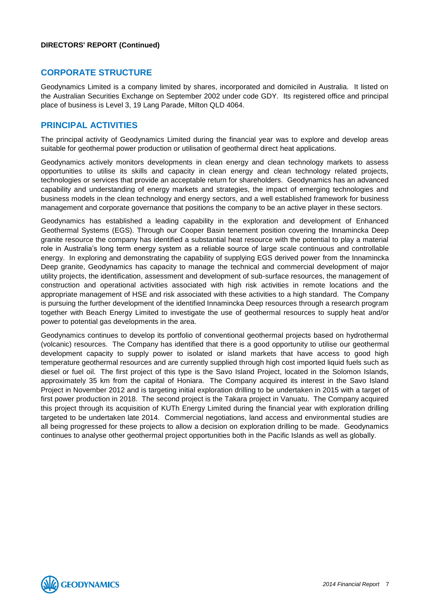# **CORPORATE STRUCTURE**

Geodynamics Limited is a company limited by shares, incorporated and domiciled in Australia. It listed on the Australian Securities Exchange on September 2002 under code GDY. Its registered office and principal place of business is Level 3, 19 Lang Parade, Milton QLD 4064.

# **PRINCIPAL ACTIVITIES**

The principal activity of Geodynamics Limited during the financial year was to explore and develop areas suitable for geothermal power production or utilisation of geothermal direct heat applications.

Geodynamics actively monitors developments in clean energy and clean technology markets to assess opportunities to utilise its skills and capacity in clean energy and clean technology related projects, technologies or services that provide an acceptable return for shareholders. Geodynamics has an advanced capability and understanding of energy markets and strategies, the impact of emerging technologies and business models in the clean technology and energy sectors, and a well established framework for business management and corporate governance that positions the company to be an active player in these sectors.

Geodynamics has established a leading capability in the exploration and development of Enhanced Geothermal Systems (EGS). Through our Cooper Basin tenement position covering the Innamincka Deep granite resource the company has identified a substantial heat resource with the potential to play a material role in Australia's long term energy system as a reliable source of large scale continuous and controllable energy. In exploring and demonstrating the capability of supplying EGS derived power from the Innamincka Deep granite, Geodynamics has capacity to manage the technical and commercial development of major utility projects, the identification, assessment and development of sub-surface resources, the management of construction and operational activities associated with high risk activities in remote locations and the appropriate management of HSE and risk associated with these activities to a high standard. The Company is pursuing the further development of the identified Innamincka Deep resources through a research program together with Beach Energy Limited to investigate the use of geothermal resources to supply heat and/or power to potential gas developments in the area.

Geodynamics continues to develop its portfolio of conventional geothermal projects based on hydrothermal (volcanic) resources. The Company has identified that there is a good opportunity to utilise our geothermal development capacity to supply power to isolated or island markets that have access to good high temperature geothermal resources and are currently supplied through high cost imported liquid fuels such as diesel or fuel oil. The first project of this type is the Savo Island Project, located in the Solomon Islands, approximately 35 km from the capital of Honiara. The Company acquired its interest in the Savo Island Project in November 2012 and is targeting initial exploration drilling to be undertaken in 2015 with a target of first power production in 2018. The second project is the Takara project in Vanuatu. The Company acquired this project through its acquisition of KUTh Energy Limited during the financial year with exploration drilling targeted to be undertaken late 2014. Commercial negotiations, land access and environmental studies are all being progressed for these projects to allow a decision on exploration drilling to be made. Geodynamics continues to analyse other geothermal project opportunities both in the Pacific Islands as well as globally.

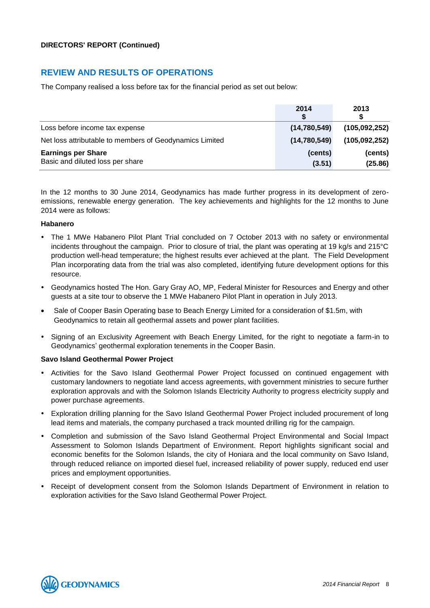# **REVIEW AND RESULTS OF OPERATIONS**

The Company realised a loss before tax for the financial period as set out below:

|                                                         | 2014<br>S    | 2013            |
|---------------------------------------------------------|--------------|-----------------|
| Loss before income tax expense                          | (14,780,549) | (105, 092, 252) |
| Net loss attributable to members of Geodynamics Limited | (14,780,549) | (105, 092, 252) |
| <b>Earnings per Share</b>                               | (cents)      | (cents)         |
| Basic and diluted loss per share                        | (3.51)       | (25.86)         |

In the 12 months to 30 June 2014, Geodynamics has made further progress in its development of zeroemissions, renewable energy generation. The key achievements and highlights for the 12 months to June 2014 were as follows:

#### **Habanero**

- The 1 MWe Habanero Pilot Plant Trial concluded on 7 October 2013 with no safety or environmental incidents throughout the campaign. Prior to closure of trial, the plant was operating at 19 kg/s and 215°C production well-head temperature; the highest results ever achieved at the plant. The Field Development Plan incorporating data from the trial was also completed, identifying future development options for this resource.
- Geodynamics hosted The Hon. Gary Gray AO, MP, Federal Minister for Resources and Energy and other guests at a site tour to observe the 1 MWe Habanero Pilot Plant in operation in July 2013.
- Sale of Cooper Basin Operating base to Beach Energy Limited for a consideration of \$1.5m, with Geodynamics to retain all geothermal assets and power plant facilities.
- Signing of an Exclusivity Agreement with Beach Energy Limited, for the right to negotiate a farm-in to Geodynamics' geothermal exploration tenements in the Cooper Basin.

# **Savo Island Geothermal Power Project**

- Activities for the Savo Island Geothermal Power Project focussed on continued engagement with customary landowners to negotiate land access agreements, with government ministries to secure further exploration approvals and with the Solomon Islands Electricity Authority to progress electricity supply and power purchase agreements.
- Exploration drilling planning for the Savo Island Geothermal Power Project included procurement of long lead items and materials, the company purchased a track mounted drilling rig for the campaign.
- Completion and submission of the Savo Island Geothermal Project Environmental and Social Impact Assessment to Solomon Islands Department of Environment. Report highlights significant social and economic benefits for the Solomon Islands, the city of Honiara and the local community on Savo Island, through reduced reliance on imported diesel fuel, increased reliability of power supply, reduced end user prices and employment opportunities.
- Receipt of development consent from the Solomon Islands Department of Environment in relation to exploration activities for the Savo Island Geothermal Power Project.

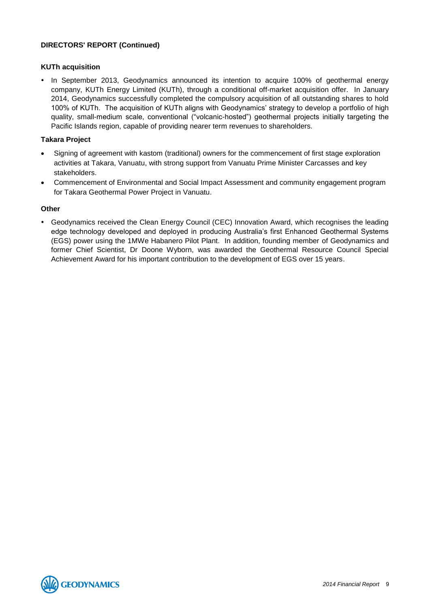# **KUTh acquisition**

• In September 2013, Geodynamics announced its intention to acquire 100% of geothermal energy company, KUTh Energy Limited (KUTh), through a conditional off-market acquisition offer. In January 2014, Geodynamics successfully completed the compulsory acquisition of all outstanding shares to hold 100% of KUTh. The acquisition of KUTh aligns with Geodynamics' strategy to develop a portfolio of high quality, small-medium scale, conventional ("volcanic-hosted") geothermal projects initially targeting the Pacific Islands region, capable of providing nearer term revenues to shareholders.

# **Takara Project**

- Signing of agreement with kastom (traditional) owners for the commencement of first stage exploration activities at Takara, Vanuatu, with strong support from Vanuatu Prime Minister Carcasses and key stakeholders.
- Commencement of Environmental and Social Impact Assessment and community engagement program for Takara Geothermal Power Project in Vanuatu.

#### **Other**

 Geodynamics received the Clean Energy Council (CEC) Innovation Award, which recognises the leading edge technology developed and deployed in producing Australia's first Enhanced Geothermal Systems (EGS) power using the 1MWe Habanero Pilot Plant. In addition, founding member of Geodynamics and former Chief Scientist, Dr Doone Wyborn, was awarded the Geothermal Resource Council Special Achievement Award for his important contribution to the development of EGS over 15 years.

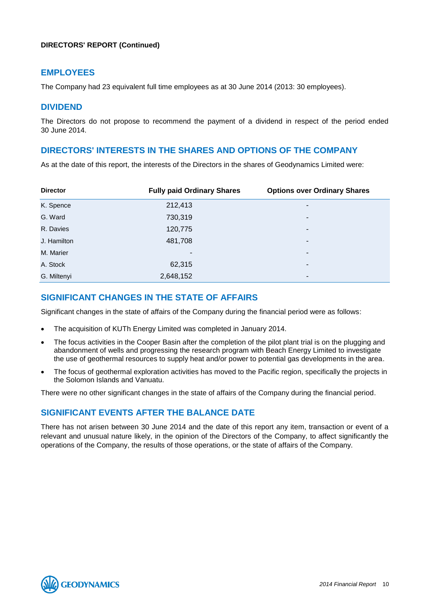# **EMPLOYEES**

The Company had 23 equivalent full time employees as at 30 June 2014 (2013: 30 employees).

# **DIVIDEND**

The Directors do not propose to recommend the payment of a dividend in respect of the period ended 30 June 2014.

# **DIRECTORS' INTERESTS IN THE SHARES AND OPTIONS OF THE COMPANY**

As at the date of this report, the interests of the Directors in the shares of Geodynamics Limited were:

| <b>Director</b> | <b>Fully paid Ordinary Shares</b> | <b>Options over Ordinary Shares</b> |
|-----------------|-----------------------------------|-------------------------------------|
| K. Spence       | 212,413                           | ۰                                   |
| G. Ward         | 730,319                           | ٠                                   |
| R. Davies       | 120,775                           |                                     |
| J. Hamilton     | 481,708                           | ۰                                   |
| M. Marier       |                                   | -                                   |
| A. Stock        | 62,315                            | -                                   |
| G. Miltenyi     | 2,648,152                         | ۰                                   |

# **SIGNIFICANT CHANGES IN THE STATE OF AFFAIRS**

Significant changes in the state of affairs of the Company during the financial period were as follows:

- The acquisition of KUTh Energy Limited was completed in January 2014.
- The focus activities in the Cooper Basin after the completion of the pilot plant trial is on the plugging and abandonment of wells and progressing the research program with Beach Energy Limited to investigate the use of geothermal resources to supply heat and/or power to potential gas developments in the area.
- The focus of geothermal exploration activities has moved to the Pacific region, specifically the projects in the Solomon Islands and Vanuatu.

There were no other significant changes in the state of affairs of the Company during the financial period.

# **SIGNIFICANT EVENTS AFTER THE BALANCE DATE**

There has not arisen between 30 June 2014 and the date of this report any item, transaction or event of a relevant and unusual nature likely, in the opinion of the Directors of the Company, to affect significantly the operations of the Company, the results of those operations, or the state of affairs of the Company.

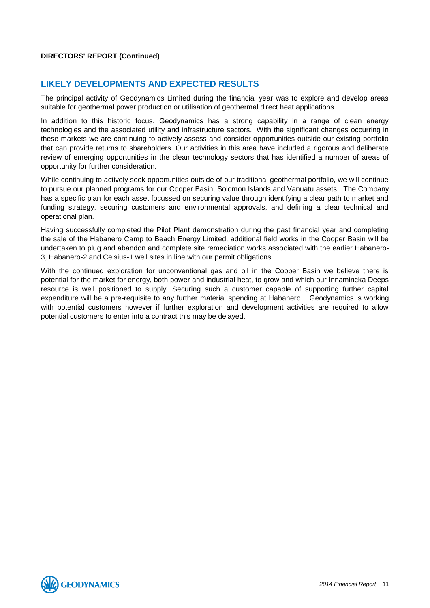# **LIKELY DEVELOPMENTS AND EXPECTED RESULTS**

The principal activity of Geodynamics Limited during the financial year was to explore and develop areas suitable for geothermal power production or utilisation of geothermal direct heat applications.

In addition to this historic focus, Geodynamics has a strong capability in a range of clean energy technologies and the associated utility and infrastructure sectors. With the significant changes occurring in these markets we are continuing to actively assess and consider opportunities outside our existing portfolio that can provide returns to shareholders. Our activities in this area have included a rigorous and deliberate review of emerging opportunities in the clean technology sectors that has identified a number of areas of opportunity for further consideration.

While continuing to actively seek opportunities outside of our traditional geothermal portfolio, we will continue to pursue our planned programs for our Cooper Basin, Solomon Islands and Vanuatu assets. The Company has a specific plan for each asset focussed on securing value through identifying a clear path to market and funding strategy, securing customers and environmental approvals, and defining a clear technical and operational plan.

Having successfully completed the Pilot Plant demonstration during the past financial year and completing the sale of the Habanero Camp to Beach Energy Limited, additional field works in the Cooper Basin will be undertaken to plug and abandon and complete site remediation works associated with the earlier Habanero-3, Habanero-2 and Celsius-1 well sites in line with our permit obligations.

With the continued exploration for unconventional gas and oil in the Cooper Basin we believe there is potential for the market for energy, both power and industrial heat, to grow and which our Innamincka Deeps resource is well positioned to supply. Securing such a customer capable of supporting further capital expenditure will be a pre-requisite to any further material spending at Habanero. Geodynamics is working with potential customers however if further exploration and development activities are required to allow potential customers to enter into a contract this may be delayed.

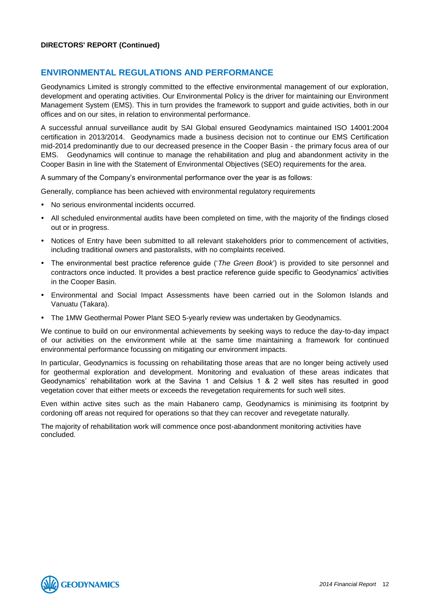# **ENVIRONMENTAL REGULATIONS AND PERFORMANCE**

Geodynamics Limited is strongly committed to the effective environmental management of our exploration, development and operating activities. Our Environmental Policy is the driver for maintaining our Environment Management System (EMS). This in turn provides the framework to support and guide activities, both in our offices and on our sites, in relation to environmental performance.

A successful annual surveillance audit by SAI Global ensured Geodynamics maintained ISO 14001:2004 certification in 2013/2014. Geodynamics made a business decision not to continue our EMS Certification mid-2014 predominantly due to our decreased presence in the Cooper Basin - the primary focus area of our EMS. Geodynamics will continue to manage the rehabilitation and plug and abandonment activity in the Cooper Basin in line with the Statement of Environmental Objectives (SEO) requirements for the area.

A summary of the Company's environmental performance over the year is as follows:

Generally, compliance has been achieved with environmental regulatory requirements

- No serious environmental incidents occurred.
- All scheduled environmental audits have been completed on time, with the majority of the findings closed out or in progress.
- Notices of Entry have been submitted to all relevant stakeholders prior to commencement of activities, including traditional owners and pastoralists, with no complaints received.
- The environmental best practice reference guide ('*The Green Book*') is provided to site personnel and contractors once inducted. It provides a best practice reference guide specific to Geodynamics' activities in the Cooper Basin.
- Environmental and Social Impact Assessments have been carried out in the Solomon Islands and Vanuatu (Takara).
- The 1MW Geothermal Power Plant SEO 5-yearly review was undertaken by Geodynamics.

We continue to build on our environmental achievements by seeking ways to reduce the day-to-day impact of our activities on the environment while at the same time maintaining a framework for continued environmental performance focussing on mitigating our environment impacts.

In particular, Geodynamics is focussing on rehabilitating those areas that are no longer being actively used for geothermal exploration and development. Monitoring and evaluation of these areas indicates that Geodynamics' rehabilitation work at the Savina 1 and Celsius 1 & 2 well sites has resulted in good vegetation cover that either meets or exceeds the revegetation requirements for such well sites.

Even within active sites such as the main Habanero camp, Geodynamics is minimising its footprint by cordoning off areas not required for operations so that they can recover and revegetate naturally.

The majority of rehabilitation work will commence once post-abandonment monitoring activities have concluded.

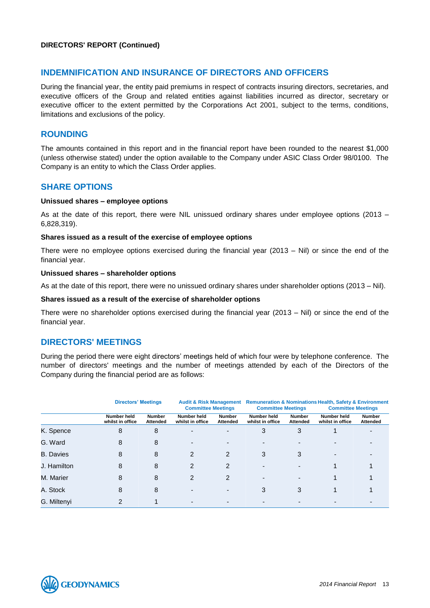# **INDEMNIFICATION AND INSURANCE OF DIRECTORS AND OFFICERS**

During the financial year, the entity paid premiums in respect of contracts insuring directors, secretaries, and executive officers of the Group and related entities against liabilities incurred as director, secretary or executive officer to the extent permitted by the Corporations Act 2001, subject to the terms, conditions, limitations and exclusions of the policy.

# **ROUNDING**

The amounts contained in this report and in the financial report have been rounded to the nearest \$1,000 (unless otherwise stated) under the option available to the Company under ASIC Class Order 98/0100. The Company is an entity to which the Class Order applies.

# **SHARE OPTIONS**

#### **Unissued shares – employee options**

As at the date of this report, there were NIL unissued ordinary shares under employee options (2013 – 6,828,319).

#### **Shares issued as a result of the exercise of employee options**

There were no employee options exercised during the financial year (2013 – Nil) or since the end of the financial year.

#### **Unissued shares – shareholder options**

As at the date of this report, there were no unissued ordinary shares under shareholder options (2013 – Nil).

#### **Shares issued as a result of the exercise of shareholder options**

There were no shareholder options exercised during the financial year (2013 – Nil) or since the end of the financial year.

# **DIRECTORS' MEETINGS**

During the period there were eight directors' meetings held of which four were by telephone conference. The number of directors' meetings and the number of meetings attended by each of the Directors of the Company during the financial period are as follows:

|                  | <b>Directors' Meetings</b>      |                                  | <b>Audit &amp; Risk Management</b><br><b>Committee Meetings</b> |                           | <b>Committee Meetings</b>       |                           | <b>Remuneration &amp; Nominations Health, Safety &amp; Environment</b><br><b>Committee Meetings</b> |                                  |
|------------------|---------------------------------|----------------------------------|-----------------------------------------------------------------|---------------------------|---------------------------------|---------------------------|-----------------------------------------------------------------------------------------------------|----------------------------------|
|                  | Number held<br>whilst in office | <b>Number</b><br><b>Attended</b> | Number held<br>whilst in office                                 | <b>Number</b><br>Attended | Number held<br>whilst in office | <b>Number</b><br>Attended | Number held<br>whilst in office                                                                     | <b>Number</b><br><b>Attended</b> |
| K. Spence        | 8                               | 8                                | $\overline{\phantom{0}}$                                        |                           | 3                               | 3                         |                                                                                                     |                                  |
| G. Ward          | 8                               | 8                                |                                                                 |                           |                                 |                           |                                                                                                     |                                  |
| <b>B.</b> Davies | 8                               | 8                                | 2                                                               | 2                         | 3                               | 3                         |                                                                                                     |                                  |
| J. Hamilton      | 8                               | 8                                | $\mathcal{P}$                                                   | 2                         |                                 |                           |                                                                                                     |                                  |
| M. Marier        | 8                               | 8                                | 2                                                               | 2                         |                                 | -                         |                                                                                                     |                                  |
| A. Stock         | 8                               | 8                                |                                                                 |                           | 3                               | 3                         |                                                                                                     |                                  |
| G. Miltenyi      | 2                               |                                  |                                                                 |                           |                                 |                           |                                                                                                     |                                  |

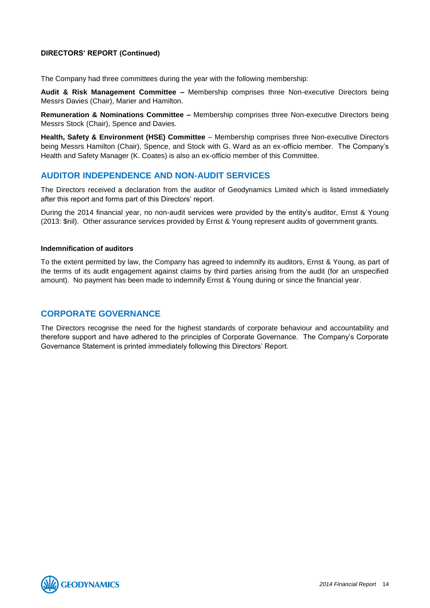The Company had three committees during the year with the following membership:

**Audit & Risk Management Committee –** Membership comprises three Non-executive Directors being Messrs Davies (Chair), Marier and Hamilton.

**Remuneration & Nominations Committee –** Membership comprises three Non-executive Directors being Messrs Stock (Chair), Spence and Davies.

**Health, Safety & Environment (HSE) Committee** – Membership comprises three Non-executive Directors being Messrs Hamilton (Chair), Spence, and Stock with G. Ward as an ex-officio member. The Company's Health and Safety Manager (K. Coates) is also an ex-officio member of this Committee.

# **AUDITOR INDEPENDENCE AND NON-AUDIT SERVICES**

The Directors received a declaration from the auditor of Geodynamics Limited which is listed immediately after this report and forms part of this Directors' report.

During the 2014 financial year, no non-audit services were provided by the entity's auditor, Ernst & Young (2013: \$nil). Other assurance services provided by Ernst & Young represent audits of government grants.

#### **Indemnification of auditors**

To the extent permitted by law, the Company has agreed to indemnify its auditors, Ernst & Young, as part of the terms of its audit engagement against claims by third parties arising from the audit (for an unspecified amount). No payment has been made to indemnify Ernst & Young during or since the financial year.

# **CORPORATE GOVERNANCE**

The Directors recognise the need for the highest standards of corporate behaviour and accountability and therefore support and have adhered to the principles of Corporate Governance. The Company's Corporate Governance Statement is printed immediately following this Directors' Report.

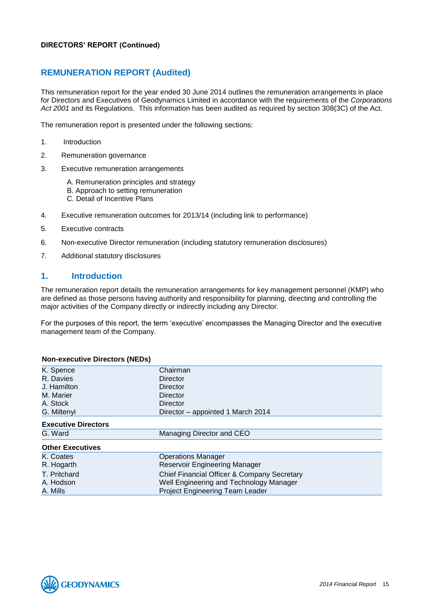# **REMUNERATION REPORT (Audited)**

This remuneration report for the year ended 30 June 2014 outlines the remuneration arrangements in place for Directors and Executives of Geodynamics Limited in accordance with the requirements of the *Corporations Act 2001* and its Regulations. This information has been audited as required by section 308(3C) of the Act.

The remuneration report is presented under the following sections:

- 1. Introduction
- 2. Remuneration governance
- 3. Executive remuneration arrangements
	- A. Remuneration principles and strategy
	- B. Approach to setting remuneration
	- C. Detail of Incentive Plans
- 4. Executive remuneration outcomes for 2013/14 (including link to performance)
- 5. Executive contracts
- 6. Non-executive Director remuneration (including statutory remuneration disclosures)
- 7. Additional statutory disclosures

# **1. Introduction**

The remuneration report details the remuneration arrangements for key management personnel (KMP) who are defined as those persons having authority and responsibility for planning, directing and controlling the major activities of the Company directly or indirectly including any Director.

For the purposes of this report, the term 'executive' encompasses the Managing Director and the executive management team of the Company.

| <b>Non-executive Directors (NEDs)</b> |                                             |
|---------------------------------------|---------------------------------------------|
| K. Spence                             | Chairman                                    |
| R. Davies                             | Director                                    |
| J. Hamilton                           | Director                                    |
| M. Marier                             | Director                                    |
| A. Stock                              | Director                                    |
| G. Miltenyi                           | Director - appointed 1 March 2014           |
| <b>Executive Directors</b>            |                                             |
| G. Ward                               | Managing Director and CEO                   |
| <b>Other Executives</b>               |                                             |
| K. Coates                             | <b>Operations Manager</b>                   |
| R. Hogarth                            | <b>Reservoir Engineering Manager</b>        |
| T. Pritchard                          | Chief Financial Officer & Company Secretary |
| A. Hodson                             | Well Engineering and Technology Manager     |
| A. Mills                              | Project Engineering Team Leader             |

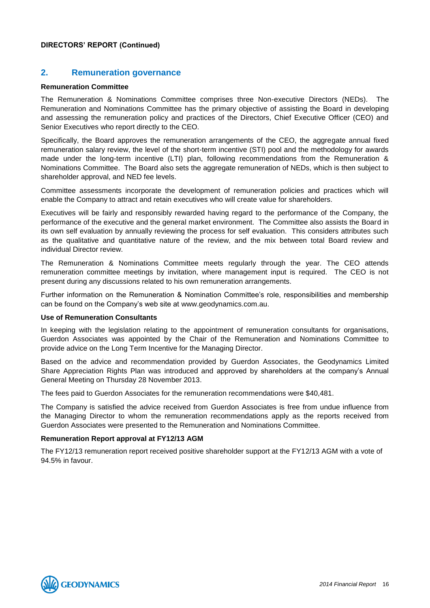# **2. Remuneration governance**

#### **Remuneration Committee**

The Remuneration & Nominations Committee comprises three Non-executive Directors (NEDs). The Remuneration and Nominations Committee has the primary objective of assisting the Board in developing and assessing the remuneration policy and practices of the Directors, Chief Executive Officer (CEO) and Senior Executives who report directly to the CEO.

Specifically, the Board approves the remuneration arrangements of the CEO, the aggregate annual fixed remuneration salary review, the level of the short-term incentive (STI) pool and the methodology for awards made under the long-term incentive (LTI) plan, following recommendations from the Remuneration & Nominations Committee. The Board also sets the aggregate remuneration of NEDs, which is then subject to shareholder approval, and NED fee levels.

Committee assessments incorporate the development of remuneration policies and practices which will enable the Company to attract and retain executives who will create value for shareholders.

Executives will be fairly and responsibly rewarded having regard to the performance of the Company, the performance of the executive and the general market environment. The Committee also assists the Board in its own self evaluation by annually reviewing the process for self evaluation. This considers attributes such as the qualitative and quantitative nature of the review, and the mix between total Board review and individual Director review.

The Remuneration & Nominations Committee meets regularly through the year. The CEO attends remuneration committee meetings by invitation, where management input is required. The CEO is not present during any discussions related to his own remuneration arrangements.

Further information on the Remuneration & Nomination Committee's role, responsibilities and membership can be found on the Company's web site at [www.geodynamics.com.au.](http://www.geodynamics.com.au/)

#### **Use of Remuneration Consultants**

In keeping with the legislation relating to the appointment of remuneration consultants for organisations, Guerdon Associates was appointed by the Chair of the Remuneration and Nominations Committee to provide advice on the Long Term Incentive for the Managing Director.

Based on the advice and recommendation provided by Guerdon Associates, the Geodynamics Limited Share Appreciation Rights Plan was introduced and approved by shareholders at the company's Annual General Meeting on Thursday 28 November 2013.

The fees paid to Guerdon Associates for the remuneration recommendations were \$40,481.

The Company is satisfied the advice received from Guerdon Associates is free from undue influence from the Managing Director to whom the remuneration recommendations apply as the reports received from Guerdon Associates were presented to the Remuneration and Nominations Committee.

#### **Remuneration Report approval at FY12/13 AGM**

The FY12/13 remuneration report received positive shareholder support at the FY12/13 AGM with a vote of 94.5% in favour.

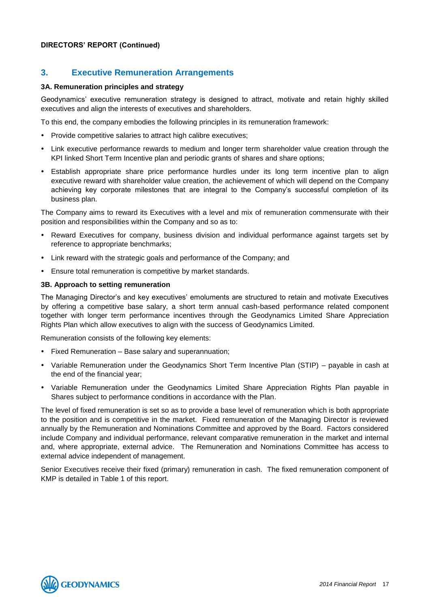# **3. Executive Remuneration Arrangements**

# **3A. Remuneration principles and strategy**

Geodynamics' executive remuneration strategy is designed to attract, motivate and retain highly skilled executives and align the interests of executives and shareholders.

To this end, the company embodies the following principles in its remuneration framework:

- Provide competitive salaries to attract high calibre executives;
- Link executive performance rewards to medium and longer term shareholder value creation through the KPI linked Short Term Incentive plan and periodic grants of shares and share options;
- Establish appropriate share price performance hurdles under its long term incentive plan to align executive reward with shareholder value creation, the achievement of which will depend on the Company achieving key corporate milestones that are integral to the Company's successful completion of its business plan.

The Company aims to reward its Executives with a level and mix of remuneration commensurate with their position and responsibilities within the Company and so as to:

- Reward Executives for company, business division and individual performance against targets set by reference to appropriate benchmarks;
- Link reward with the strategic goals and performance of the Company; and
- Ensure total remuneration is competitive by market standards.

# **3B. Approach to setting remuneration**

The Managing Director's and key executives' emoluments are structured to retain and motivate Executives by offering a competitive base salary, a short term annual cash-based performance related component together with longer term performance incentives through the Geodynamics Limited Share Appreciation Rights Plan which allow executives to align with the success of Geodynamics Limited.

Remuneration consists of the following key elements:

- Fixed Remuneration Base salary and superannuation;
- Variable Remuneration under the Geodynamics Short Term Incentive Plan (STIP) payable in cash at the end of the financial year;
- Variable Remuneration under the Geodynamics Limited Share Appreciation Rights Plan payable in Shares subject to performance conditions in accordance with the Plan.

The level of fixed remuneration is set so as to provide a base level of remuneration which is both appropriate to the position and is competitive in the market. Fixed remuneration of the Managing Director is reviewed annually by the Remuneration and Nominations Committee and approved by the Board. Factors considered include Company and individual performance, relevant comparative remuneration in the market and internal and, where appropriate, external advice. The Remuneration and Nominations Committee has access to external advice independent of management.

Senior Executives receive their fixed (primary) remuneration in cash. The fixed remuneration component of KMP is detailed in Table 1 of this report.

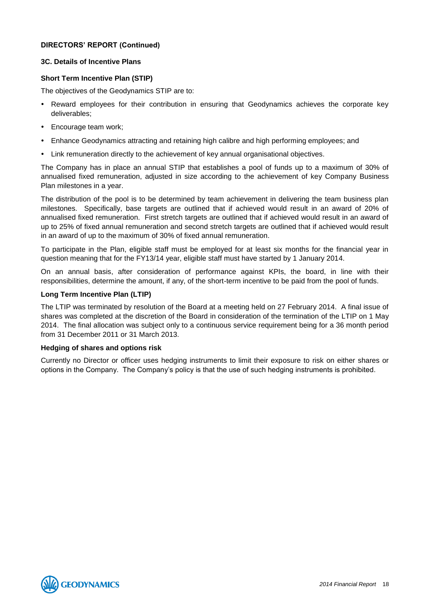# **3C. Details of Incentive Plans**

# **Short Term Incentive Plan (STIP)**

The objectives of the Geodynamics STIP are to:

- Reward employees for their contribution in ensuring that Geodynamics achieves the corporate key deliverables;
- Encourage team work:
- Enhance Geodynamics attracting and retaining high calibre and high performing employees; and
- Link remuneration directly to the achievement of key annual organisational objectives.

The Company has in place an annual STIP that establishes a pool of funds up to a maximum of 30% of annualised fixed remuneration, adjusted in size according to the achievement of key Company Business Plan milestones in a year.

The distribution of the pool is to be determined by team achievement in delivering the team business plan milestones. Specifically, base targets are outlined that if achieved would result in an award of 20% of annualised fixed remuneration. First stretch targets are outlined that if achieved would result in an award of up to 25% of fixed annual remuneration and second stretch targets are outlined that if achieved would result in an award of up to the maximum of 30% of fixed annual remuneration.

To participate in the Plan, eligible staff must be employed for at least six months for the financial year in question meaning that for the FY13/14 year, eligible staff must have started by 1 January 2014.

On an annual basis, after consideration of performance against KPIs, the board, in line with their responsibilities, determine the amount, if any, of the short-term incentive to be paid from the pool of funds.

# **Long Term Incentive Plan (LTIP)**

The LTIP was terminated by resolution of the Board at a meeting held on 27 February 2014. A final issue of shares was completed at the discretion of the Board in consideration of the termination of the LTIP on 1 May 2014. The final allocation was subject only to a continuous service requirement being for a 36 month period from 31 December 2011 or 31 March 2013.

#### **Hedging of shares and options risk**

Currently no Director or officer uses hedging instruments to limit their exposure to risk on either shares or options in the Company. The Company's policy is that the use of such hedging instruments is prohibited.

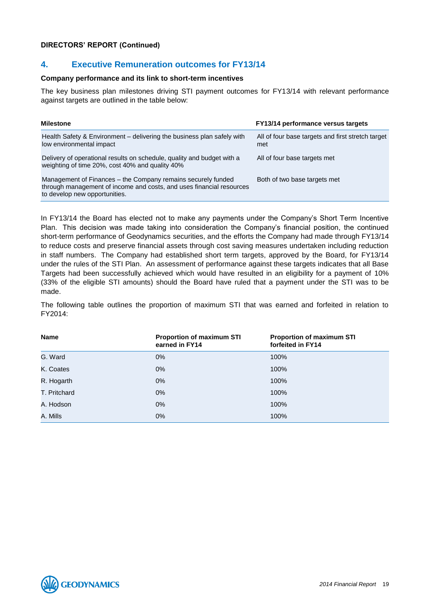# **4. Executive Remuneration outcomes for FY13/14**

#### **Company performance and its link to short-term incentives**

The key business plan milestones driving STI payment outcomes for FY13/14 with relevant performance against targets are outlined in the table below:

| <b>Milestone</b>                                                                                                                                                      | <b>FY13/14 performance versus targets</b>                |
|-----------------------------------------------------------------------------------------------------------------------------------------------------------------------|----------------------------------------------------------|
| Health Safety & Environment – delivering the business plan safely with<br>low environmental impact                                                                    | All of four base targets and first stretch target<br>met |
| Delivery of operational results on schedule, quality and budget with a<br>weighting of time 20%, cost 40% and quality 40%                                             | All of four base targets met                             |
| Management of Finances – the Company remains securely funded<br>through management of income and costs, and uses financial resources<br>to develop new opportunities. | Both of two base targets met                             |

In FY13/14 the Board has elected not to make any payments under the Company's Short Term Incentive Plan. This decision was made taking into consideration the Company's financial position, the continued short-term performance of Geodynamics securities, and the efforts the Company had made through FY13/14 to reduce costs and preserve financial assets through cost saving measures undertaken including reduction in staff numbers. The Company had established short term targets, approved by the Board, for FY13/14 under the rules of the STI Plan. An assessment of performance against these targets indicates that all Base Targets had been successfully achieved which would have resulted in an eligibility for a payment of 10% (33% of the eligible STI amounts) should the Board have ruled that a payment under the STI was to be made.

The following table outlines the proportion of maximum STI that was earned and forfeited in relation to FY2014:

| <b>Name</b>  | <b>Proportion of maximum STI</b><br>earned in FY14 | <b>Proportion of maximum STI</b><br>forfeited in FY14 |
|--------------|----------------------------------------------------|-------------------------------------------------------|
| G. Ward      | $0\%$                                              | 100%                                                  |
| K. Coates    | $0\%$                                              | 100%                                                  |
| R. Hogarth   | $0\%$                                              | 100%                                                  |
| T. Pritchard | $0\%$                                              | 100%                                                  |
| A. Hodson    | $0\%$                                              | 100%                                                  |
| A. Mills     | $0\%$                                              | 100%                                                  |

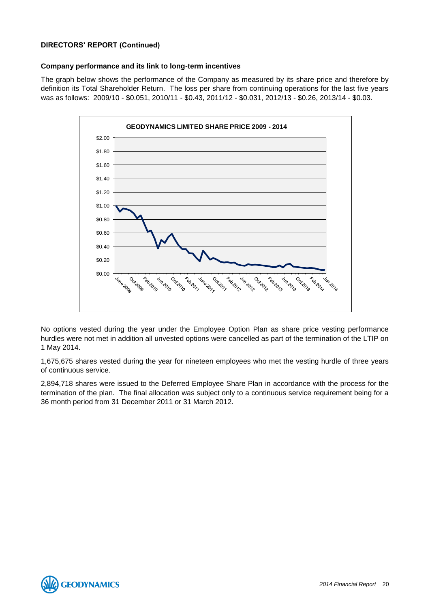# **Company performance and its link to long-term incentives**

The graph below shows the performance of the Company as measured by its share price and therefore by definition its Total Shareholder Return. The loss per share from continuing operations for the last five years was as follows: 2009/10 - \$0.051, 2010/11 - \$0.43, 2011/12 - \$0.031, 2012/13 - \$0.26, 2013/14 - \$0.03.



No options vested during the year under the Employee Option Plan as share price vesting performance hurdles were not met in addition all unvested options were cancelled as part of the termination of the LTIP on 1 May 2014.

1,675,675 shares vested during the year for nineteen employees who met the vesting hurdle of three years of continuous service.

2,894,718 shares were issued to the Deferred Employee Share Plan in accordance with the process for the termination of the plan. The final allocation was subject only to a continuous service requirement being for a 36 month period from 31 December 2011 or 31 March 2012.

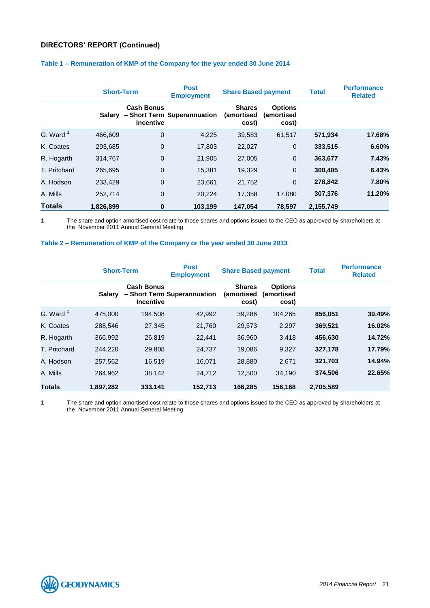|                      | <b>Short-Term</b> |                                       | <b>Post</b><br><b>Employment</b> | <b>Share Based payment</b>           |                                       | <b>Total</b> | <b>Performance</b><br><b>Related</b> |
|----------------------|-------------------|---------------------------------------|----------------------------------|--------------------------------------|---------------------------------------|--------------|--------------------------------------|
|                      | <b>Salary</b>     | <b>Cash Bonus</b><br><b>Incentive</b> | - Short Term Superannuation      | <b>Shares</b><br>(amortised<br>cost) | <b>Options</b><br>(amortised<br>cost) |              |                                      |
| G. Ward <sup>1</sup> | 466,609           | 0                                     | 4,225                            | 39,583                               | 61,517                                | 571,934      | 17.68%                               |
| K. Coates            | 293,685           | 0                                     | 17,803                           | 22,027                               | $\mathbf 0$                           | 333,515      | 6.60%                                |
| R. Hogarth           | 314,767           | 0                                     | 21,905                           | 27,005                               | $\mathbf 0$                           | 363,677      | 7.43%                                |
| T. Pritchard         | 265,695           | 0                                     | 15,381                           | 19,329                               | $\mathbf 0$                           | 300,405      | 6.43%                                |
| A. Hodson            | 233,429           | 0                                     | 23,661                           | 21,752                               | $\mathbf{0}$                          | 278,842      | 7.80%                                |
| A. Mills             | 252,714           | 0                                     | 20,224                           | 17,358                               | 17.080                                | 307,376      | 11.20%                               |
| <b>Totals</b>        | 1.826.899         | 0                                     | 103,199                          | 147.054                              | 78,597                                | 2,155,749    |                                      |

# **Table 1 – Remuneration of KMP of the Company for the year ended 30 June 2014**

1 The share and option amortised cost relate to those shares and options issued to the CEO as approved by shareholders at the November 2011 Annual General Meeting

#### **Table 2 – Remuneration of KMP of the Company or the year ended 30 June 2013**

|               | <b>Short-Term</b> |                                       | <b>Post</b><br><b>Employment</b> | <b>Share Based payment</b>                  |                                       | <b>Total</b> | <b>Performance</b><br><b>Related</b> |
|---------------|-------------------|---------------------------------------|----------------------------------|---------------------------------------------|---------------------------------------|--------------|--------------------------------------|
|               | <b>Salary</b>     | <b>Cash Bonus</b><br><b>Incentive</b> | - Short Term Superannuation      | <b>Shares</b><br><i>(amortised</i><br>cost) | <b>Options</b><br>(amortised<br>cost) |              |                                      |
| G. Ward $1$   | 475.000           | 194,508                               | 42,992                           | 39,286                                      | 104,265                               | 856,051      | 39.49%                               |
| K. Coates     | 288,546           | 27,345                                | 21,760                           | 29,573                                      | 2,297                                 | 369,521      | 16.02%                               |
| R. Hogarth    | 366,992           | 26,819                                | 22.441                           | 36,960                                      | 3,418                                 | 456,630      | 14.72%                               |
| T. Pritchard  | 244.220           | 29,808                                | 24,737                           | 19.086                                      | 9,327                                 | 327,178      | 17.79%                               |
| A. Hodson     | 257,562           | 16,519                                | 16,071                           | 28,880                                      | 2,671                                 | 321,703      | 14.94%                               |
| A. Mills      | 264.962           | 38,142                                | 24,712                           | 12,500                                      | 34,190                                | 374,506      | 22.65%                               |
| <b>Totals</b> | 1,897,282         | 333,141                               | 152,713                          | 166.285                                     | 156,168                               | 2,705,589    |                                      |

1 The share and option amortised cost relate to those shares and options issued to the CEO as approved by shareholders at the November 2011 Annual General Meeting

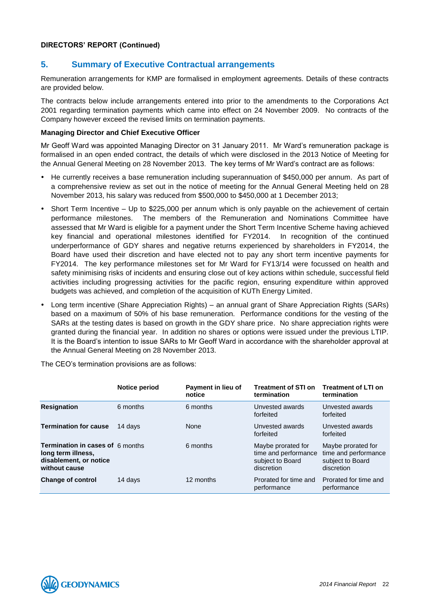# **5. Summary of Executive Contractual arrangements**

Remuneration arrangements for KMP are formalised in employment agreements. Details of these contracts are provided below.

The contracts below include arrangements entered into prior to the amendments to the Corporations Act 2001 regarding termination payments which came into effect on 24 November 2009. No contracts of the Company however exceed the revised limits on termination payments.

#### **Managing Director and Chief Executive Officer**

Mr Geoff Ward was appointed Managing Director on 31 January 2011. Mr Ward's remuneration package is formalised in an open ended contract, the details of which were disclosed in the 2013 Notice of Meeting for the Annual General Meeting on 28 November 2013. The key terms of Mr Ward's contract are as follows:

- He currently receives a base remuneration including superannuation of \$450,000 per annum. As part of a comprehensive review as set out in the notice of meeting for the Annual General Meeting held on 28 November 2013, his salary was reduced from \$500,000 to \$450,000 at 1 December 2013;
- Short Term Incentive Up to \$225,000 per annum which is only payable on the achievement of certain performance milestones. The members of the Remuneration and Nominations Committee have assessed that Mr Ward is eligible for a payment under the Short Term Incentive Scheme having achieved key financial and operational milestones identified for FY2014. In recognition of the continued underperformance of GDY shares and negative returns experienced by shareholders in FY2014, the Board have used their discretion and have elected not to pay any short term incentive payments for FY2014. The key performance milestones set for Mr Ward for FY13/14 were focussed on health and safety minimising risks of incidents and ensuring close out of key actions within schedule, successful field activities including progressing activities for the pacific region, ensuring expenditure within approved budgets was achieved, and completion of the acquisition of KUTh Energy Limited.
- Long term incentive (Share Appreciation Rights) an annual grant of Share Appreciation Rights (SARs) based on a maximum of 50% of his base remuneration. Performance conditions for the vesting of the SARs at the testing dates is based on growth in the GDY share price. No share appreciation rights were granted during the financial year. In addition no shares or options were issued under the previous LTIP. It is the Board's intention to issue SARs to Mr Geoff Ward in accordance with the shareholder approval at the Annual General Meeting on 28 November 2013.

|                                                                                                          | Notice period | Payment in lieu of<br>notice | <b>Treatment of STI on</b><br>termination                                    | <b>Treatment of LTI on</b><br>termination                                    |
|----------------------------------------------------------------------------------------------------------|---------------|------------------------------|------------------------------------------------------------------------------|------------------------------------------------------------------------------|
| <b>Resignation</b>                                                                                       | 6 months      | 6 months                     | Unvested awards<br>forfeited                                                 | Unvested awards<br>forfeited                                                 |
| <b>Termination for cause</b>                                                                             | 14 davs       | None                         | Unvested awards<br>forfeited                                                 | Unvested awards<br>forfeited                                                 |
| <b>Termination in cases of 6 months</b><br>long term illness,<br>disablement, or notice<br>without cause |               | 6 months                     | Maybe prorated for<br>time and performance<br>subject to Board<br>discretion | Maybe prorated for<br>time and performance<br>subject to Board<br>discretion |
| <b>Change of control</b>                                                                                 | 14 days       | 12 months                    | Prorated for time and<br>performance                                         | Prorated for time and<br>performance                                         |

The CEO's termination provisions are as follows:

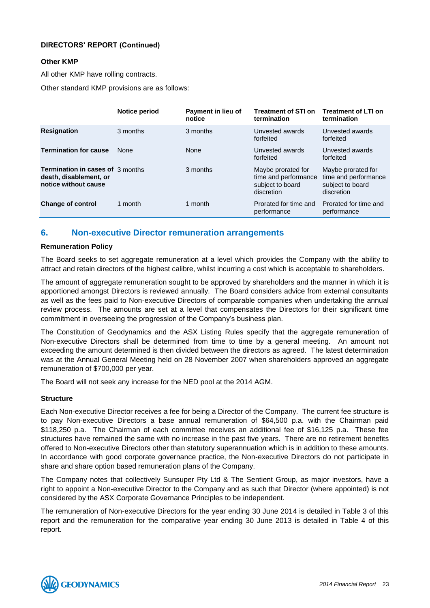# **Other KMP**

All other KMP have rolling contracts.

Other standard KMP provisions are as follows:

|                                                                                           | <b>Notice period</b> | Payment in lieu of<br>notice | <b>Treatment of STI on</b><br>termination                                    | <b>Treatment of LTI on</b><br>termination                                    |
|-------------------------------------------------------------------------------------------|----------------------|------------------------------|------------------------------------------------------------------------------|------------------------------------------------------------------------------|
| <b>Resignation</b>                                                                        | 3 months             | 3 months                     | Unvested awards<br>forfeited                                                 | Unvested awards<br>forfeited                                                 |
| <b>Termination for cause</b>                                                              | <b>None</b>          | None                         | Unvested awards<br>forfeited                                                 | Unvested awards<br>forfeited                                                 |
| <b>Termination in cases of 3 months</b><br>death, disablement, or<br>notice without cause |                      | 3 months                     | Maybe prorated for<br>time and performance<br>subject to board<br>discretion | Maybe prorated for<br>time and performance<br>subject to board<br>discretion |
| <b>Change of control</b>                                                                  | 1 month              | 1 month                      | Prorated for time and<br>performance                                         | Prorated for time and<br>performance                                         |

# **6. Non-executive Director remuneration arrangements**

# **Remuneration Policy**

The Board seeks to set aggregate remuneration at a level which provides the Company with the ability to attract and retain directors of the highest calibre, whilst incurring a cost which is acceptable to shareholders.

The amount of aggregate remuneration sought to be approved by shareholders and the manner in which it is apportioned amongst Directors is reviewed annually. The Board considers advice from external consultants as well as the fees paid to Non-executive Directors of comparable companies when undertaking the annual review process. The amounts are set at a level that compensates the Directors for their significant time commitment in overseeing the progression of the Company's business plan.

The Constitution of Geodynamics and the ASX Listing Rules specify that the aggregate remuneration of Non-executive Directors shall be determined from time to time by a general meeting. An amount not exceeding the amount determined is then divided between the directors as agreed. The latest determination was at the Annual General Meeting held on 28 November 2007 when shareholders approved an aggregate remuneration of \$700,000 per year.

The Board will not seek any increase for the NED pool at the 2014 AGM.

#### **Structure**

Each Non-executive Director receives a fee for being a Director of the Company. The current fee structure is to pay Non-executive Directors a base annual remuneration of \$64,500 p.a. with the Chairman paid \$118,250 p.a. The Chairman of each committee receives an additional fee of \$16,125 p.a. These fee structures have remained the same with no increase in the past five years. There are no retirement benefits offered to Non-executive Directors other than statutory superannuation which is in addition to these amounts. In accordance with good corporate governance practice, the Non-executive Directors do not participate in share and share option based remuneration plans of the Company.

The Company notes that collectively Sunsuper Pty Ltd & The Sentient Group, as major investors, have a right to appoint a Non-executive Director to the Company and as such that Director (where appointed) is not considered by the ASX Corporate Governance Principles to be independent.

The remuneration of Non-executive Directors for the year ending 30 June 2014 is detailed in Table 3 of this report and the remuneration for the comparative year ending 30 June 2013 is detailed in Table 4 of this report.

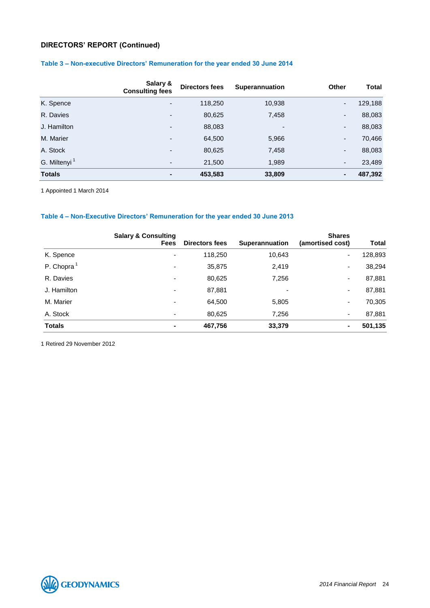# **Table 3 – Non-executive Directors' Remuneration for the year ended 30 June 2014**

|                          | Salary &<br><b>Consulting fees</b> | <b>Directors fees</b> | <b>Superannuation</b>    | <b>Other</b>             | <b>Total</b> |
|--------------------------|------------------------------------|-----------------------|--------------------------|--------------------------|--------------|
| K. Spence                | $\overline{\phantom{a}}$           | 118,250               | 10,938                   | $\overline{\phantom{a}}$ | 129,188      |
| R. Davies                | $\overline{\phantom{a}}$           | 80,625                | 7,458                    | -                        | 88,083       |
| J. Hamilton              |                                    | 88,083                | $\overline{\phantom{a}}$ | ٠                        | 88,083       |
| M. Marier                | -                                  | 64,500                | 5,966                    | $\blacksquare$           | 70,466       |
| A. Stock                 | $\overline{\phantom{a}}$           | 80,625                | 7,458                    | $\blacksquare$           | 88,083       |
| G. Miltenyi <sup>1</sup> | ٠                                  | 21,500                | 1,989                    | $\blacksquare$           | 23,489       |
| <b>Totals</b>            | ۰                                  | 453,583               | 33,809                   |                          | 487,392      |

1 Appointed 1 March 2014

# **Table 4 – Non-Executive Directors' Remuneration for the year ended 30 June 2013**

|                        | <b>Salary &amp; Consulting</b> |                |                       | <b>Shares</b>    |              |
|------------------------|--------------------------------|----------------|-----------------------|------------------|--------------|
|                        | <b>Fees</b>                    | Directors fees | <b>Superannuation</b> | (amortised cost) | <b>Total</b> |
| K. Spence              | $\overline{\phantom{a}}$       | 118,250        | 10,643                | ٠                | 128,893      |
| P. Chopra <sup>1</sup> | $\overline{\phantom{a}}$       | 35,875         | 2,419                 | ٠                | 38,294       |
| R. Davies              | $\overline{\phantom{0}}$       | 80,625         | 7,256                 | ٠                | 87,881       |
| J. Hamilton            | ۰                              | 87,881         | -                     | ٠                | 87,881       |
| M. Marier              | $\overline{\phantom{a}}$       | 64,500         | 5,805                 | ٠                | 70,305       |
| A. Stock               | $\overline{\phantom{a}}$       | 80,625         | 7,256                 | ٠                | 87,881       |
| <b>Totals</b>          | $\blacksquare$                 | 467,756        | 33,379                | ۰                | 501,135      |

1 Retired 29 November 2012

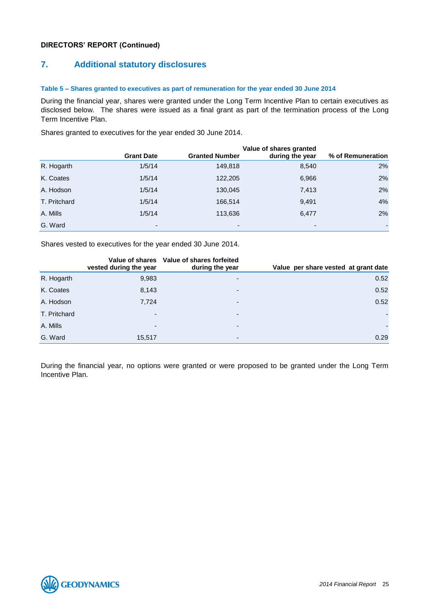# **7. Additional statutory disclosures**

#### **Table 5 – Shares granted to executives as part of remuneration for the year ended 30 June 2014**

During the financial year, shares were granted under the Long Term Incentive Plan to certain executives as disclosed below. The shares were issued as a final grant as part of the termination process of the Long Term Incentive Plan.

Shares granted to executives for the year ended 30 June 2014.

|              |                          |                          | Value of shares granted  |                   |
|--------------|--------------------------|--------------------------|--------------------------|-------------------|
|              | <b>Grant Date</b>        | <b>Granted Number</b>    | during the year          | % of Remuneration |
| R. Hogarth   | 1/5/14                   | 149,818                  | 8,540                    | 2%                |
| K. Coates    | 1/5/14                   | 122,205                  | 6,966                    | 2%                |
| A. Hodson    | 1/5/14                   | 130,045                  | 7,413                    | 2%                |
| T. Pritchard | 1/5/14                   | 166,514                  | 9,491                    | 4%                |
| A. Mills     | 1/5/14                   | 113,636                  | 6,477                    | 2%                |
| G. Ward      | $\overline{\phantom{0}}$ | $\overline{\phantom{a}}$ | $\overline{\phantom{0}}$ | ٠                 |

Shares vested to executives for the year ended 30 June 2014.

|              | vested during the year   | Value of shares Value of shares forfeited<br>during the year | Value per share vested at grant date |
|--------------|--------------------------|--------------------------------------------------------------|--------------------------------------|
| R. Hogarth   | 9,983                    | $\overline{\phantom{0}}$                                     | 0.52                                 |
| K. Coates    | 8,143                    | $\overline{\phantom{0}}$                                     | 0.52                                 |
| A. Hodson    | 7,724                    | -                                                            | 0.52                                 |
| T. Pritchard | $\overline{\phantom{0}}$ | $\overline{\phantom{a}}$                                     |                                      |
| A. Mills     | $\overline{\phantom{0}}$ | $\overline{\phantom{0}}$                                     | $\blacksquare$                       |
| G. Ward      | 15,517                   | $\overline{\phantom{0}}$                                     | 0.29                                 |

During the financial year, no options were granted or were proposed to be granted under the Long Term Incentive Plan.

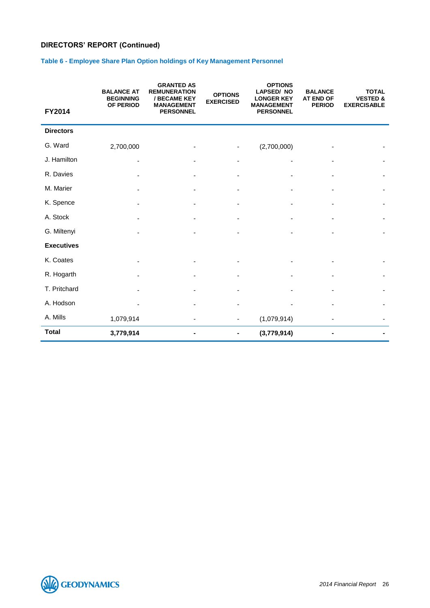# **Table 6 - Employee Share Plan Option holdings of Key Management Personnel**

|                   | <b>BALANCE AT</b><br><b>BEGINNING</b> | <b>GRANTED AS</b><br><b>REMUNERATION</b><br>/ BECAME KEY | <b>OPTIONS</b><br><b>EXERCISED</b> | <b>OPTIONS</b><br><b>LAPSED/NO</b><br><b>LONGER KEY</b> | <b>BALANCE</b><br><b>AT END OF</b> | <b>TOTAL</b><br><b>VESTED &amp;</b> |
|-------------------|---------------------------------------|----------------------------------------------------------|------------------------------------|---------------------------------------------------------|------------------------------------|-------------------------------------|
| FY2014            | OF PERIOD                             | <b>MANAGEMENT</b><br><b>PERSONNEL</b>                    |                                    | <b>MANAGEMENT</b><br><b>PERSONNEL</b>                   | <b>PERIOD</b>                      | <b>EXERCISABLE</b>                  |
| <b>Directors</b>  |                                       |                                                          |                                    |                                                         |                                    |                                     |
| G. Ward           | 2,700,000                             |                                                          |                                    | (2,700,000)                                             |                                    |                                     |
| J. Hamilton       |                                       |                                                          |                                    |                                                         |                                    |                                     |
| R. Davies         |                                       |                                                          |                                    |                                                         |                                    |                                     |
| M. Marier         |                                       |                                                          |                                    |                                                         |                                    |                                     |
| K. Spence         |                                       |                                                          |                                    |                                                         |                                    |                                     |
| A. Stock          |                                       |                                                          |                                    |                                                         |                                    |                                     |
| G. Miltenyi       |                                       |                                                          |                                    |                                                         |                                    |                                     |
| <b>Executives</b> |                                       |                                                          |                                    |                                                         |                                    |                                     |
| K. Coates         |                                       |                                                          |                                    |                                                         |                                    |                                     |
| R. Hogarth        |                                       |                                                          |                                    |                                                         |                                    |                                     |
| T. Pritchard      |                                       |                                                          |                                    |                                                         |                                    |                                     |
| A. Hodson         |                                       |                                                          |                                    |                                                         |                                    |                                     |
| A. Mills          | 1,079,914                             |                                                          | -                                  | (1,079,914)                                             |                                    |                                     |
| <b>Total</b>      | 3,779,914                             |                                                          |                                    | (3,779,914)                                             |                                    |                                     |

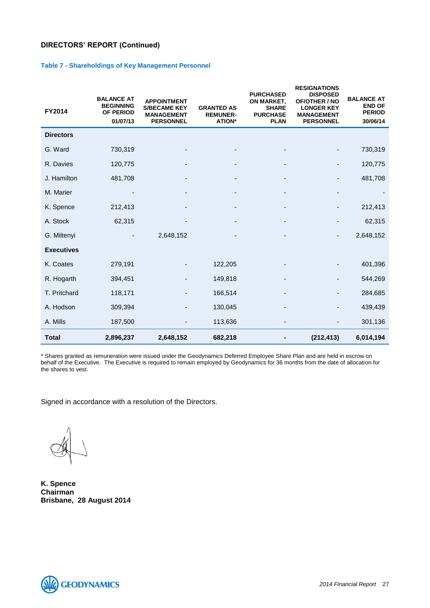#### **Table 7 - Shareholdings of Key Management Personnel**

| FY2014            | <b>BALANCE AT</b><br><b>BEGINNING</b><br>OF PERIOD<br>01/07/13 | <b>APPOINTMENT</b><br><b>S/BECAME KEY</b><br><b>MANAGEMENT</b><br><b>PERSONNEL</b> | <b>GRANTED AS</b><br><b>REMUNER-</b><br><b>ATION*</b> | <b>PURCHASED</b><br>ON MARKET,<br><b>SHARE</b><br><b>PURCHASE</b><br><b>PLAN</b> | <b>RESIGNATIONS</b><br><b>DISPOSED</b><br>OF/OTHER / NO<br><b>LONGER KEY</b><br><b>MANAGEMENT</b><br><b>PERSONNEL</b> | <b>BALANCE AT</b><br><b>END OF</b><br><b>PERIOD</b><br>30/06/14 |
|-------------------|----------------------------------------------------------------|------------------------------------------------------------------------------------|-------------------------------------------------------|----------------------------------------------------------------------------------|-----------------------------------------------------------------------------------------------------------------------|-----------------------------------------------------------------|
| <b>Directors</b>  |                                                                |                                                                                    |                                                       |                                                                                  |                                                                                                                       |                                                                 |
| G. Ward           | 730,319                                                        |                                                                                    |                                                       |                                                                                  |                                                                                                                       | 730,319                                                         |
| R. Davies         | 120,775                                                        |                                                                                    |                                                       |                                                                                  |                                                                                                                       | 120,775                                                         |
| J. Hamilton       | 481,708                                                        |                                                                                    |                                                       |                                                                                  |                                                                                                                       | 481,708                                                         |
| M. Marier         |                                                                |                                                                                    |                                                       |                                                                                  |                                                                                                                       |                                                                 |
| K. Spence         | 212,413                                                        |                                                                                    |                                                       |                                                                                  |                                                                                                                       | 212,413                                                         |
| A. Stock          | 62,315                                                         |                                                                                    |                                                       |                                                                                  |                                                                                                                       | 62,315                                                          |
| G. Miltenyi       |                                                                | 2,648,152                                                                          |                                                       |                                                                                  |                                                                                                                       | 2,648,152                                                       |
| <b>Executives</b> |                                                                |                                                                                    |                                                       |                                                                                  |                                                                                                                       |                                                                 |
| K. Coates         | 279,191                                                        |                                                                                    | 122,205                                               |                                                                                  |                                                                                                                       | 401,396                                                         |
| R. Hogarth        | 394,451                                                        |                                                                                    | 149,818                                               |                                                                                  |                                                                                                                       | 544,269                                                         |
| T. Pritchard      | 118,171                                                        |                                                                                    | 166,514                                               |                                                                                  |                                                                                                                       | 284,685                                                         |
| A. Hodson         | 309,394                                                        |                                                                                    | 130,045                                               |                                                                                  |                                                                                                                       | 439,439                                                         |
| A. Mills          | 187,500                                                        |                                                                                    | 113,636                                               |                                                                                  |                                                                                                                       | 301,136                                                         |
| <b>Total</b>      | 2,896,237                                                      | 2,648,152                                                                          | 682,218                                               |                                                                                  | (212, 413)                                                                                                            | 6,014,194                                                       |

\* Shares granted as remuneration were issued under the Geodynamics Deferred Employee Share Plan and are held in escrow on behalf of the Executive. The Executive is required to remain employed by Geodynamics for 36 months from the date of allocation for the shares to vest.

Signed in accordance with a resolution of the Directors.

**K. Spence Chairman Brisbane, 28 August 2014**

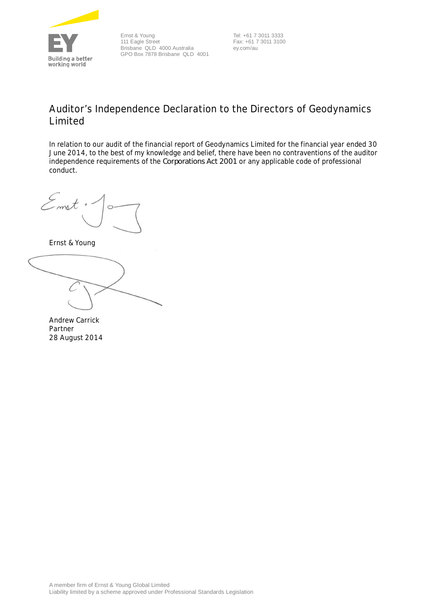<span id="page-27-0"></span>

Ernst & Young 111 Eagle Street Brisbane QLD 4000 Australia GPO Box 7878 Brisbane QLD 4001

 Tel: +61 7 3011 3333 Fax: +61 7 3011 3100 ey.com/au

# **Auditor's Independence Declaration to the Directors of Geodynamics Limited**

In relation to our audit of the financial report of Geodynamics Limited for the financial year ended 30 June 2014, to the best of my knowledge and belief, there have been no contraventions of the auditor independence requirements of the *Corporations Act 2001* or any applicable code of professional conduct.

Emst

Ernst & Young

Andrew Carrick Partner 28 August 2014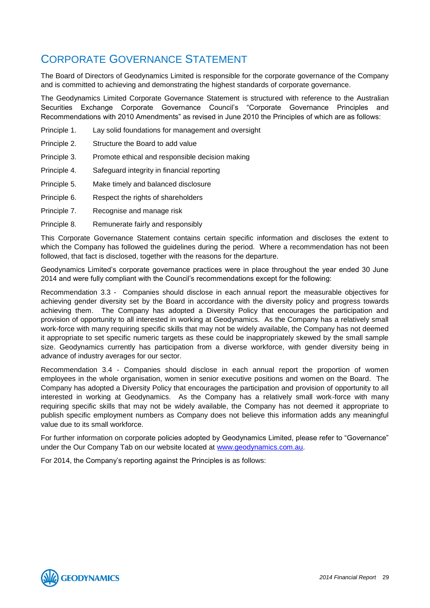# <span id="page-28-0"></span>CORPORATE GOVERNANCE STATEMENT

The Board of Directors of Geodynamics Limited is responsible for the corporate governance of the Company and is committed to achieving and demonstrating the highest standards of corporate governance.

The Geodynamics Limited Corporate Governance Statement is structured with reference to the Australian Securities Exchange Corporate Governance Council's "Corporate Governance Principles and Recommendations with 2010 Amendments" as revised in June 2010 the Principles of which are as follows:

- Principle 1. Lay solid foundations for management and oversight
- Principle 2. Structure the Board to add value
- Principle 3. Promote ethical and responsible decision making
- Principle 4. Safeguard integrity in financial reporting
- Principle 5. Make timely and balanced disclosure
- Principle 6. Respect the rights of shareholders
- Principle 7. Recognise and manage risk
- Principle 8. Remunerate fairly and responsibly

This Corporate Governance Statement contains certain specific information and discloses the extent to which the Company has followed the guidelines during the period. Where a recommendation has not been followed, that fact is disclosed, together with the reasons for the departure.

Geodynamics Limited's corporate governance practices were in place throughout the year ended 30 June 2014 and were fully compliant with the Council's recommendations except for the following:

Recommendation 3.3 - Companies should disclose in each annual report the measurable objectives for achieving gender diversity set by the Board in accordance with the diversity policy and progress towards achieving them. The Company has adopted a Diversity Policy that encourages the participation and provision of opportunity to all interested in working at Geodynamics. As the Company has a relatively small work-force with many requiring specific skills that may not be widely available, the Company has not deemed it appropriate to set specific numeric targets as these could be inappropriately skewed by the small sample size. Geodynamics currently has participation from a diverse workforce, with gender diversity being in advance of industry averages for our sector.

Recommendation 3.4 - Companies should disclose in each annual report the proportion of women employees in the whole organisation, women in senior executive positions and women on the Board. The Company has adopted a Diversity Policy that encourages the participation and provision of opportunity to all interested in working at Geodynamics. As the Company has a relatively small work-force with many requiring specific skills that may not be widely available, the Company has not deemed it appropriate to publish specific employment numbers as Company does not believe this information adds any meaningful value due to its small workforce.

For further information on corporate policies adopted by Geodynamics Limited, please refer to "Governance" under the Our Company Tab on our website located at [www.geodynamics.com.au.](http://www.geodynamics.com.au/)

For 2014, the Company's reporting against the Principles is as follows:

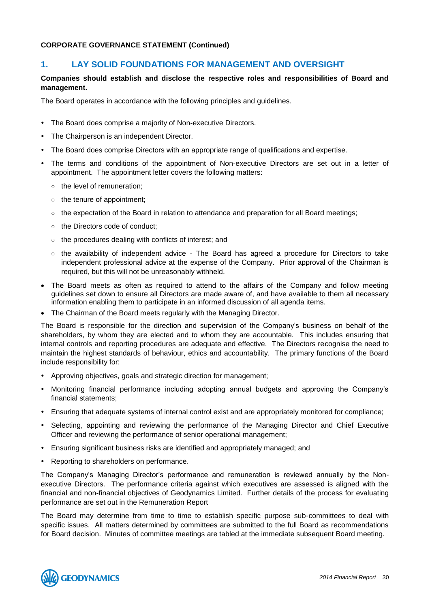# **1. LAY SOLID FOUNDATIONS FOR MANAGEMENT AND OVERSIGHT**

# **Companies should establish and disclose the respective roles and responsibilities of Board and management.**

The Board operates in accordance with the following principles and guidelines.

- The Board does comprise a majority of Non-executive Directors.
- The Chairperson is an independent Director.
- The Board does comprise Directors with an appropriate range of qualifications and expertise.
- The terms and conditions of the appointment of Non-executive Directors are set out in a letter of appointment. The appointment letter covers the following matters:
	- the level of remuneration;
	- the tenure of appointment;
	- the expectation of the Board in relation to attendance and preparation for all Board meetings;
	- the Directors code of conduct:
	- the procedures dealing with conflicts of interest; and
	- the availability of independent advice The Board has agreed a procedure for Directors to take independent professional advice at the expense of the Company. Prior approval of the Chairman is required, but this will not be unreasonably withheld.
- The Board meets as often as required to attend to the affairs of the Company and follow meeting guidelines set down to ensure all Directors are made aware of, and have available to them all necessary information enabling them to participate in an informed discussion of all agenda items.
- The Chairman of the Board meets regularly with the Managing Director.

The Board is responsible for the direction and supervision of the Company's business on behalf of the shareholders, by whom they are elected and to whom they are accountable. This includes ensuring that internal controls and reporting procedures are adequate and effective. The Directors recognise the need to maintain the highest standards of behaviour, ethics and accountability. The primary functions of the Board include responsibility for:

- Approving objectives, goals and strategic direction for management;
- Monitoring financial performance including adopting annual budgets and approving the Company's financial statements;
- Ensuring that adequate systems of internal control exist and are appropriately monitored for compliance;
- Selecting, appointing and reviewing the performance of the Managing Director and Chief Executive Officer and reviewing the performance of senior operational management;
- Ensuring significant business risks are identified and appropriately managed; and
- Reporting to shareholders on performance.

The Company's Managing Director's performance and remuneration is reviewed annually by the Nonexecutive Directors. The performance criteria against which executives are assessed is aligned with the financial and non-financial objectives of Geodynamics Limited. Further details of the process for evaluating performance are set out in the Remuneration Report

The Board may determine from time to time to establish specific purpose sub-committees to deal with specific issues. All matters determined by committees are submitted to the full Board as recommendations for Board decision. Minutes of committee meetings are tabled at the immediate subsequent Board meeting.

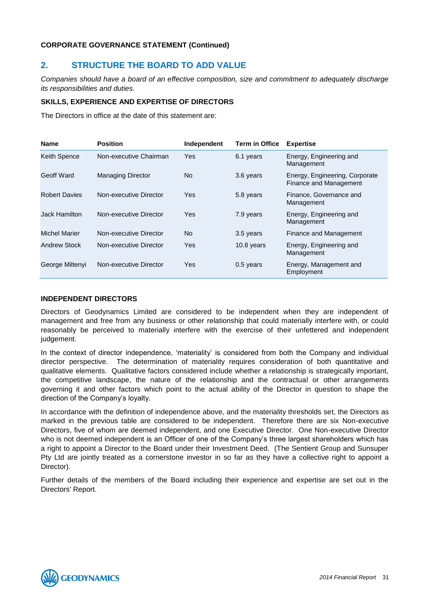# **2. STRUCTURE THE BOARD TO ADD VALUE**

*Companies should have a board of an effective composition, size and commitment to adequately discharge its responsibilities and duties.*

# **SKILLS, EXPERIENCE AND EXPERTISE OF DIRECTORS**

The Directors in office at the date of this statement are:

| <b>Name</b>          | <b>Position</b>          | Independent | <b>Term in Office</b> | <b>Expertise</b>                                         |
|----------------------|--------------------------|-------------|-----------------------|----------------------------------------------------------|
| <b>Keith Spence</b>  | Non-executive Chairman   | Yes         | 6.1 years             | Energy, Engineering and<br>Management                    |
| Geoff Ward           | <b>Managing Director</b> | No.         | 3.6 years             | Energy, Engineering, Corporate<br>Finance and Management |
| <b>Robert Davies</b> | Non-executive Director   | Yes         | 5.8 years             | Finance, Governance and<br>Management                    |
| Jack Hamilton        | Non-executive Director   | Yes         | 7.9 years             | Energy, Engineering and<br>Management                    |
| <b>Michel Marier</b> | Non-executive Director   | No.         | 3.5 years             | Finance and Management                                   |
| Andrew Stock         | Non-executive Director   | Yes         | 10.8 years            | Energy, Engineering and<br>Management                    |
| George Miltenyi      | Non-executive Director   | Yes         | $0.5$ years           | Energy, Management and<br>Employment                     |

#### **INDEPENDENT DIRECTORS**

Directors of Geodynamics Limited are considered to be independent when they are independent of management and free from any business or other relationship that could materially interfere with, or could reasonably be perceived to materially interfere with the exercise of their unfettered and independent judgement.

In the context of director independence, 'materiality' is considered from both the Company and individual director perspective. The determination of materiality requires consideration of both quantitative and qualitative elements. Qualitative factors considered include whether a relationship is strategically important, the competitive landscape, the nature of the relationship and the contractual or other arrangements governing it and other factors which point to the actual ability of the Director in question to shape the direction of the Company's loyalty.

In accordance with the definition of independence above, and the materiality thresholds set, the Directors as marked in the previous table are considered to be independent. Therefore there are six Non-executive Directors, five of whom are deemed independent, and one Executive Director. One Non-executive Director who is not deemed independent is an Officer of one of the Company's three largest shareholders which has a right to appoint a Director to the Board under their Investment Deed. (The Sentient Group and Sunsuper Pty Ltd are jointly treated as a cornerstone investor in so far as they have a collective right to appoint a Director).

Further details of the members of the Board including their experience and expertise are set out in the Directors' Report.

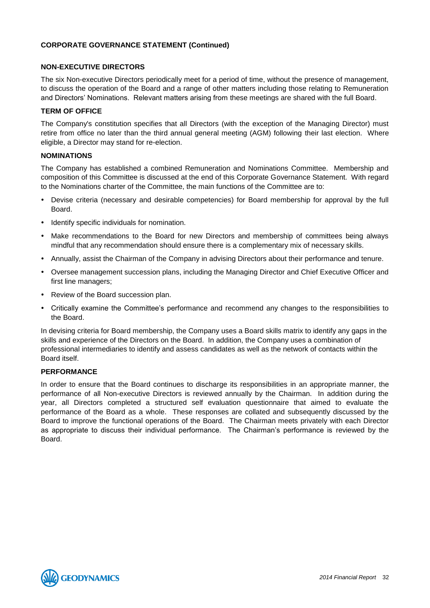#### **NON-EXECUTIVE DIRECTORS**

The six Non-executive Directors periodically meet for a period of time, without the presence of management, to discuss the operation of the Board and a range of other matters including those relating to Remuneration and Directors' Nominations. Relevant matters arising from these meetings are shared with the full Board.

# **TERM OF OFFICE**

The Company's constitution specifies that all Directors (with the exception of the Managing Director) must retire from office no later than the third annual general meeting (AGM) following their last election. Where eligible, a Director may stand for re-election.

# **NOMINATIONS**

The Company has established a combined Remuneration and Nominations Committee. Membership and composition of this Committee is discussed at the end of this Corporate Governance Statement. With regard to the Nominations charter of the Committee, the main functions of the Committee are to:

- Devise criteria (necessary and desirable competencies) for Board membership for approval by the full Board.
- Identify specific individuals for nomination.
- Make recommendations to the Board for new Directors and membership of committees being always mindful that any recommendation should ensure there is a complementary mix of necessary skills.
- Annually, assist the Chairman of the Company in advising Directors about their performance and tenure.
- Oversee management succession plans, including the Managing Director and Chief Executive Officer and first line managers;
- Review of the Board succession plan.
- Critically examine the Committee's performance and recommend any changes to the responsibilities to the Board.

In devising criteria for Board membership, the Company uses a Board skills matrix to identify any gaps in the skills and experience of the Directors on the Board. In addition, the Company uses a combination of professional intermediaries to identify and assess candidates as well as the network of contacts within the Board itself.

#### **PERFORMANCE**

In order to ensure that the Board continues to discharge its responsibilities in an appropriate manner, the performance of all Non-executive Directors is reviewed annually by the Chairman. In addition during the year, all Directors completed a structured self evaluation questionnaire that aimed to evaluate the performance of the Board as a whole. These responses are collated and subsequently discussed by the Board to improve the functional operations of the Board. The Chairman meets privately with each Director as appropriate to discuss their individual performance. The Chairman's performance is reviewed by the Board.

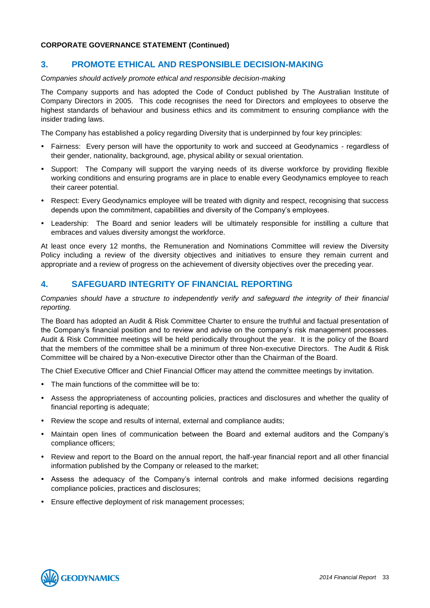# **3. PROMOTE ETHICAL AND RESPONSIBLE DECISION-MAKING**

#### *Companies should actively promote ethical and responsible decision-making*

The Company supports and has adopted the Code of Conduct published by The Australian Institute of Company Directors in 2005. This code recognises the need for Directors and employees to observe the highest standards of behaviour and business ethics and its commitment to ensuring compliance with the insider trading laws.

The Company has established a policy regarding Diversity that is underpinned by four key principles:

- Fairness: Every person will have the opportunity to work and succeed at Geodynamics regardless of their gender, nationality, background, age, physical ability or sexual orientation.
- Support: The Company will support the varying needs of its diverse workforce by providing flexible working conditions and ensuring programs are in place to enable every Geodynamics employee to reach their career potential.
- Respect: Every Geodynamics employee will be treated with dignity and respect, recognising that success depends upon the commitment, capabilities and diversity of the Company's employees.
- Leadership: The Board and senior leaders will be ultimately responsible for instilling a culture that embraces and values diversity amongst the workforce.

At least once every 12 months, the Remuneration and Nominations Committee will review the Diversity Policy including a review of the diversity objectives and initiatives to ensure they remain current and appropriate and a review of progress on the achievement of diversity objectives over the preceding year.

# **4. SAFEGUARD INTEGRITY OF FINANCIAL REPORTING**

# *Companies should have a structure to independently verify and safeguard the integrity of their financial reporting.*

The Board has adopted an Audit & Risk Committee Charter to ensure the truthful and factual presentation of the Company's financial position and to review and advise on the company's risk management processes. Audit & Risk Committee meetings will be held periodically throughout the year. It is the policy of the Board that the members of the committee shall be a minimum of three Non-executive Directors. The Audit & Risk Committee will be chaired by a Non-executive Director other than the Chairman of the Board.

The Chief Executive Officer and Chief Financial Officer may attend the committee meetings by invitation.

- The main functions of the committee will be to:
- Assess the appropriateness of accounting policies, practices and disclosures and whether the quality of financial reporting is adequate;
- Review the scope and results of internal, external and compliance audits;
- Maintain open lines of communication between the Board and external auditors and the Company's compliance officers;
- Review and report to the Board on the annual report, the half-year financial report and all other financial information published by the Company or released to the market;
- Assess the adequacy of the Company's internal controls and make informed decisions regarding compliance policies, practices and disclosures;
- Ensure effective deployment of risk management processes;

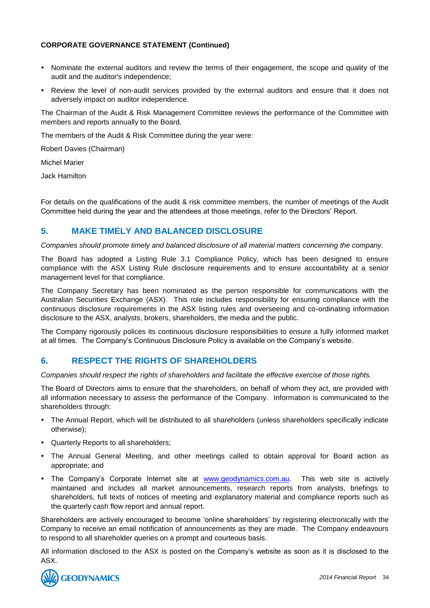- Nominate the external auditors and review the terms of their engagement, the scope and quality of the audit and the auditor's independence;
- Review the level of non-audit services provided by the external auditors and ensure that it does not adversely impact on auditor independence.

The Chairman of the Audit & Risk Management Committee reviews the performance of the Committee with members and reports annually to the Board.

The members of the Audit & Risk Committee during the year were:

Robert Davies (Chairman)

Michel Marier

Jack Hamilton

For details on the qualifications of the audit & risk committee members, the number of meetings of the Audit Committee held during the year and the attendees at those meetings, refer to the Directors' Report.

# **5. MAKE TIMELY AND BALANCED DISCLOSURE**

*Companies should promote timely and balanced disclosure of all material matters concerning the company.* 

The Board has adopted a Listing Rule 3.1 Compliance Policy, which has been designed to ensure compliance with the ASX Listing Rule disclosure requirements and to ensure accountability at a senior management level for that compliance.

The Company Secretary has been nominated as the person responsible for communications with the Australian Securities Exchange (ASX). This role includes responsibility for ensuring compliance with the continuous disclosure requirements in the ASX listing rules and overseeing and co-ordinating information disclosure to the ASX, analysts, brokers, shareholders, the media and the public.

The Company rigorously polices its continuous disclosure responsibilities to ensure a fully informed market at all times. The Company's Continuous Disclosure Policy is available on the Company's website.

# **6. RESPECT THE RIGHTS OF SHAREHOLDERS**

*Companies should respect the rights of shareholders and facilitate the effective exercise of those rights.*

The Board of Directors aims to ensure that the shareholders, on behalf of whom they act, are provided with all information necessary to assess the performance of the Company. Information is communicated to the shareholders through:

- The Annual Report, which will be distributed to all shareholders (unless shareholders specifically indicate otherwise);
- Quarterly Reports to all shareholders;
- The Annual General Meeting, and other meetings called to obtain approval for Board action as appropriate; and
- The Company's Corporate Internet site at [www.geodynamics.com.au.](http://www.geodynamics.com.au/) This web site is actively maintained and includes all market announcements, research reports from analysts, briefings to shareholders, full texts of notices of meeting and explanatory material and compliance reports such as the quarterly cash flow report and annual report.

Shareholders are actively encouraged to become 'online shareholders' by registering electronically with the Company to receive an email notification of announcements as they are made. The Company endeavours to respond to all shareholder queries on a prompt and courteous basis.

All information disclosed to the ASX is posted on the Company's website as soon as it is disclosed to the ASX.

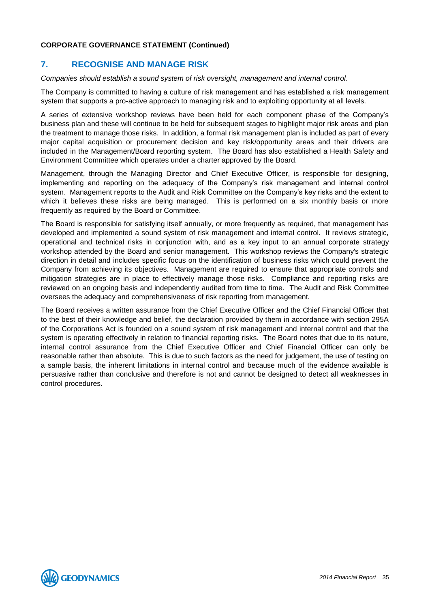# **7. RECOGNISE AND MANAGE RISK**

#### *Companies should establish a sound system of risk oversight, management and internal control.*

The Company is committed to having a culture of risk management and has established a risk management system that supports a pro-active approach to managing risk and to exploiting opportunity at all levels.

A series of extensive workshop reviews have been held for each component phase of the Company's business plan and these will continue to be held for subsequent stages to highlight major risk areas and plan the treatment to manage those risks. In addition, a formal risk management plan is included as part of every major capital acquisition or procurement decision and key risk/opportunity areas and their drivers are included in the Management/Board reporting system. The Board has also established a Health Safety and Environment Committee which operates under a charter approved by the Board.

Management, through the Managing Director and Chief Executive Officer, is responsible for designing, implementing and reporting on the adequacy of the Company's risk management and internal control system. Management reports to the Audit and Risk Committee on the Company's key risks and the extent to which it believes these risks are being managed. This is performed on a six monthly basis or more frequently as required by the Board or Committee.

The Board is responsible for satisfying itself annually, or more frequently as required, that management has developed and implemented a sound system of risk management and internal control. It reviews strategic, operational and technical risks in conjunction with, and as a key input to an annual corporate strategy workshop attended by the Board and senior management. This workshop reviews the Company's strategic direction in detail and includes specific focus on the identification of business risks which could prevent the Company from achieving its objectives. Management are required to ensure that appropriate controls and mitigation strategies are in place to effectively manage those risks. Compliance and reporting risks are reviewed on an ongoing basis and independently audited from time to time. The Audit and Risk Committee oversees the adequacy and comprehensiveness of risk reporting from management.

The Board receives a written assurance from the Chief Executive Officer and the Chief Financial Officer that to the best of their knowledge and belief, the declaration provided by them in accordance with section 295A of the Corporations Act is founded on a sound system of risk management and internal control and that the system is operating effectively in relation to financial reporting risks. The Board notes that due to its nature, internal control assurance from the Chief Executive Officer and Chief Financial Officer can only be reasonable rather than absolute. This is due to such factors as the need for judgement, the use of testing on a sample basis, the inherent limitations in internal control and because much of the evidence available is persuasive rather than conclusive and therefore is not and cannot be designed to detect all weaknesses in control procedures.

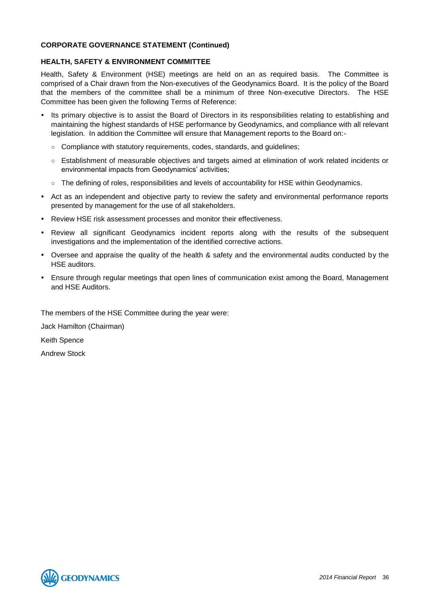#### **HEALTH, SAFETY & ENVIRONMENT COMMITTEE**

Health, Safety & Environment (HSE) meetings are held on an as required basis. The Committee is comprised of a Chair drawn from the Non-executives of the Geodynamics Board. It is the policy of the Board that the members of the committee shall be a minimum of three Non-executive Directors. The HSE Committee has been given the following Terms of Reference:

- Its primary objective is to assist the Board of Directors in its responsibilities relating to establishing and maintaining the highest standards of HSE performance by Geodynamics, and compliance with all relevant legislation. In addition the Committee will ensure that Management reports to the Board on:-
	- Compliance with statutory requirements, codes, standards, and guidelines;
	- Establishment of measurable objectives and targets aimed at elimination of work related incidents or environmental impacts from Geodynamics' activities;
	- The defining of roles, responsibilities and levels of accountability for HSE within Geodynamics.
- Act as an independent and objective party to review the safety and environmental performance reports presented by management for the use of all stakeholders.
- Review HSE risk assessment processes and monitor their effectiveness.
- Review all significant Geodynamics incident reports along with the results of the subsequent investigations and the implementation of the identified corrective actions.
- Oversee and appraise the quality of the health & safety and the environmental audits conducted by the HSE auditors.
- Ensure through regular meetings that open lines of communication exist among the Board, Management and HSE Auditors.

The members of the HSE Committee during the year were:

Jack Hamilton (Chairman)

Keith Spence

Andrew Stock

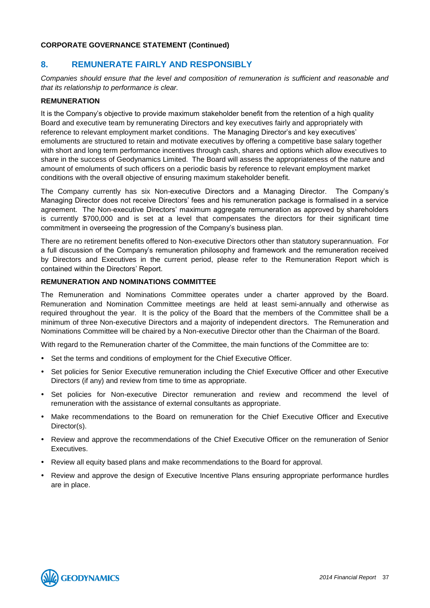### **CORPORATE GOVERNANCE STATEMENT (Continued)**

### **8. REMUNERATE FAIRLY AND RESPONSIBLY**

*Companies should ensure that the level and composition of remuneration is sufficient and reasonable and that its relationship to performance is clear.*

### **REMUNERATION**

It is the Company's objective to provide maximum stakeholder benefit from the retention of a high quality Board and executive team by remunerating Directors and key executives fairly and appropriately with reference to relevant employment market conditions. The Managing Director's and key executives' emoluments are structured to retain and motivate executives by offering a competitive base salary together with short and long term performance incentives through cash, shares and options which allow executives to share in the success of Geodynamics Limited. The Board will assess the appropriateness of the nature and amount of emoluments of such officers on a periodic basis by reference to relevant employment market conditions with the overall objective of ensuring maximum stakeholder benefit.

The Company currently has six Non-executive Directors and a Managing Director. The Company's Managing Director does not receive Directors' fees and his remuneration package is formalised in a service agreement. The Non-executive Directors' maximum aggregate remuneration as approved by shareholders is currently \$700,000 and is set at a level that compensates the directors for their significant time commitment in overseeing the progression of the Company's business plan.

There are no retirement benefits offered to Non-executive Directors other than statutory superannuation. For a full discussion of the Company's remuneration philosophy and framework and the remuneration received by Directors and Executives in the current period, please refer to the Remuneration Report which is contained within the Directors' Report.

### **REMUNERATION AND NOMINATIONS COMMITTEE**

The Remuneration and Nominations Committee operates under a charter approved by the Board. Remuneration and Nomination Committee meetings are held at least semi-annually and otherwise as required throughout the year. It is the policy of the Board that the members of the Committee shall be a minimum of three Non-executive Directors and a majority of independent directors. The Remuneration and Nominations Committee will be chaired by a Non-executive Director other than the Chairman of the Board.

With regard to the Remuneration charter of the Committee, the main functions of the Committee are to:

- Set the terms and conditions of employment for the Chief Executive Officer.
- Set policies for Senior Executive remuneration including the Chief Executive Officer and other Executive Directors (if any) and review from time to time as appropriate.
- Set policies for Non-executive Director remuneration and review and recommend the level of remuneration with the assistance of external consultants as appropriate.
- Make recommendations to the Board on remuneration for the Chief Executive Officer and Executive Director(s).
- Review and approve the recommendations of the Chief Executive Officer on the remuneration of Senior **Executives**
- Review all equity based plans and make recommendations to the Board for approval.
- Review and approve the design of Executive Incentive Plans ensuring appropriate performance hurdles are in place.

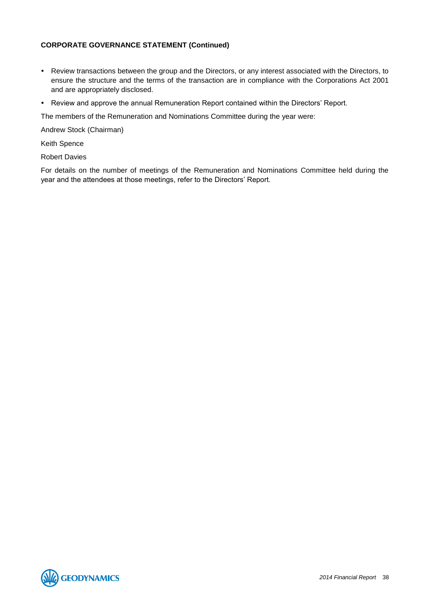### **CORPORATE GOVERNANCE STATEMENT (Continued)**

- Review transactions between the group and the Directors, or any interest associated with the Directors, to ensure the structure and the terms of the transaction are in compliance with the Corporations Act 2001 and are appropriately disclosed.
- Review and approve the annual Remuneration Report contained within the Directors' Report.

The members of the Remuneration and Nominations Committee during the year were:

Andrew Stock (Chairman)

Keith Spence

Robert Davies

For details on the number of meetings of the Remuneration and Nominations Committee held during the year and the attendees at those meetings, refer to the Directors' Report.

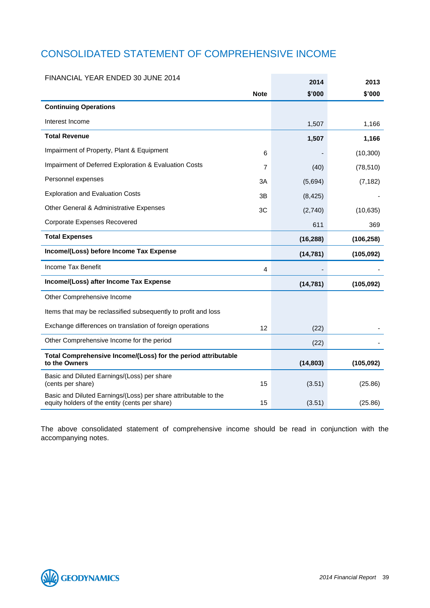# CONSOLIDATED STATEMENT OF COMPREHENSIVE INCOME

| FINANCIAL YEAR ENDED 30 JUNE 2014                                                                                 |             | 2014      | 2013       |
|-------------------------------------------------------------------------------------------------------------------|-------------|-----------|------------|
|                                                                                                                   | <b>Note</b> | \$'000    | \$'000     |
| <b>Continuing Operations</b>                                                                                      |             |           |            |
| Interest Income                                                                                                   |             | 1,507     | 1,166      |
| <b>Total Revenue</b>                                                                                              |             | 1,507     | 1,166      |
| Impairment of Property, Plant & Equipment                                                                         | 6           |           | (10, 300)  |
| Impairment of Deferred Exploration & Evaluation Costs                                                             | 7           | (40)      | (78, 510)  |
| Personnel expenses                                                                                                | 3A          | (5,694)   | (7, 182)   |
| <b>Exploration and Evaluation Costs</b>                                                                           | 3B          | (8, 425)  |            |
| Other General & Administrative Expenses                                                                           | 3C          | (2,740)   | (10, 635)  |
| Corporate Expenses Recovered                                                                                      |             | 611       | 369        |
| <b>Total Expenses</b>                                                                                             |             | (16, 288) | (106, 258) |
| Income/(Loss) before Income Tax Expense                                                                           |             | (14, 781) | (105, 092) |
| Income Tax Benefit                                                                                                | 4           |           |            |
| Income/(Loss) after Income Tax Expense                                                                            |             | (14, 781) | (105,092)  |
| Other Comprehensive Income                                                                                        |             |           |            |
| Items that may be reclassified subsequently to profit and loss                                                    |             |           |            |
| Exchange differences on translation of foreign operations                                                         | 12          | (22)      |            |
| Other Comprehensive Income for the period                                                                         |             | (22)      |            |
| Total Comprehensive Income/(Loss) for the period attributable<br>to the Owners                                    |             | (14, 803) | (105, 092) |
| Basic and Diluted Earnings/(Loss) per share<br>(cents per share)                                                  | 15          | (3.51)    | (25.86)    |
| Basic and Diluted Earnings/(Loss) per share attributable to the<br>equity holders of the entity (cents per share) | 15          | (3.51)    | (25.86)    |

The above consolidated statement of comprehensive income should be read in conjunction with the accompanying notes.

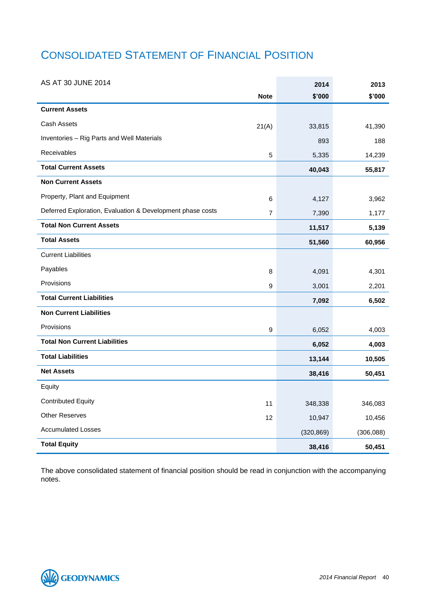# CONSOLIDATED STATEMENT OF FINANCIAL POSITION

| AS AT 30 JUNE 2014                                         |                | 2014       | 2013       |
|------------------------------------------------------------|----------------|------------|------------|
|                                                            | <b>Note</b>    | \$'000     | \$'000     |
| <b>Current Assets</b>                                      |                |            |            |
| Cash Assets                                                | 21(A)          | 33,815     | 41,390     |
| Inventories - Rig Parts and Well Materials                 |                | 893        | 188        |
| Receivables                                                | 5              | 5,335      | 14,239     |
| <b>Total Current Assets</b>                                |                | 40,043     | 55,817     |
| <b>Non Current Assets</b>                                  |                |            |            |
| Property, Plant and Equipment                              | 6              | 4,127      | 3,962      |
| Deferred Exploration, Evaluation & Development phase costs | $\overline{7}$ | 7,390      | 1,177      |
| <b>Total Non Current Assets</b>                            |                | 11,517     | 5,139      |
| <b>Total Assets</b>                                        |                | 51,560     | 60,956     |
| <b>Current Liabilities</b>                                 |                |            |            |
| Payables                                                   | 8              | 4,091      | 4,301      |
| Provisions                                                 | 9              | 3,001      | 2,201      |
| <b>Total Current Liabilities</b>                           |                | 7,092      | 6,502      |
| <b>Non Current Liabilities</b>                             |                |            |            |
| Provisions                                                 | 9              | 6,052      | 4,003      |
| <b>Total Non Current Liabilities</b>                       |                | 6,052      | 4,003      |
| <b>Total Liabilities</b>                                   |                | 13,144     | 10,505     |
| <b>Net Assets</b>                                          |                | 38,416     | 50,451     |
| Equity                                                     |                |            |            |
| <b>Contributed Equity</b>                                  | 11             | 348,338    | 346,083    |
| <b>Other Reserves</b>                                      | 12             | 10,947     | 10,456     |
| <b>Accumulated Losses</b>                                  |                | (320, 869) | (306, 088) |
| <b>Total Equity</b>                                        |                | 38,416     | 50,451     |

The above consolidated statement of financial position should be read in conjunction with the accompanying notes.

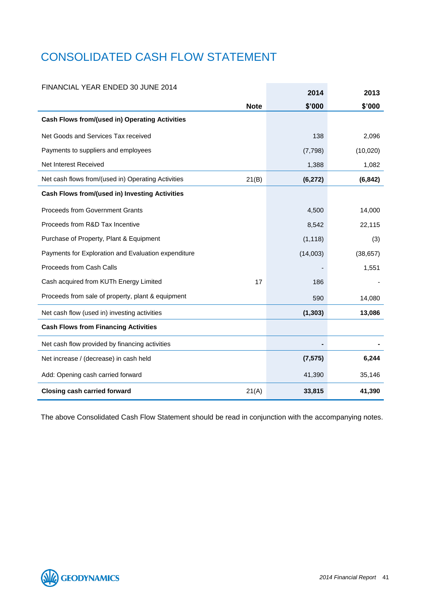# CONSOLIDATED CASH FLOW STATEMENT

### FINANCIAL YEAR ENDED 30 JUNE 2014

| FINANCIAL YEAR ENDED 30 JUNE 2014                           | 2014     | 2013      |
|-------------------------------------------------------------|----------|-----------|
| <b>Note</b>                                                 | \$'000   | \$'000    |
| <b>Cash Flows from/(used in) Operating Activities</b>       |          |           |
| Net Goods and Services Tax received                         | 138      | 2,096     |
| Payments to suppliers and employees                         | (7, 798) | (10,020)  |
| Net Interest Received                                       | 1,388    | 1,082     |
| Net cash flows from/(used in) Operating Activities<br>21(B) | (6, 272) | (6, 842)  |
| <b>Cash Flows from/(used in) Investing Activities</b>       |          |           |
| <b>Proceeds from Government Grants</b>                      | 4,500    | 14,000    |
| Proceeds from R&D Tax Incentive                             | 8,542    | 22,115    |
| Purchase of Property, Plant & Equipment                     | (1, 118) | (3)       |
| Payments for Exploration and Evaluation expenditure         | (14,003) | (38, 657) |
| Proceeds from Cash Calls                                    |          | 1,551     |
| Cash acquired from KUTh Energy Limited<br>17                | 186      |           |
| Proceeds from sale of property, plant & equipment           | 590      | 14,080    |
| Net cash flow (used in) investing activities                | (1, 303) | 13,086    |
| <b>Cash Flows from Financing Activities</b>                 |          |           |
| Net cash flow provided by financing activities              |          |           |
| Net increase / (decrease) in cash held                      | (7, 575) | 6,244     |
| Add: Opening cash carried forward                           | 41,390   | 35,146    |
| <b>Closing cash carried forward</b><br>21(A)                | 33,815   | 41,390    |

The above Consolidated Cash Flow Statement should be read in conjunction with the accompanying notes.

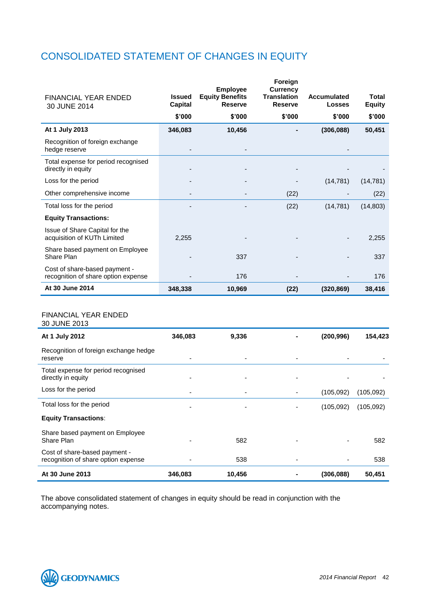## CONSOLIDATED STATEMENT OF CHANGES IN EQUITY

| <b>FINANCIAL YEAR ENDED</b><br>30 JUNE 2014                          | <b>Issued</b><br>Capital | <b>Employee</b><br><b>Equity Benefits</b><br><b>Reserve</b> | Foreign<br><b>Currency</b><br><b>Translation</b><br><b>Reserve</b> | Accumulated<br><b>Losses</b> | Total<br><b>Equity</b> |
|----------------------------------------------------------------------|--------------------------|-------------------------------------------------------------|--------------------------------------------------------------------|------------------------------|------------------------|
|                                                                      | \$'000                   | \$'000                                                      | \$'000                                                             | \$'000                       | \$'000                 |
| At 1 July 2013                                                       | 346,083                  | 10,456                                                      |                                                                    | (306, 088)                   | 50,451                 |
| Recognition of foreign exchange<br>hedge reserve                     |                          |                                                             |                                                                    |                              |                        |
| Total expense for period recognised<br>directly in equity            |                          |                                                             |                                                                    |                              |                        |
| Loss for the period                                                  |                          |                                                             |                                                                    | (14, 781)                    | (14, 781)              |
| Other comprehensive income                                           |                          |                                                             | (22)                                                               |                              | (22)                   |
| Total loss for the period                                            |                          |                                                             | (22)                                                               | (14, 781)                    | (14, 803)              |
| <b>Equity Transactions:</b>                                          |                          |                                                             |                                                                    |                              |                        |
| Issue of Share Capital for the<br>acquisition of KUTh Limited        | 2,255                    |                                                             |                                                                    |                              | 2,255                  |
| Share based payment on Employee<br>Share Plan                        |                          | 337                                                         |                                                                    |                              | 337                    |
| Cost of share-based payment -<br>recognition of share option expense |                          | 176                                                         |                                                                    |                              | 176                    |
| At 30 June 2014                                                      | 348,338                  | 10,969                                                      | (22)                                                               | (320, 869)                   | 38,416                 |

### FINANCIAL YEAR ENDED

30 JUNE 2013

| At 1 July 2012                                                       | 346,083                  | 9,336  | (200, 996) | 154,423   |
|----------------------------------------------------------------------|--------------------------|--------|------------|-----------|
| Recognition of foreign exchange hedge<br>reserve                     |                          |        |            |           |
| Total expense for period recognised<br>directly in equity            |                          |        |            |           |
| Loss for the period                                                  | $\overline{\phantom{0}}$ |        | (105,092)  | (105,092) |
| Total loss for the period                                            |                          |        | (105,092)  | (105,092) |
| <b>Equity Transactions:</b>                                          |                          |        |            |           |
| Share based payment on Employee<br>Share Plan                        |                          | 582    |            | 582       |
| Cost of share-based payment -<br>recognition of share option expense |                          | 538    |            | 538       |
| At 30 June 2013                                                      | 346,083                  | 10,456 | (306, 088) | 50,451    |

The above consolidated statement of changes in equity should be read in conjunction with the accompanying notes.

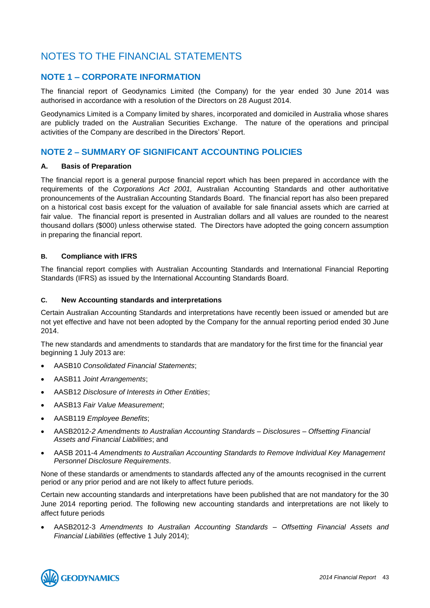### NOTES TO THE FINANCIAL STATEMENTS

### **NOTE 1 – CORPORATE INFORMATION**

The financial report of Geodynamics Limited (the Company) for the year ended 30 June 2014 was authorised in accordance with a resolution of the Directors on 28 August 2014.

Geodynamics Limited is a Company limited by shares, incorporated and domiciled in Australia whose shares are publicly traded on the Australian Securities Exchange. The nature of the operations and principal activities of the Company are described in the Directors' Report.

### **NOTE 2 – SUMMARY OF SIGNIFICANT ACCOUNTING POLICIES**

### **A. Basis of Preparation**

The financial report is a general purpose financial report which has been prepared in accordance with the requirements of the *Corporations Act 2001,* Australian Accounting Standards and other authoritative pronouncements of the Australian Accounting Standards Board. The financial report has also been prepared on a historical cost basis except for the valuation of available for sale financial assets which are carried at fair value. The financial report is presented in Australian dollars and all values are rounded to the nearest thousand dollars (\$000) unless otherwise stated. The Directors have adopted the going concern assumption in preparing the financial report.

### **B. Compliance with IFRS**

The financial report complies with Australian Accounting Standards and International Financial Reporting Standards (IFRS) as issued by the International Accounting Standards Board.

### **C. New Accounting standards and interpretations**

Certain Australian Accounting Standards and interpretations have recently been issued or amended but are not yet effective and have not been adopted by the Company for the annual reporting period ended 30 June 2014.

The new standards and amendments to standards that are mandatory for the first time for the financial year beginning 1 July 2013 are:

- AASB10 *Consolidated Financial Statements*;
- AASB11 *Joint Arrangements*;
- AASB12 *Disclosure of Interests in Other Entities*;
- AASB13 *Fair Value Measurement*;
- AASB119 *Employee Benefits*;
- AASB2012-*2 Amendments to Australian Accounting Standards – Disclosures – Offsetting Financial Assets and Financial Liabilities*; and
- AASB 2011-4 *Amendments to Australian Accounting Standards to Remove Individual Key Management Personnel Disclosure Requirements*.

None of these standards or amendments to standards affected any of the amounts recognised in the current period or any prior period and are not likely to affect future periods.

Certain new accounting standards and interpretations have been published that are not mandatory for the 30 June 2014 reporting period. The following new accounting standards and interpretations are not likely to affect future periods

 AASB2012-3 *Amendments to Australian Accounting Standards – Offsetting Financial Assets and Financial Liabilities* (effective 1 July 2014);

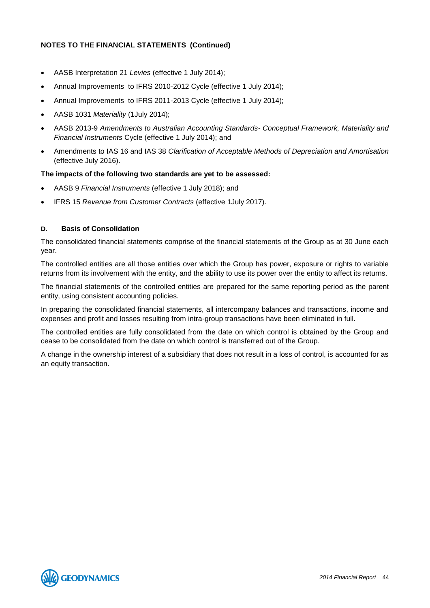- AASB Interpretation 21 *Levies* (effective 1 July 2014);
- Annual Improvements to IFRS 2010-2012 Cycle (effective 1 July 2014);
- Annual Improvements to IFRS 2011-2013 Cycle (effective 1 July 2014);
- AASB 1031 *Materiality* (1July 2014);
- AASB 2013-9 *Amendments to Australian Accounting Standards- Conceptual Framework, Materiality and Financial Instruments* Cycle (effective 1 July 2014); and
- Amendments to IAS 16 and IAS 38 *Clarification of Acceptable Methods of Depreciation and Amortisation*  (effective July 2016).

### **The impacts of the following two standards are yet to be assessed:**

- AASB 9 *Financial Instruments* (effective 1 July 2018); and
- IFRS 15 *Revenue from Customer Contracts* (effective 1July 2017).

### **D. Basis of Consolidation**

The consolidated financial statements comprise of the financial statements of the Group as at 30 June each year.

The controlled entities are all those entities over which the Group has power, exposure or rights to variable returns from its involvement with the entity, and the ability to use its power over the entity to affect its returns.

The financial statements of the controlled entities are prepared for the same reporting period as the parent entity, using consistent accounting policies.

In preparing the consolidated financial statements, all intercompany balances and transactions, income and expenses and profit and losses resulting from intra-group transactions have been eliminated in full.

The controlled entities are fully consolidated from the date on which control is obtained by the Group and cease to be consolidated from the date on which control is transferred out of the Group.

A change in the ownership interest of a subsidiary that does not result in a loss of control, is accounted for as an equity transaction.

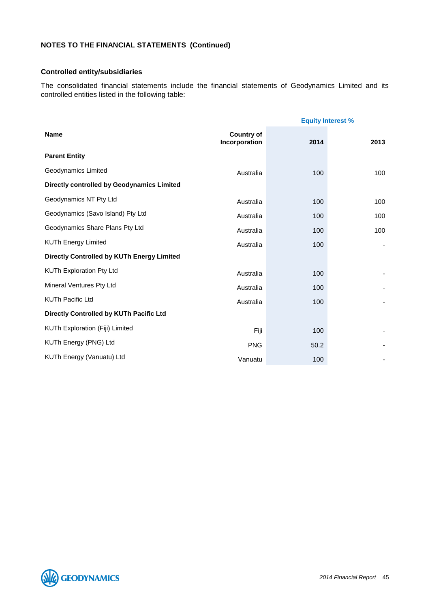### **Controlled entity/subsidiaries**

The consolidated financial statements include the financial statements of Geodynamics Limited and its controlled entities listed in the following table:

|                                            | <b>Equity Interest %</b>           |      |      |
|--------------------------------------------|------------------------------------|------|------|
| <b>Name</b>                                | <b>Country of</b><br>Incorporation | 2014 | 2013 |
| <b>Parent Entity</b>                       |                                    |      |      |
| Geodynamics Limited                        | Australia                          | 100  | 100  |
| Directly controlled by Geodynamics Limited |                                    |      |      |
| Geodynamics NT Pty Ltd                     | Australia                          | 100  | 100  |
| Geodynamics (Savo Island) Pty Ltd          | Australia                          | 100  | 100  |
| Geodynamics Share Plans Pty Ltd            | Australia                          | 100  | 100  |
| <b>KUTh Energy Limited</b>                 | Australia                          | 100  |      |
| Directly Controlled by KUTh Energy Limited |                                    |      |      |
| KUTh Exploration Pty Ltd                   | Australia                          | 100  |      |
| Mineral Ventures Pty Ltd                   | Australia                          | 100  |      |
| <b>KUTh Pacific Ltd</b>                    | Australia                          | 100  |      |
| Directly Controlled by KUTh Pacific Ltd    |                                    |      |      |
| KUTh Exploration (Fiji) Limited            | Fiji                               | 100  |      |
| KUTh Energy (PNG) Ltd                      | <b>PNG</b>                         | 50.2 |      |
| KUTh Energy (Vanuatu) Ltd                  | Vanuatu                            | 100  |      |

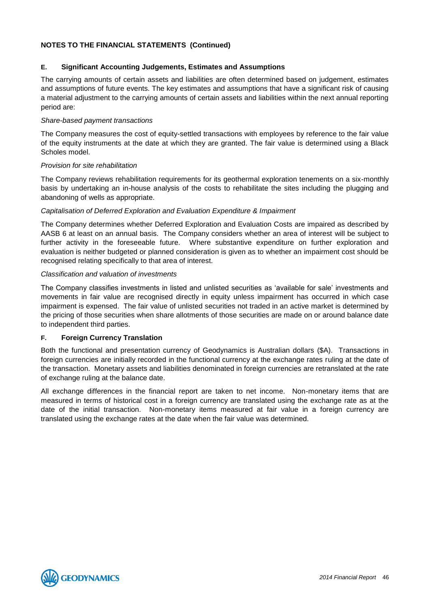### **E. Significant Accounting Judgements, Estimates and Assumptions**

The carrying amounts of certain assets and liabilities are often determined based on judgement, estimates and assumptions of future events. The key estimates and assumptions that have a significant risk of causing a material adjustment to the carrying amounts of certain assets and liabilities within the next annual reporting period are:

### *Share-based payment transactions*

The Company measures the cost of equity-settled transactions with employees by reference to the fair value of the equity instruments at the date at which they are granted. The fair value is determined using a Black Scholes model.

### *Provision for site rehabilitation*

The Company reviews rehabilitation requirements for its geothermal exploration tenements on a six-monthly basis by undertaking an in-house analysis of the costs to rehabilitate the sites including the plugging and abandoning of wells as appropriate.

### *Capitalisation of Deferred Exploration and Evaluation Expenditure & Impairment*

The Company determines whether Deferred Exploration and Evaluation Costs are impaired as described by AASB 6 at least on an annual basis. The Company considers whether an area of interest will be subject to further activity in the foreseeable future. Where substantive expenditure on further exploration and evaluation is neither budgeted or planned consideration is given as to whether an impairment cost should be recognised relating specifically to that area of interest.

### *Classification and valuation of investments*

The Company classifies investments in listed and unlisted securities as 'available for sale' investments and movements in fair value are recognised directly in equity unless impairment has occurred in which case impairment is expensed. The fair value of unlisted securities not traded in an active market is determined by the pricing of those securities when share allotments of those securities are made on or around balance date to independent third parties.

### **F. Foreign Currency Translation**

Both the functional and presentation currency of Geodynamics is Australian dollars (\$A). Transactions in foreign currencies are initially recorded in the functional currency at the exchange rates ruling at the date of the transaction. Monetary assets and liabilities denominated in foreign currencies are retranslated at the rate of exchange ruling at the balance date.

All exchange differences in the financial report are taken to net income. Non-monetary items that are measured in terms of historical cost in a foreign currency are translated using the exchange rate as at the date of the initial transaction. Non-monetary items measured at fair value in a foreign currency are translated using the exchange rates at the date when the fair value was determined.

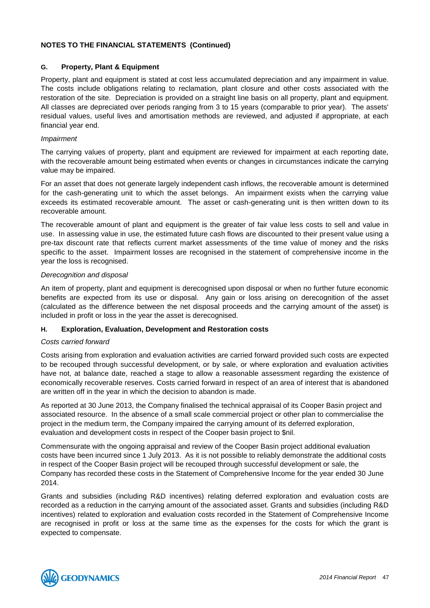### **G. Property, Plant & Equipment**

Property, plant and equipment is stated at cost less accumulated depreciation and any impairment in value. The costs include obligations relating to reclamation, plant closure and other costs associated with the restoration of the site. Depreciation is provided on a straight line basis on all property, plant and equipment. All classes are depreciated over periods ranging from 3 to 15 years (comparable to prior year). The assets' residual values, useful lives and amortisation methods are reviewed, and adjusted if appropriate, at each financial year end.

### *Impairment*

The carrying values of property, plant and equipment are reviewed for impairment at each reporting date, with the recoverable amount being estimated when events or changes in circumstances indicate the carrying value may be impaired.

For an asset that does not generate largely independent cash inflows, the recoverable amount is determined for the cash-generating unit to which the asset belongs. An impairment exists when the carrying value exceeds its estimated recoverable amount. The asset or cash-generating unit is then written down to its recoverable amount.

The recoverable amount of plant and equipment is the greater of fair value less costs to sell and value in use. In assessing value in use, the estimated future cash flows are discounted to their present value using a pre-tax discount rate that reflects current market assessments of the time value of money and the risks specific to the asset. Impairment losses are recognised in the statement of comprehensive income in the year the loss is recognised.

### *Derecognition and disposal*

An item of property, plant and equipment is derecognised upon disposal or when no further future economic benefits are expected from its use or disposal. Any gain or loss arising on derecognition of the asset (calculated as the difference between the net disposal proceeds and the carrying amount of the asset) is included in profit or loss in the year the asset is derecognised.

### **H. Exploration, Evaluation, Development and Restoration costs**

### *Costs carried forward*

Costs arising from exploration and evaluation activities are carried forward provided such costs are expected to be recouped through successful development, or by sale, or where exploration and evaluation activities have not, at balance date, reached a stage to allow a reasonable assessment regarding the existence of economically recoverable reserves. Costs carried forward in respect of an area of interest that is abandoned are written off in the year in which the decision to abandon is made.

As reported at 30 June 2013, the Company finalised the technical appraisal of its Cooper Basin project and associated resource. In the absence of a small scale commercial project or other plan to commercialise the project in the medium term, the Company impaired the carrying amount of its deferred exploration, evaluation and development costs in respect of the Cooper basin project to \$nil.

Commensurate with the ongoing appraisal and review of the Cooper Basin project additional evaluation costs have been incurred since 1 July 2013. As it is not possible to reliably demonstrate the additional costs in respect of the Cooper Basin project will be recouped through successful development or sale, the Company has recorded these costs in the Statement of Comprehensive Income for the year ended 30 June 2014.

Grants and subsidies (including R&D incentives) relating deferred exploration and evaluation costs are recorded as a reduction in the carrying amount of the associated asset. Grants and subsidies (including R&D incentives) related to exploration and evaluation costs recorded in the Statement of Comprehensive Income are recognised in profit or loss at the same time as the expenses for the costs for which the grant is expected to compensate.

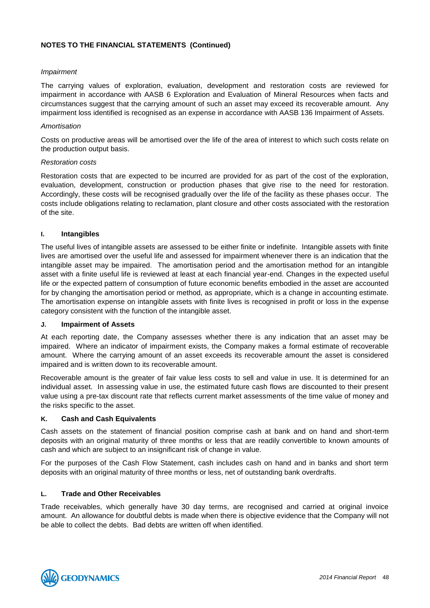### *Impairment*

The carrying values of exploration, evaluation, development and restoration costs are reviewed for impairment in accordance with AASB 6 Exploration and Evaluation of Mineral Resources when facts and circumstances suggest that the carrying amount of such an asset may exceed its recoverable amount. Any impairment loss identified is recognised as an expense in accordance with AASB 136 Impairment of Assets.

### *Amortisation*

Costs on productive areas will be amortised over the life of the area of interest to which such costs relate on the production output basis.

### *Restoration costs*

Restoration costs that are expected to be incurred are provided for as part of the cost of the exploration, evaluation, development, construction or production phases that give rise to the need for restoration. Accordingly, these costs will be recognised gradually over the life of the facility as these phases occur. The costs include obligations relating to reclamation, plant closure and other costs associated with the restoration of the site.

### **I. Intangibles**

The useful lives of intangible assets are assessed to be either finite or indefinite. Intangible assets with finite lives are amortised over the useful life and assessed for impairment whenever there is an indication that the intangible asset may be impaired. The amortisation period and the amortisation method for an intangible asset with a finite useful life is reviewed at least at each financial year-end. Changes in the expected useful life or the expected pattern of consumption of future economic benefits embodied in the asset are accounted for by changing the amortisation period or method, as appropriate, which is a change in accounting estimate. The amortisation expense on intangible assets with finite lives is recognised in profit or loss in the expense category consistent with the function of the intangible asset.

### **J. Impairment of Assets**

At each reporting date, the Company assesses whether there is any indication that an asset may be impaired. Where an indicator of impairment exists, the Company makes a formal estimate of recoverable amount. Where the carrying amount of an asset exceeds its recoverable amount the asset is considered impaired and is written down to its recoverable amount.

Recoverable amount is the greater of fair value less costs to sell and value in use. It is determined for an individual asset. In assessing value in use, the estimated future cash flows are discounted to their present value using a pre-tax discount rate that reflects current market assessments of the time value of money and the risks specific to the asset.

### **K. Cash and Cash Equivalents**

Cash assets on the statement of financial position comprise cash at bank and on hand and short-term deposits with an original maturity of three months or less that are readily convertible to known amounts of cash and which are subject to an insignificant risk of change in value.

For the purposes of the Cash Flow Statement, cash includes cash on hand and in banks and short term deposits with an original maturity of three months or less, net of outstanding bank overdrafts.

### **L. Trade and Other Receivables**

Trade receivables, which generally have 30 day terms, are recognised and carried at original invoice amount. An allowance for doubtful debts is made when there is objective evidence that the Company will not be able to collect the debts. Bad debts are written off when identified.

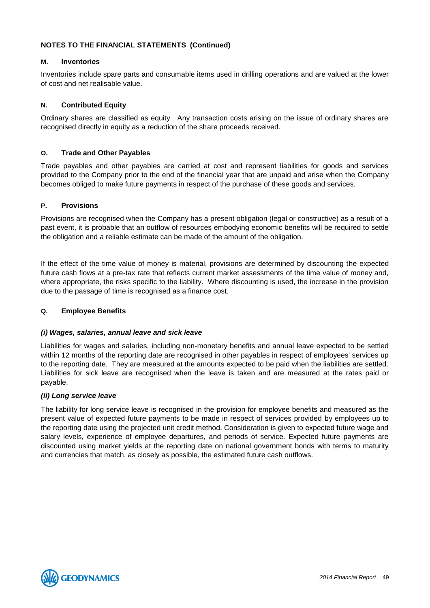### **M. Inventories**

Inventories include spare parts and consumable items used in drilling operations and are valued at the lower of cost and net realisable value.

### **N. Contributed Equity**

Ordinary shares are classified as equity. Any transaction costs arising on the issue of ordinary shares are recognised directly in equity as a reduction of the share proceeds received.

### **O. Trade and Other Payables**

Trade payables and other payables are carried at cost and represent liabilities for goods and services provided to the Company prior to the end of the financial year that are unpaid and arise when the Company becomes obliged to make future payments in respect of the purchase of these goods and services.

### **P. Provisions**

Provisions are recognised when the Company has a present obligation (legal or constructive) as a result of a past event, it is probable that an outflow of resources embodying economic benefits will be required to settle the obligation and a reliable estimate can be made of the amount of the obligation.

If the effect of the time value of money is material, provisions are determined by discounting the expected future cash flows at a pre-tax rate that reflects current market assessments of the time value of money and, where appropriate, the risks specific to the liability. Where discounting is used, the increase in the provision due to the passage of time is recognised as a finance cost.

### **Q. Employee Benefits**

### *(i) Wages, salaries, annual leave and sick leave*

Liabilities for wages and salaries, including non-monetary benefits and annual leave expected to be settled within 12 months of the reporting date are recognised in other payables in respect of employees' services up to the reporting date. They are measured at the amounts expected to be paid when the liabilities are settled. Liabilities for sick leave are recognised when the leave is taken and are measured at the rates paid or payable.

### *(ii) Long service leave*

The liability for long service leave is recognised in the provision for employee benefits and measured as the present value of expected future payments to be made in respect of services provided by employees up to the reporting date using the projected unit credit method. Consideration is given to expected future wage and salary levels, experience of employee departures, and periods of service. Expected future payments are discounted using market yields at the reporting date on national government bonds with terms to maturity and currencies that match, as closely as possible, the estimated future cash outflows.

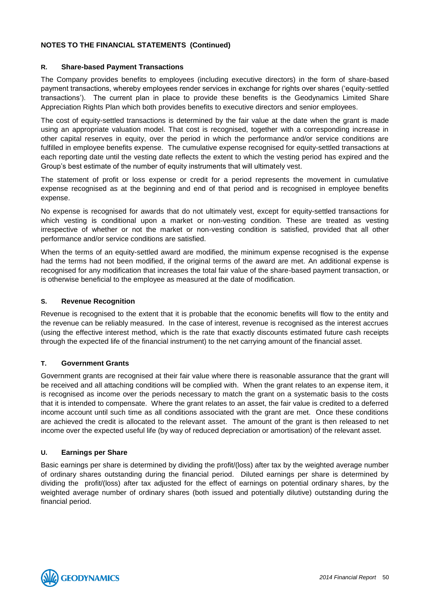### **R. Share-based Payment Transactions**

The Company provides benefits to employees (including executive directors) in the form of share-based payment transactions, whereby employees render services in exchange for rights over shares ('equity-settled transactions'). The current plan in place to provide these benefits is the Geodynamics Limited Share Appreciation Rights Plan which both provides benefits to executive directors and senior employees.

The cost of equity-settled transactions is determined by the fair value at the date when the grant is made using an appropriate valuation model. That cost is recognised, together with a corresponding increase in other capital reserves in equity, over the period in which the performance and/or service conditions are fulfilled in employee benefits expense. The cumulative expense recognised for equity-settled transactions at each reporting date until the vesting date reflects the extent to which the vesting period has expired and the Group's best estimate of the number of equity instruments that will ultimately vest.

The statement of profit or loss expense or credit for a period represents the movement in cumulative expense recognised as at the beginning and end of that period and is recognised in employee benefits expense.

No expense is recognised for awards that do not ultimately vest, except for equity-settled transactions for which vesting is conditional upon a market or non-vesting condition. These are treated as vesting irrespective of whether or not the market or non-vesting condition is satisfied, provided that all other performance and/or service conditions are satisfied.

When the terms of an equity-settled award are modified, the minimum expense recognised is the expense had the terms had not been modified, if the original terms of the award are met. An additional expense is recognised for any modification that increases the total fair value of the share-based payment transaction, or is otherwise beneficial to the employee as measured at the date of modification.

### **S. Revenue Recognition**

Revenue is recognised to the extent that it is probable that the economic benefits will flow to the entity and the revenue can be reliably measured. In the case of interest, revenue is recognised as the interest accrues (using the effective interest method, which is the rate that exactly discounts estimated future cash receipts through the expected life of the financial instrument) to the net carrying amount of the financial asset.

### **T. Government Grants**

Government grants are recognised at their fair value where there is reasonable assurance that the grant will be received and all attaching conditions will be complied with. When the grant relates to an expense item, it is recognised as income over the periods necessary to match the grant on a systematic basis to the costs that it is intended to compensate. Where the grant relates to an asset, the fair value is credited to a deferred income account until such time as all conditions associated with the grant are met. Once these conditions are achieved the credit is allocated to the relevant asset. The amount of the grant is then released to net income over the expected useful life (by way of reduced depreciation or amortisation) of the relevant asset.

### **U. Earnings per Share**

Basic earnings per share is determined by dividing the profit/(loss) after tax by the weighted average number of ordinary shares outstanding during the financial period. Diluted earnings per share is determined by dividing the profit/(loss) after tax adjusted for the effect of earnings on potential ordinary shares, by the weighted average number of ordinary shares (both issued and potentially dilutive) outstanding during the financial period.

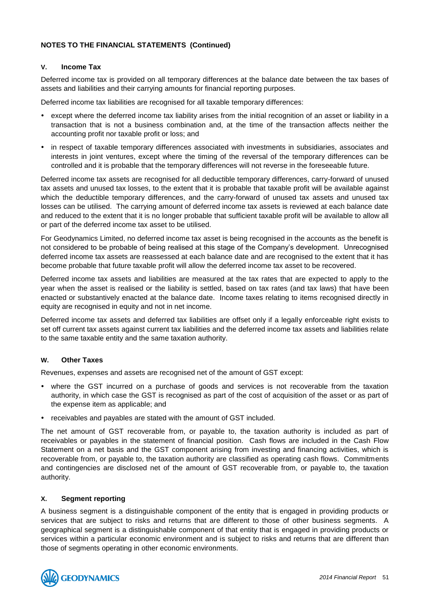### **V. Income Tax**

Deferred income tax is provided on all temporary differences at the balance date between the tax bases of assets and liabilities and their carrying amounts for financial reporting purposes.

Deferred income tax liabilities are recognised for all taxable temporary differences:

- except where the deferred income tax liability arises from the initial recognition of an asset or liability in a transaction that is not a business combination and, at the time of the transaction affects neither the accounting profit nor taxable profit or loss; and
- in respect of taxable temporary differences associated with investments in subsidiaries, associates and interests in joint ventures, except where the timing of the reversal of the temporary differences can be controlled and it is probable that the temporary differences will not reverse in the foreseeable future.

Deferred income tax assets are recognised for all deductible temporary differences, carry-forward of unused tax assets and unused tax losses, to the extent that it is probable that taxable profit will be available against which the deductible temporary differences, and the carry-forward of unused tax assets and unused tax losses can be utilised. The carrying amount of deferred income tax assets is reviewed at each balance date and reduced to the extent that it is no longer probable that sufficient taxable profit will be available to allow all or part of the deferred income tax asset to be utilised.

For Geodynamics Limited, no deferred income tax asset is being recognised in the accounts as the benefit is not considered to be probable of being realised at this stage of the Company's development. Unrecognised deferred income tax assets are reassessed at each balance date and are recognised to the extent that it has become probable that future taxable profit will allow the deferred income tax asset to be recovered.

Deferred income tax assets and liabilities are measured at the tax rates that are expected to apply to the year when the asset is realised or the liability is settled, based on tax rates (and tax laws) that have been enacted or substantively enacted at the balance date. Income taxes relating to items recognised directly in equity are recognised in equity and not in net income.

Deferred income tax assets and deferred tax liabilities are offset only if a legally enforceable right exists to set off current tax assets against current tax liabilities and the deferred income tax assets and liabilities relate to the same taxable entity and the same taxation authority.

### **W. Other Taxes**

Revenues, expenses and assets are recognised net of the amount of GST except:

- where the GST incurred on a purchase of goods and services is not recoverable from the taxation authority, in which case the GST is recognised as part of the cost of acquisition of the asset or as part of the expense item as applicable; and
- receivables and payables are stated with the amount of GST included.

The net amount of GST recoverable from, or payable to, the taxation authority is included as part of receivables or payables in the statement of financial position. Cash flows are included in the Cash Flow Statement on a net basis and the GST component arising from investing and financing activities, which is recoverable from, or payable to, the taxation authority are classified as operating cash flows. Commitments and contingencies are disclosed net of the amount of GST recoverable from, or payable to, the taxation authority.

### **X. Segment reporting**

A business segment is a distinguishable component of the entity that is engaged in providing products or services that are subject to risks and returns that are different to those of other business segments. A geographical segment is a distinguishable component of that entity that is engaged in providing products or services within a particular economic environment and is subject to risks and returns that are different than those of segments operating in other economic environments.

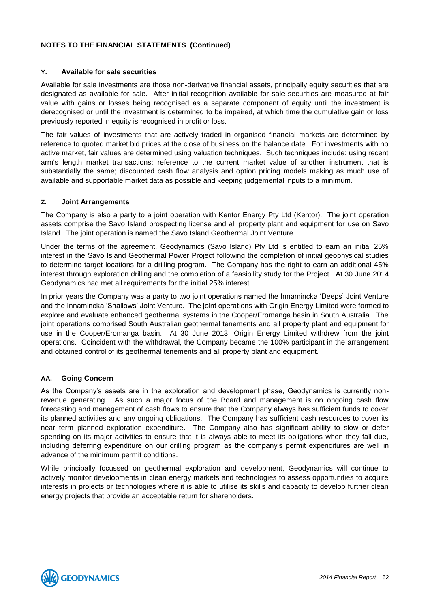### **Y. Available for sale securities**

Available for sale investments are those non-derivative financial assets, principally equity securities that are designated as available for sale. After initial recognition available for sale securities are measured at fair value with gains or losses being recognised as a separate component of equity until the investment is derecognised or until the investment is determined to be impaired, at which time the cumulative gain or loss previously reported in equity is recognised in profit or loss.

The fair values of investments that are actively traded in organised financial markets are determined by reference to quoted market bid prices at the close of business on the balance date. For investments with no active market, fair values are determined using valuation techniques. Such techniques include: using recent arm's length market transactions; reference to the current market value of another instrument that is substantially the same; discounted cash flow analysis and option pricing models making as much use of available and supportable market data as possible and keeping judgemental inputs to a minimum.

### **Z. Joint Arrangements**

The Company is also a party to a joint operation with Kentor Energy Pty Ltd (Kentor). The joint operation assets comprise the Savo Island prospecting license and all property plant and equipment for use on Savo Island. The joint operation is named the Savo Island Geothermal Joint Venture.

Under the terms of the agreement, Geodynamics (Savo Island) Pty Ltd is entitled to earn an initial 25% interest in the Savo Island Geothermal Power Project following the completion of initial geophysical studies to determine target locations for a drilling program. The Company has the right to earn an additional 45% interest through exploration drilling and the completion of a feasibility study for the Project. At 30 June 2014 Geodynamics had met all requirements for the initial 25% interest.

In prior years the Company was a party to two joint operations named the Innamincka 'Deeps' Joint Venture and the Innamincka 'Shallows' Joint Venture. The joint operations with Origin Energy Limited were formed to explore and evaluate enhanced geothermal systems in the Cooper/Eromanga basin in South Australia. The joint operations comprised South Australian geothermal tenements and all property plant and equipment for use in the Cooper/Eromanga basin. At 30 June 2013, Origin Energy Limited withdrew from the joint operations. Coincident with the withdrawal, the Company became the 100% participant in the arrangement and obtained control of its geothermal tenements and all property plant and equipment.

### **AA. Going Concern**

As the Company's assets are in the exploration and development phase, Geodynamics is currently nonrevenue generating. As such a major focus of the Board and management is on ongoing cash flow forecasting and management of cash flows to ensure that the Company always has sufficient funds to cover its planned activities and any ongoing obligations. The Company has sufficient cash resources to cover its near term planned exploration expenditure. The Company also has significant ability to slow or defer spending on its major activities to ensure that it is always able to meet its obligations when they fall due, including deferring expenditure on our drilling program as the company's permit expenditures are well in advance of the minimum permit conditions.

While principally focussed on geothermal exploration and development, Geodynamics will continue to actively monitor developments in clean energy markets and technologies to assess opportunities to acquire interests in projects or technologies where it is able to utilise its skills and capacity to develop further clean energy projects that provide an acceptable return for shareholders.

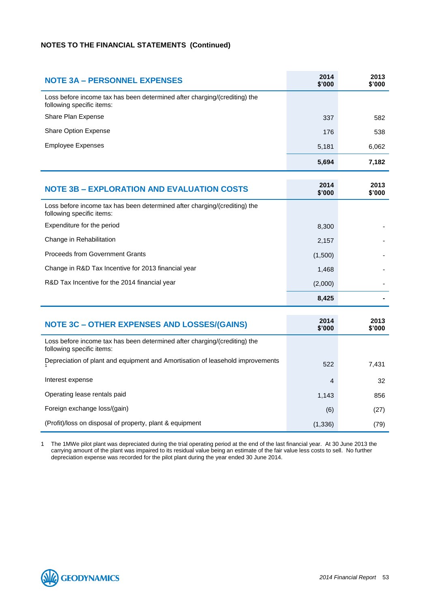| <b>NOTE 3A - PERSONNEL EXPENSES</b>                                                                    | 2014<br>\$'000 | 2013<br>\$'000 |
|--------------------------------------------------------------------------------------------------------|----------------|----------------|
| Loss before income tax has been determined after charging/(crediting) the<br>following specific items: |                |                |
| Share Plan Expense                                                                                     | 337            | 582            |
| Share Option Expense                                                                                   | 176            | 538            |
| <b>Employee Expenses</b>                                                                               | 5,181          | 6,062          |
|                                                                                                        | 5,694          | 7,182          |
|                                                                                                        |                |                |
| <b>NOTE 3B - EXPLORATION AND EVALUATION COSTS</b>                                                      | 2014<br>\$'000 | 2013<br>\$'000 |
| Loss before income tax has been determined after charging/(crediting) the<br>following specific items: |                |                |
| Expenditure for the period                                                                             | 8,300          |                |
| Change in Rehabilitation                                                                               | 2,157          |                |
| <b>Proceeds from Government Grants</b>                                                                 | (1,500)        |                |
| Change in R&D Tax Incentive for 2013 financial year                                                    | 1,468          |                |
| R&D Tax Incentive for the 2014 financial year                                                          | (2,000)        |                |
|                                                                                                        | 8,425          |                |

| <b>NOTE 3C - OTHER EXPENSES AND LOSSES/(GAINS)</b>                                                     | 2014<br>\$'000 | 2013<br>\$'000 |
|--------------------------------------------------------------------------------------------------------|----------------|----------------|
| Loss before income tax has been determined after charging/(crediting) the<br>following specific items: |                |                |
| Depreciation of plant and equipment and Amortisation of leasehold improvements                         | 522            | 7,431          |
| Interest expense                                                                                       | 4              | 32             |
| Operating lease rentals paid                                                                           | 1,143          | 856            |
| Foreign exchange loss/(gain)                                                                           | (6)            | (27)           |
| (Profit)/loss on disposal of property, plant & equipment                                               | (1, 336)       | (79)           |

1 The 1MWe pilot plant was depreciated during the trial operating period at the end of the last financial year. At 30 June 2013 the carrying amount of the plant was impaired to its residual value being an estimate of the fair value less costs to sell. No further depreciation expense was recorded for the pilot plant during the year ended 30 June 2014.

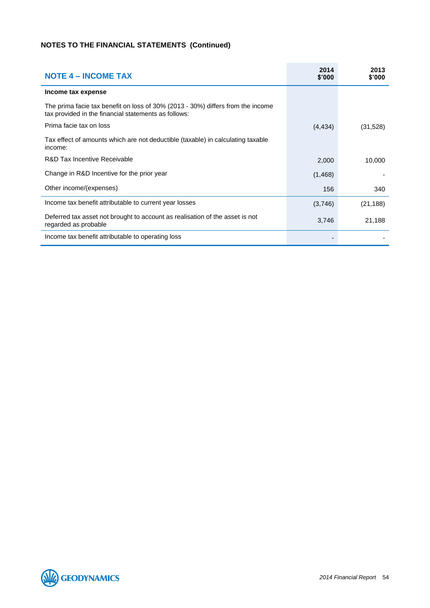| <b>NOTE 4 – INCOME TAX</b>                                                                                                              | 2014<br>\$'000 | 2013<br>\$'000 |
|-----------------------------------------------------------------------------------------------------------------------------------------|----------------|----------------|
| Income tax expense                                                                                                                      |                |                |
| The prima facie tax benefit on loss of 30% (2013 - 30%) differs from the income<br>tax provided in the financial statements as follows: |                |                |
| Prima facie tax on loss                                                                                                                 | (4, 434)       | (31, 528)      |
| Tax effect of amounts which are not deductible (taxable) in calculating taxable<br>income:                                              |                |                |
| R&D Tax Incentive Receivable                                                                                                            | 2,000          | 10,000         |
| Change in R&D Incentive for the prior year                                                                                              | (1,468)        |                |
| Other income/(expenses)                                                                                                                 | 156            | 340            |
| Income tax benefit attributable to current year losses                                                                                  | (3,746)        | (21, 188)      |
| Deferred tax asset not brought to account as realisation of the asset is not<br>regarded as probable                                    | 3,746          | 21,188         |
| Income tax benefit attributable to operating loss                                                                                       |                |                |

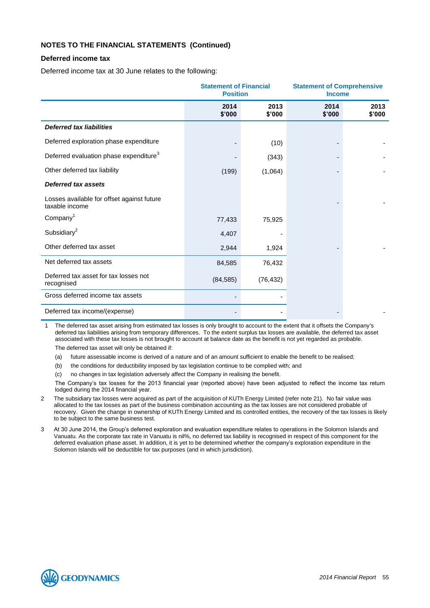### **Deferred income tax**

Deferred income tax at 30 June relates to the following:

|                                                              | <b>Statement of Financial</b><br><b>Position</b> |                | <b>Statement of Comprehensive</b><br><b>Income</b> |                |
|--------------------------------------------------------------|--------------------------------------------------|----------------|----------------------------------------------------|----------------|
|                                                              | 2014<br>\$'000                                   | 2013<br>\$'000 | 2014<br>\$'000                                     | 2013<br>\$'000 |
| <b>Deferred tax liabilities</b>                              |                                                  |                |                                                    |                |
| Deferred exploration phase expenditure                       |                                                  | (10)           |                                                    |                |
| Deferred evaluation phase expenditure <sup>3</sup>           |                                                  | (343)          |                                                    |                |
| Other deferred tax liability                                 | (199)                                            | (1,064)        |                                                    |                |
| <b>Deferred tax assets</b>                                   |                                                  |                |                                                    |                |
| Losses available for offset against future<br>taxable income |                                                  |                |                                                    |                |
| Company <sup>1</sup>                                         | 77,433                                           | 75,925         |                                                    |                |
| Subsidiary $^2$                                              | 4,407                                            |                |                                                    |                |
| Other deferred tax asset                                     | 2,944                                            | 1,924          |                                                    |                |
| Net deferred tax assets                                      | 84,585                                           | 76,432         |                                                    |                |
| Deferred tax asset for tax losses not<br>recognised          | (84, 585)                                        | (76, 432)      |                                                    |                |
| Gross deferred income tax assets                             |                                                  |                |                                                    |                |
| Deferred tax income/(expense)                                |                                                  |                |                                                    |                |

1 The deferred tax asset arising from estimated tax losses is only brought to account to the extent that it offsets the Company's deferred tax liabilities arising from temporary differences. To the extent surplus tax losses are available, the deferred tax asset associated with these tax losses is not brought to account at balance date as the benefit is not yet regarded as probable. The deferred tax asset will only be obtained if:

(a) future assessable income is derived of a nature and of an amount sufficient to enable the benefit to be realised;

- (b) the conditions for deductibility imposed by tax legislation continue to be complied with; and
- (c) no changes in tax legislation adversely affect the Company in realising the benefit.

The Company's tax losses for the 2013 financial year (reported above) have been adjusted to reflect the income tax return lodged during the 2014 financial year.

- 2 The subsidiary tax losses were acquired as part of the acquisition of KUTh Energy Limited (refer note 21). No fair value was allocated to the tax losses as part of the business combination accounting as the tax losses are not considered probable of recovery. Given the change in ownership of KUTh Energy Limited and its controlled entities, the recovery of the tax losses is likely to be subject to the same business test.
- 3 At 30 June 2014, the Group's deferred exploration and evaluation expenditure relates to operations in the Solomon Islands and Vanuatu. As the corporate tax rate in Vanuatu is nil%, no deferred tax liability is recognised in respect of this component for the deferred evaluation phase asset. In addition, it is yet to be determined whether the company's exploration expenditure in the Solomon Islands will be deductible for tax purposes (and in which jurisdiction).

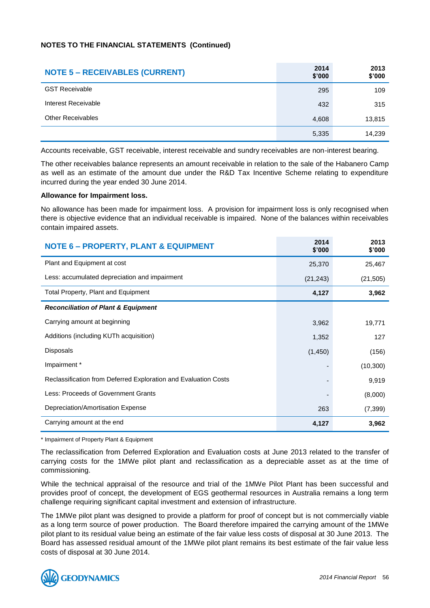| <b>NOTE 5 - RECEIVABLES (CURRENT)</b> | 2014<br>\$'000 | 2013<br>\$'000 |
|---------------------------------------|----------------|----------------|
| <b>GST Receivable</b>                 | 295            | 109            |
| Interest Receivable                   | 432            | 315            |
| <b>Other Receivables</b>              | 4,608          | 13,815         |
|                                       | 5,335          | 14,239         |

Accounts receivable, GST receivable, interest receivable and sundry receivables are non-interest bearing.

The other receivables balance represents an amount receivable in relation to the sale of the Habanero Camp as well as an estimate of the amount due under the R&D Tax Incentive Scheme relating to expenditure incurred during the year ended 30 June 2014.

### **Allowance for Impairment loss.**

No allowance has been made for impairment loss. A provision for impairment loss is only recognised when there is objective evidence that an individual receivable is impaired. None of the balances within receivables contain impaired assets.

| <b>NOTE 6 - PROPERTY, PLANT &amp; EQUIPMENT</b>                 | 2014<br>\$'000 | 2013<br>\$'000 |
|-----------------------------------------------------------------|----------------|----------------|
| Plant and Equipment at cost                                     | 25,370         | 25,467         |
| Less: accumulated depreciation and impairment                   | (21, 243)      | (21, 505)      |
| Total Property, Plant and Equipment                             | 4,127          | 3,962          |
| <b>Reconciliation of Plant &amp; Equipment</b>                  |                |                |
| Carrying amount at beginning                                    | 3,962          | 19,771         |
| Additions (including KUTh acquisition)                          | 1,352          | 127            |
| <b>Disposals</b>                                                | (1,450)        | (156)          |
| Impairment *                                                    |                | (10, 300)      |
| Reclassification from Deferred Exploration and Evaluation Costs |                | 9,919          |
| Less: Proceeds of Government Grants                             |                | (8,000)        |
| Depreciation/Amortisation Expense                               | 263            | (7, 399)       |
| Carrying amount at the end                                      | 4,127          | 3,962          |

\* Impairment of Property Plant & Equipment

The reclassification from Deferred Exploration and Evaluation costs at June 2013 related to the transfer of carrying costs for the 1MWe pilot plant and reclassification as a depreciable asset as at the time of commissioning.

While the technical appraisal of the resource and trial of the 1MWe Pilot Plant has been successful and provides proof of concept, the development of EGS geothermal resources in Australia remains a long term challenge requiring significant capital investment and extension of infrastructure.

The 1MWe pilot plant was designed to provide a platform for proof of concept but is not commercially viable as a long term source of power production. The Board therefore impaired the carrying amount of the 1MWe pilot plant to its residual value being an estimate of the fair value less costs of disposal at 30 June 2013. The Board has assessed residual amount of the 1MWe pilot plant remains its best estimate of the fair value less costs of disposal at 30 June 2014.

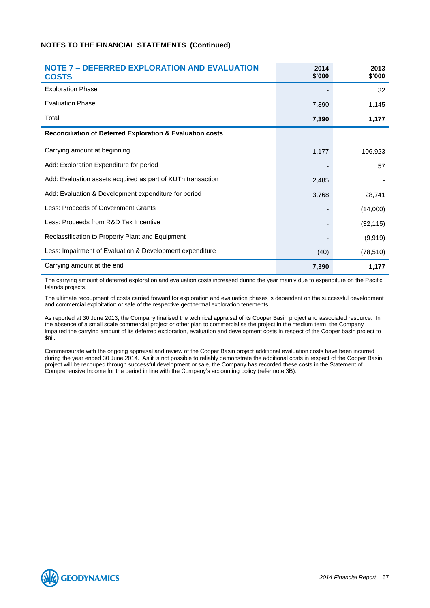| <b>NOTE 7 - DEFERRED EXPLORATION AND EVALUATION</b><br><b>COSTS</b> | 2014<br>\$'000 | 2013<br>\$'000 |
|---------------------------------------------------------------------|----------------|----------------|
| <b>Exploration Phase</b>                                            |                | 32             |
| <b>Evaluation Phase</b>                                             | 7,390          | 1,145          |
| Total                                                               | 7,390          | 1,177          |
| Reconciliation of Deferred Exploration & Evaluation costs           |                |                |
| Carrying amount at beginning                                        | 1,177          | 106,923        |
| Add: Exploration Expenditure for period                             |                | 57             |
| Add: Evaluation assets acquired as part of KUTh transaction         | 2,485          |                |
| Add: Evaluation & Development expenditure for period                | 3,768          | 28,741         |
| Less: Proceeds of Government Grants                                 |                | (14,000)       |
| Less: Proceeds from R&D Tax Incentive                               |                | (32, 115)      |
| Reclassification to Property Plant and Equipment                    |                | (9,919)        |
| Less: Impairment of Evaluation & Development expenditure            | (40)           | (78, 510)      |
| Carrying amount at the end                                          | 7,390          | 1,177          |

The carrying amount of deferred exploration and evaluation costs increased during the year mainly due to expenditure on the Pacific Islands projects.

The ultimate recoupment of costs carried forward for exploration and evaluation phases is dependent on the successful development and commercial exploitation or sale of the respective geothermal exploration tenements.

As reported at 30 June 2013, the Company finalised the technical appraisal of its Cooper Basin project and associated resource. In the absence of a small scale commercial project or other plan to commercialise the project in the medium term, the Company impaired the carrying amount of its deferred exploration, evaluation and development costs in respect of the Cooper basin project to \$nil.

Commensurate with the ongoing appraisal and review of the Cooper Basin project additional evaluation costs have been incurred during the year ended 30 June 2014. As it is not possible to reliably demonstrate the additional costs in respect of the Cooper Basin project will be recouped through successful development or sale, the Company has recorded these costs in the Statement of Comprehensive Income for the period in line with the Company's accounting policy (refer note 3B).

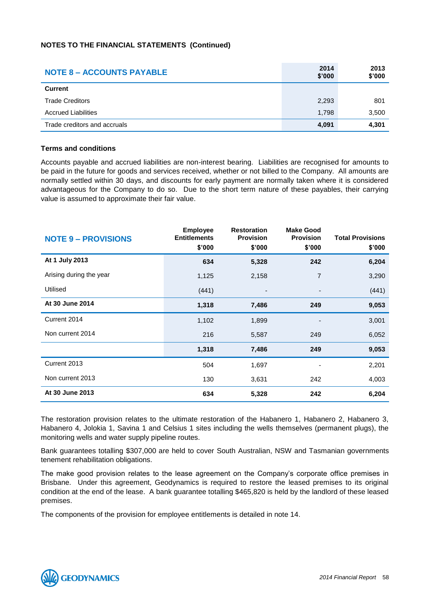| <b>NOTE 8 - ACCOUNTS PAYABLE</b> | 2014<br>\$'000 | 2013<br>\$'000 |
|----------------------------------|----------------|----------------|
| <b>Current</b>                   |                |                |
| <b>Trade Creditors</b>           | 2,293          | 801            |
| <b>Accrued Liabilities</b>       | 1,798          | 3,500          |
| Trade creditors and accruals     | 4,091          | 4,301          |

### **Terms and conditions**

Accounts payable and accrued liabilities are non-interest bearing. Liabilities are recognised for amounts to be paid in the future for goods and services received, whether or not billed to the Company. All amounts are normally settled within 30 days, and discounts for early payment are normally taken where it is considered advantageous for the Company to do so. Due to the short term nature of these payables, their carrying value is assumed to approximate their fair value.

| <b>NOTE 9 - PROVISIONS</b> | <b>Employee</b><br><b>Entitlements</b><br>\$'000 | <b>Restoration</b><br><b>Provision</b><br>\$'000 | <b>Make Good</b><br><b>Provision</b><br>\$'000 | <b>Total Provisions</b><br>\$'000 |
|----------------------------|--------------------------------------------------|--------------------------------------------------|------------------------------------------------|-----------------------------------|
| At 1 July 2013             | 634                                              | 5,328                                            | 242                                            | 6,204                             |
| Arising during the year    | 1,125                                            | 2,158                                            | $\overline{7}$                                 | 3,290                             |
| Utilised                   | (441)                                            | $\overline{\phantom{a}}$                         |                                                | (441)                             |
| At 30 June 2014            | 1,318                                            | 7,486                                            | 249                                            | 9,053                             |
| Current 2014               | 1,102                                            | 1,899                                            |                                                | 3,001                             |
| Non current 2014           | 216                                              | 5,587                                            | 249                                            | 6,052                             |
|                            | 1,318                                            | 7,486                                            | 249                                            | 9,053                             |
| Current 2013               | 504                                              | 1,697                                            |                                                | 2,201                             |
| Non current 2013           | 130                                              | 3,631                                            | 242                                            | 4,003                             |
| At 30 June 2013            | 634                                              | 5,328                                            | 242                                            | 6,204                             |

The restoration provision relates to the ultimate restoration of the Habanero 1, Habanero 2, Habanero 3, Habanero 4, Jolokia 1, Savina 1 and Celsius 1 sites including the wells themselves (permanent plugs), the monitoring wells and water supply pipeline routes.

Bank guarantees totalling \$307,000 are held to cover South Australian, NSW and Tasmanian governments tenement rehabilitation obligations.

The make good provision relates to the lease agreement on the Company's corporate office premises in Brisbane. Under this agreement, Geodynamics is required to restore the leased premises to its original condition at the end of the lease. A bank guarantee totalling \$465,820 is held by the landlord of these leased premises.

The components of the provision for employee entitlements is detailed in note 14.

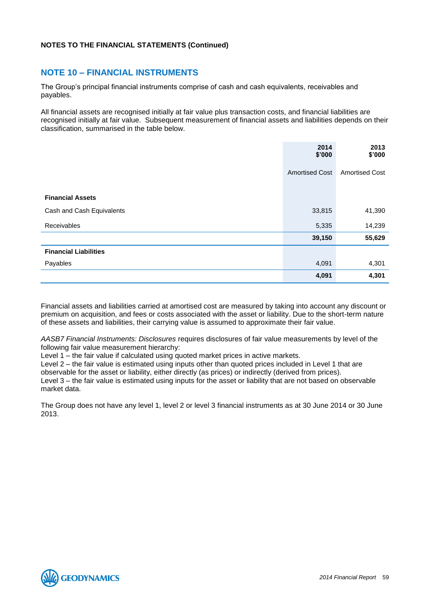### **NOTE 10 – FINANCIAL INSTRUMENTS**

The Group's principal financial instruments comprise of cash and cash equivalents, receivables and payables.

All financial assets are recognised initially at fair value plus transaction costs, and financial liabilities are recognised initially at fair value. Subsequent measurement of financial assets and liabilities depends on their classification, summarised in the table below.

|                              | 2014<br>\$'000        | 2013<br>\$'000        |
|------------------------------|-----------------------|-----------------------|
|                              | <b>Amortised Cost</b> | <b>Amortised Cost</b> |
| <b>Financial Assets</b>      |                       |                       |
| Cash and Cash Equivalents    | 33,815                | 41,390                |
| Receivables                  | 5,335                 | 14,239                |
|                              | 39,150                | 55,629                |
| <b>Financial Liabilities</b> |                       |                       |
| Payables                     | 4,091                 | 4,301                 |
|                              | 4,091                 | 4,301                 |

Financial assets and liabilities carried at amortised cost are measured by taking into account any discount or premium on acquisition, and fees or costs associated with the asset or liability. Due to the short-term nature of these assets and liabilities, their carrying value is assumed to approximate their fair value.

*AASB7 Financial Instruments: Disclosures* requires disclosures of fair value measurements by level of the following fair value measurement hierarchy:

Level 1 – the fair value if calculated using quoted market prices in active markets.

Level 2 – the fair value is estimated using inputs other than quoted prices included in Level 1 that are observable for the asset or liability, either directly (as prices) or indirectly (derived from prices).

Level 3 – the fair value is estimated using inputs for the asset or liability that are not based on observable market data.

The Group does not have any level 1, level 2 or level 3 financial instruments as at 30 June 2014 or 30 June 2013.

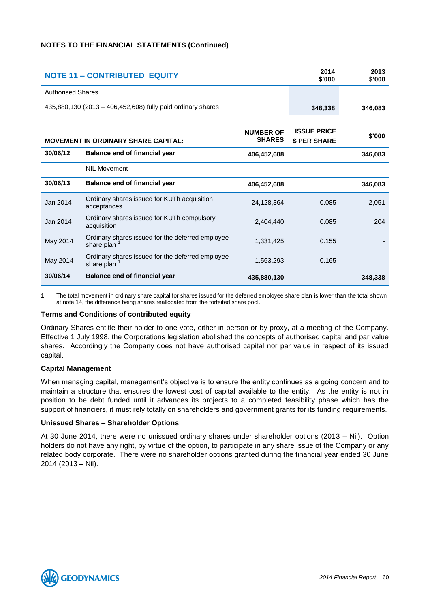| <b>NOTE 11 - CONTRIBUTED EQUITY</b> |                                                                             | 2014<br>\$'000                    | 2013<br>\$'000                           |         |
|-------------------------------------|-----------------------------------------------------------------------------|-----------------------------------|------------------------------------------|---------|
| <b>Authorised Shares</b>            |                                                                             |                                   |                                          |         |
|                                     | 435,880,130 (2013 – 406,452,608) fully paid ordinary shares                 |                                   | 348,338                                  | 346,083 |
|                                     | <b>MOVEMENT IN ORDINARY SHARE CAPITAL:</b>                                  | <b>NUMBER OF</b><br><b>SHARES</b> | <b>ISSUE PRICE</b><br><b>\$PER SHARE</b> | \$'000  |
| 30/06/12                            | Balance end of financial year                                               | 406,452,608                       |                                          | 346,083 |
|                                     | <b>NIL Movement</b>                                                         |                                   |                                          |         |
| 30/06/13                            | Balance end of financial year                                               | 406,452,608                       |                                          | 346,083 |
| Jan 2014                            | Ordinary shares issued for KUTh acquisition<br>acceptances                  | 24,128,364                        | 0.085                                    | 2.051   |
| Jan 2014                            | Ordinary shares issued for KUTh compulsory<br>acquisition                   | 2,404,440                         | 0.085                                    | 204     |
| May 2014                            | Ordinary shares issued for the deferred employee<br>share plan <sup>1</sup> | 1,331,425                         | 0.155                                    |         |
| May 2014                            | Ordinary shares issued for the deferred employee<br>share plan              | 1,563,293                         | 0.165                                    |         |
| 30/06/14                            | <b>Balance end of financial year</b>                                        | 435,880,130                       |                                          | 348,338 |

1 The total movement in ordinary share capital for shares issued for the deferred employee share plan is lower than the total shown at note 14, the difference being shares reallocated from the forfeited share pool.

### **Terms and Conditions of contributed equity**

Ordinary Shares entitle their holder to one vote, either in person or by proxy, at a meeting of the Company. Effective 1 July 1998, the Corporations legislation abolished the concepts of authorised capital and par value shares. Accordingly the Company does not have authorised capital nor par value in respect of its issued capital.

### **Capital Management**

When managing capital, management's objective is to ensure the entity continues as a going concern and to maintain a structure that ensures the lowest cost of capital available to the entity. As the entity is not in position to be debt funded until it advances its projects to a completed feasibility phase which has the support of financiers, it must rely totally on shareholders and government grants for its funding requirements.

### **Unissued Shares – Shareholder Options**

At 30 June 2014, there were no unissued ordinary shares under shareholder options (2013 – Nil). Option holders do not have any right, by virtue of the option, to participate in any share issue of the Company or any related body corporate. There were no shareholder options granted during the financial year ended 30 June 2014 (2013 – Nil).

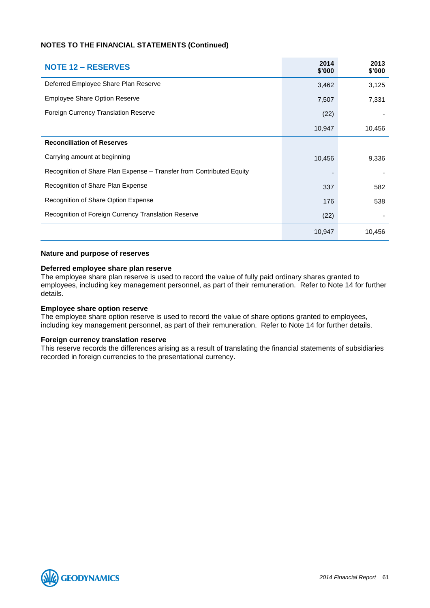| <b>NOTE 12 – RESERVES</b>                                            | 2014<br>\$'000 | 2013<br>\$'000 |
|----------------------------------------------------------------------|----------------|----------------|
| Deferred Employee Share Plan Reserve                                 | 3,462          | 3,125          |
| <b>Employee Share Option Reserve</b>                                 | 7,507          | 7,331          |
| Foreign Currency Translation Reserve                                 | (22)           |                |
|                                                                      | 10,947         | 10,456         |
| <b>Reconciliation of Reserves</b>                                    |                |                |
| Carrying amount at beginning                                         | 10,456         | 9,336          |
| Recognition of Share Plan Expense - Transfer from Contributed Equity |                |                |
| Recognition of Share Plan Expense                                    | 337            | 582            |
| Recognition of Share Option Expense                                  | 176            | 538            |
| Recognition of Foreign Currency Translation Reserve                  | (22)           |                |
|                                                                      | 10,947         | 10,456         |

#### **Nature and purpose of reserves**

#### **Deferred employee share plan reserve**

The employee share plan reserve is used to record the value of fully paid ordinary shares granted to employees, including key management personnel, as part of their remuneration. Refer to Note 14 for further details.

### **Employee share option reserve**

The employee share option reserve is used to record the value of share options granted to employees, including key management personnel, as part of their remuneration. Refer to Note 14 for further details.

#### **Foreign currency translation reserve**

This reserve records the differences arising as a result of translating the financial statements of subsidiaries recorded in foreign currencies to the presentational currency.

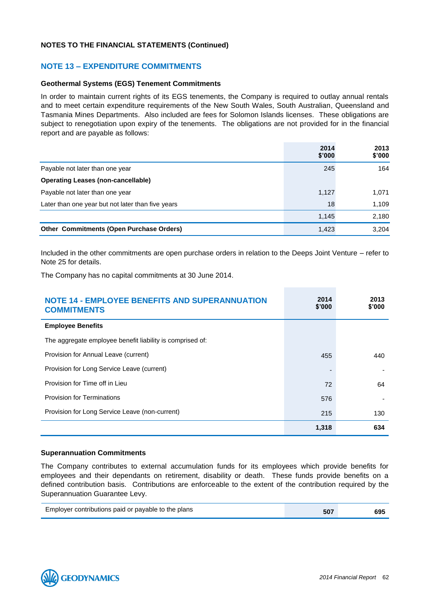### **NOTE 13 – EXPENDITURE COMMITMENTS**

### **Geothermal Systems (EGS) Tenement Commitments**

In order to maintain current rights of its EGS tenements, the Company is required to outlay annual rentals and to meet certain expenditure requirements of the New South Wales, South Australian, Queensland and Tasmania Mines Departments. Also included are fees for Solomon Islands licenses. These obligations are subject to renegotiation upon expiry of the tenements. The obligations are not provided for in the financial report and are payable as follows:

|                                                   | 2014<br>\$'000 | 2013<br>\$'000 |
|---------------------------------------------------|----------------|----------------|
| Payable not later than one year                   | 245            | 164            |
| <b>Operating Leases (non-cancellable)</b>         |                |                |
| Payable not later than one year                   | 1,127          | 1,071          |
| Later than one year but not later than five years | 18             | 1,109          |
|                                                   | 1,145          | 2,180          |
| <b>Other Commitments (Open Purchase Orders)</b>   | 1,423          | 3.204          |

Included in the other commitments are open purchase orders in relation to the Deeps Joint Venture – refer to Note 25 for details.

The Company has no capital commitments at 30 June 2014.

| <b>NOTE 14 - EMPLOYEE BENEFITS AND SUPERANNUATION</b><br><b>COMMITMENTS</b> | 2014<br>\$'000 | 2013<br>\$'000 |
|-----------------------------------------------------------------------------|----------------|----------------|
| <b>Employee Benefits</b>                                                    |                |                |
| The aggregate employee benefit liability is comprised of:                   |                |                |
| Provision for Annual Leave (current)                                        | 455            | 440            |
| Provision for Long Service Leave (current)                                  |                |                |
| Provision for Time off in Lieu                                              | 72             | 64             |
| <b>Provision for Terminations</b>                                           | 576            |                |
| Provision for Long Service Leave (non-current)                              | 215            | 130            |
|                                                                             | 1,318          | 634            |

### **Superannuation Commitments**

The Company contributes to external accumulation funds for its employees which provide benefits for employees and their dependants on retirement, disability or death. These funds provide benefits on a defined contribution basis. Contributions are enforceable to the extent of the contribution required by the Superannuation Guarantee Levy.

| Employer contributions paid or payable to the plans | 507 | 695 |
|-----------------------------------------------------|-----|-----|
|-----------------------------------------------------|-----|-----|

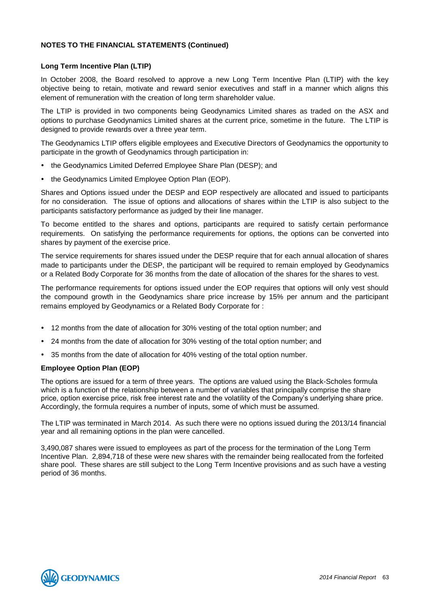### **Long Term Incentive Plan (LTIP)**

In October 2008, the Board resolved to approve a new Long Term Incentive Plan (LTIP) with the key objective being to retain, motivate and reward senior executives and staff in a manner which aligns this element of remuneration with the creation of long term shareholder value.

The LTIP is provided in two components being Geodynamics Limited shares as traded on the ASX and options to purchase Geodynamics Limited shares at the current price, sometime in the future. The LTIP is designed to provide rewards over a three year term.

The Geodynamics LTIP offers eligible employees and Executive Directors of Geodynamics the opportunity to participate in the growth of Geodynamics through participation in:

- the Geodynamics Limited Deferred Employee Share Plan (DESP); and
- the Geodynamics Limited Employee Option Plan (EOP).

Shares and Options issued under the DESP and EOP respectively are allocated and issued to participants for no consideration. The issue of options and allocations of shares within the LTIP is also subject to the participants satisfactory performance as judged by their line manager.

To become entitled to the shares and options, participants are required to satisfy certain performance requirements. On satisfying the performance requirements for options, the options can be converted into shares by payment of the exercise price.

The service requirements for shares issued under the DESP require that for each annual allocation of shares made to participants under the DESP, the participant will be required to remain employed by Geodynamics or a Related Body Corporate for 36 months from the date of allocation of the shares for the shares to vest.

The performance requirements for options issued under the EOP requires that options will only vest should the compound growth in the Geodynamics share price increase by 15% per annum and the participant remains employed by Geodynamics or a Related Body Corporate for :

- 12 months from the date of allocation for 30% vesting of the total option number; and
- 24 months from the date of allocation for 30% vesting of the total option number; and
- 35 months from the date of allocation for 40% vesting of the total option number.

### **Employee Option Plan (EOP)**

The options are issued for a term of three years. The options are valued using the Black-Scholes formula which is a function of the relationship between a number of variables that principally comprise the share price, option exercise price, risk free interest rate and the volatility of the Company's underlying share price. Accordingly, the formula requires a number of inputs, some of which must be assumed.

The LTIP was terminated in March 2014. As such there were no options issued during the 2013/14 financial year and all remaining options in the plan were cancelled.

3,490,087 shares were issued to employees as part of the process for the termination of the Long Term Incentive Plan. 2,894,718 of these were new shares with the remainder being reallocated from the forfeited share pool. These shares are still subject to the Long Term Incentive provisions and as such have a vesting period of 36 months.

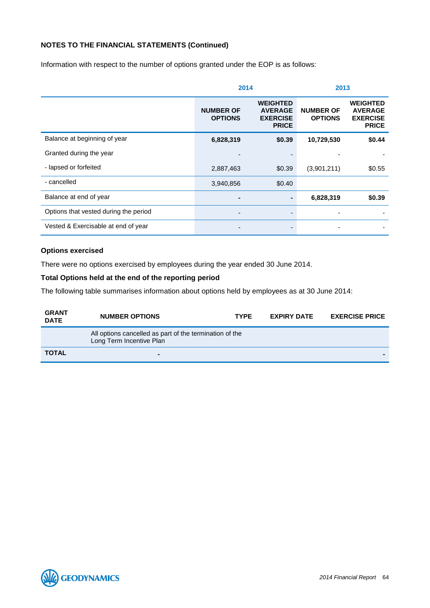Information with respect to the number of options granted under the EOP is as follows:

|                                       | 2014                               |                                                                      | 2013                               |                                                                      |
|---------------------------------------|------------------------------------|----------------------------------------------------------------------|------------------------------------|----------------------------------------------------------------------|
|                                       | <b>NUMBER OF</b><br><b>OPTIONS</b> | <b>WEIGHTED</b><br><b>AVERAGE</b><br><b>EXERCISE</b><br><b>PRICE</b> | <b>NUMBER OF</b><br><b>OPTIONS</b> | <b>WEIGHTED</b><br><b>AVERAGE</b><br><b>EXERCISE</b><br><b>PRICE</b> |
| Balance at beginning of year          | 6,828,319                          | \$0.39                                                               | 10,729,530                         | \$0.44                                                               |
| Granted during the year               |                                    |                                                                      |                                    |                                                                      |
| - lapsed or forfeited                 | 2,887,463                          | \$0.39                                                               | (3,901,211)                        | \$0.55                                                               |
| - cancelled                           | 3,940,856                          | \$0.40                                                               |                                    |                                                                      |
| Balance at end of year                | -                                  |                                                                      | 6,828,319                          | \$0.39                                                               |
| Options that vested during the period |                                    |                                                                      |                                    |                                                                      |
| Vested & Exercisable at end of year   |                                    |                                                                      |                                    |                                                                      |

### **Options exercised**

There were no options exercised by employees during the year ended 30 June 2014.

### **Total Options held at the end of the reporting period**

The following table summarises information about options held by employees as at 30 June 2014:

| <b>GRANT</b><br><b>DATE</b> | <b>NUMBER OPTIONS</b>                                                               | <b>TYPF</b> | <b>EXPIRY DATE</b> | <b>EXERCISE PRICE</b> |
|-----------------------------|-------------------------------------------------------------------------------------|-------------|--------------------|-----------------------|
|                             | All options cancelled as part of the termination of the<br>Long Term Incentive Plan |             |                    |                       |
| <b>TOTAL</b>                |                                                                                     |             |                    |                       |

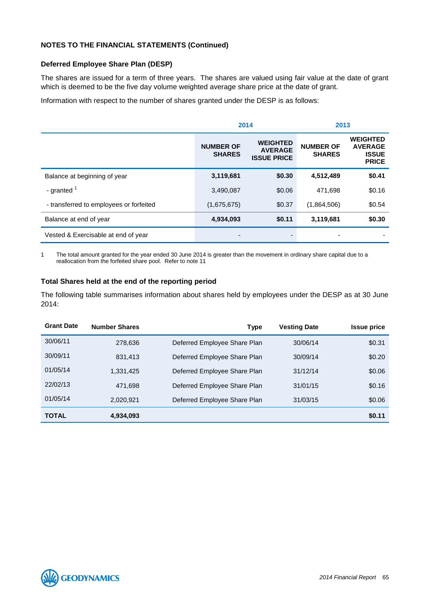### **Deferred Employee Share Plan (DESP)**

The shares are issued for a term of three years. The shares are valued using fair value at the date of grant which is deemed to be the five day volume weighted average share price at the date of grant.

Information with respect to the number of shares granted under the DESP is as follows:

|                                         | 2014                              |                                                         | 2013                              |                                                                   |
|-----------------------------------------|-----------------------------------|---------------------------------------------------------|-----------------------------------|-------------------------------------------------------------------|
|                                         | <b>NUMBER OF</b><br><b>SHARES</b> | <b>WEIGHTED</b><br><b>AVERAGE</b><br><b>ISSUE PRICE</b> | <b>NUMBER OF</b><br><b>SHARES</b> | <b>WEIGHTED</b><br><b>AVERAGE</b><br><b>ISSUE</b><br><b>PRICE</b> |
| Balance at beginning of year            | 3,119,681                         | \$0.30                                                  | 4,512,489                         | \$0.41                                                            |
| - granted $1$                           | 3,490,087                         | \$0.06                                                  | 471.698                           | \$0.16                                                            |
| - transferred to employees or forfeited | (1,675,675)                       | \$0.37                                                  | (1,864,506)                       | \$0.54                                                            |
| Balance at end of year                  | 4,934,093                         | \$0.11                                                  | 3,119,681                         | \$0.30                                                            |
| Vested & Exercisable at end of year     |                                   |                                                         |                                   |                                                                   |

1 The total amount granted for the year ended 30 June 2014 is greater than the movement in ordinary share capital due to a reallocation from the forfeited share pool. Refer to note 11

### **Total Shares held at the end of the reporting period**

The following table summarises information about shares held by employees under the DESP as at 30 June 2014:

| <b>Grant Date</b> | <b>Number Shares</b> | <b>Type</b>                  | <b>Vesting Date</b> | <b>Issue price</b> |
|-------------------|----------------------|------------------------------|---------------------|--------------------|
| 30/06/11          | 278.636              | Deferred Employee Share Plan | 30/06/14            | \$0.31             |
| 30/09/11          | 831,413              | Deferred Employee Share Plan | 30/09/14            | \$0.20             |
| 01/05/14          | 1,331,425            | Deferred Employee Share Plan | 31/12/14            | \$0.06             |
| 22/02/13          | 471.698              | Deferred Employee Share Plan | 31/01/15            | \$0.16             |
| 01/05/14          | 2,020,921            | Deferred Employee Share Plan | 31/03/15            | \$0.06             |
| <b>TOTAL</b>      | 4,934,093            |                              |                     | \$0.11             |

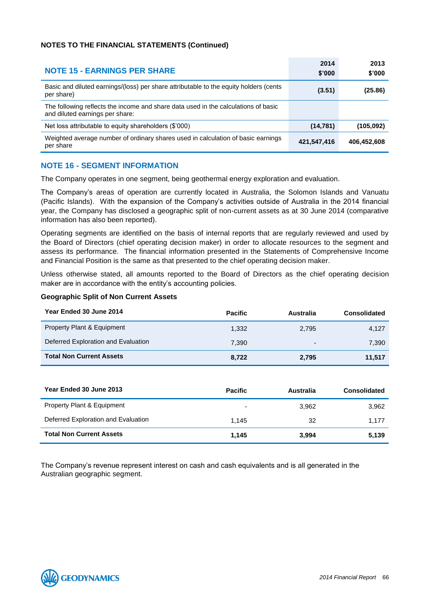| <b>NOTE 15 - EARNINGS PER SHARE</b>                                                                                   | 2014<br>\$'000 | 2013<br>\$'000 |
|-----------------------------------------------------------------------------------------------------------------------|----------------|----------------|
| Basic and diluted earnings/(loss) per share attributable to the equity holders (cents<br>per share)                   | (3.51)         | (25.86)        |
| The following reflects the income and share data used in the calculations of basic<br>and diluted earnings per share: |                |                |
| Net loss attributable to equity shareholders (\$'000)                                                                 | (14, 781)      | (105,092)      |
| Weighted average number of ordinary shares used in calculation of basic earnings<br>per share                         | 421,547,416    | 406,452,608    |

### **NOTE 16 - SEGMENT INFORMATION**

The Company operates in one segment, being geothermal energy exploration and evaluation.

The Company's areas of operation are currently located in Australia, the Solomon Islands and Vanuatu (Pacific Islands). With the expansion of the Company's activities outside of Australia in the 2014 financial year, the Company has disclosed a geographic split of non-current assets as at 30 June 2014 (comparative information has also been reported).

Operating segments are identified on the basis of internal reports that are regularly reviewed and used by the Board of Directors (chief operating decision maker) in order to allocate resources to the segment and assess its performance. The financial information presented in the Statements of Comprehensive Income and Financial Position is the same as that presented to the chief operating decision maker.

Unless otherwise stated, all amounts reported to the Board of Directors as the chief operating decision maker are in accordance with the entity's accounting policies.

### **Geographic Split of Non Current Assets**

| Year Ended 30 June 2014               | <b>Pacific</b> | Australia | <b>Consolidated</b> |
|---------------------------------------|----------------|-----------|---------------------|
| <b>Property Plant &amp; Equipment</b> | 1.332          | 2.795     | 4,127               |
| Deferred Exploration and Evaluation   | 7.390          | -         | 7,390               |
| <b>Total Non Current Assets</b>       | 8.722          | 2,795     | 11.517              |

| Year Ended 30 June 2013               | <b>Pacific</b> | Australia | Consolidated |
|---------------------------------------|----------------|-----------|--------------|
| <b>Property Plant &amp; Equipment</b> | -              | 3.962     | 3,962        |
| Deferred Exploration and Evaluation   | 1.145          | 32        | 1.177        |
| <b>Total Non Current Assets</b>       | 1.145          | 3.994     | 5,139        |

The Company's revenue represent interest on cash and cash equivalents and is all generated in the Australian geographic segment.

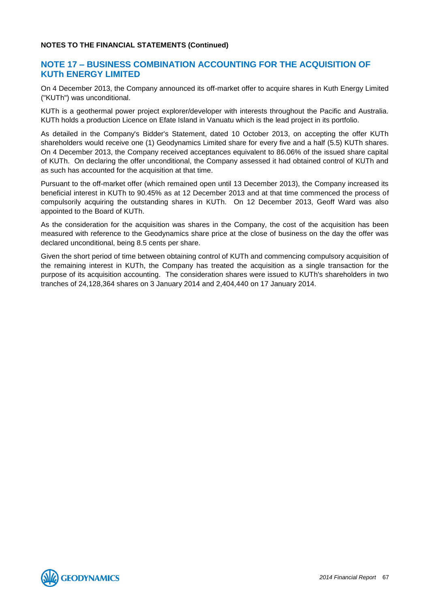### **NOTE 17 – BUSINESS COMBINATION ACCOUNTING FOR THE ACQUISITION OF KUTh ENERGY LIMITED**

On 4 December 2013, the Company announced its off-market offer to acquire shares in Kuth Energy Limited ("KUTh") was unconditional.

KUTh is a geothermal power project explorer/developer with interests throughout the Pacific and Australia. KUTh holds a production Licence on Efate Island in Vanuatu which is the lead project in its portfolio.

As detailed in the Company's Bidder's Statement, dated 10 October 2013, on accepting the offer KUTh shareholders would receive one (1) Geodynamics Limited share for every five and a half (5.5) KUTh shares. On 4 December 2013, the Company received acceptances equivalent to 86.06% of the issued share capital of KUTh. On declaring the offer unconditional, the Company assessed it had obtained control of KUTh and as such has accounted for the acquisition at that time.

Pursuant to the off-market offer (which remained open until 13 December 2013), the Company increased its beneficial interest in KUTh to 90.45% as at 12 December 2013 and at that time commenced the process of compulsorily acquiring the outstanding shares in KUTh. On 12 December 2013, Geoff Ward was also appointed to the Board of KUTh.

As the consideration for the acquisition was shares in the Company, the cost of the acquisition has been measured with reference to the Geodynamics share price at the close of business on the day the offer was declared unconditional, being 8.5 cents per share.

Given the short period of time between obtaining control of KUTh and commencing compulsory acquisition of the remaining interest in KUTh, the Company has treated the acquisition as a single transaction for the purpose of its acquisition accounting. The consideration shares were issued to KUTh's shareholders in two tranches of 24,128,364 shares on 3 January 2014 and 2,404,440 on 17 January 2014.

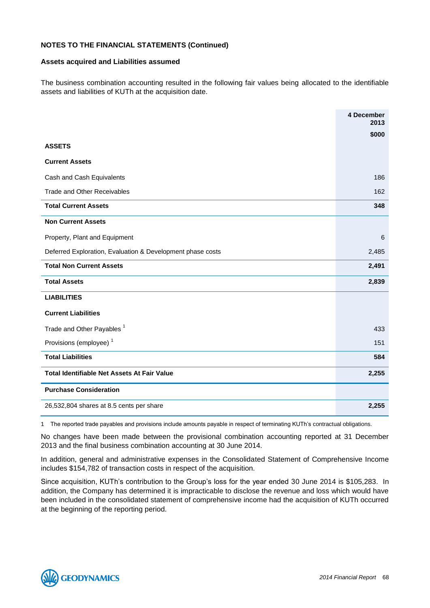#### **Assets acquired and Liabilities assumed**

The business combination accounting resulted in the following fair values being allocated to the identifiable assets and liabilities of KUTh at the acquisition date.

|                                                            | 4 December<br>2013 |
|------------------------------------------------------------|--------------------|
|                                                            | \$000              |
| <b>ASSETS</b>                                              |                    |
| <b>Current Assets</b>                                      |                    |
| Cash and Cash Equivalents                                  | 186                |
| <b>Trade and Other Receivables</b>                         | 162                |
| <b>Total Current Assets</b>                                | 348                |
| <b>Non Current Assets</b>                                  |                    |
| Property, Plant and Equipment                              | 6                  |
| Deferred Exploration, Evaluation & Development phase costs | 2,485              |
| <b>Total Non Current Assets</b>                            | 2,491              |
| <b>Total Assets</b>                                        | 2,839              |
| <b>LIABILITIES</b>                                         |                    |
| <b>Current Liabilities</b>                                 |                    |
| Trade and Other Payables <sup>1</sup>                      | 433                |
| Provisions (employee) <sup>1</sup>                         | 151                |
| <b>Total Liabilities</b>                                   | 584                |
| <b>Total Identifiable Net Assets At Fair Value</b>         | 2,255              |
| <b>Purchase Consideration</b>                              |                    |
| 26,532,804 shares at 8.5 cents per share                   | 2,255              |

1 The reported trade payables and provisions include amounts payable in respect of terminating KUTh's contractual obligations.

No changes have been made between the provisional combination accounting reported at 31 December 2013 and the final business combination accounting at 30 June 2014.

In addition, general and administrative expenses in the Consolidated Statement of Comprehensive Income includes \$154,782 of transaction costs in respect of the acquisition.

Since acquisition, KUTh's contribution to the Group's loss for the year ended 30 June 2014 is \$105,283. In addition, the Company has determined it is impracticable to disclose the revenue and loss which would have been included in the consolidated statement of comprehensive income had the acquisition of KUTh occurred at the beginning of the reporting period.

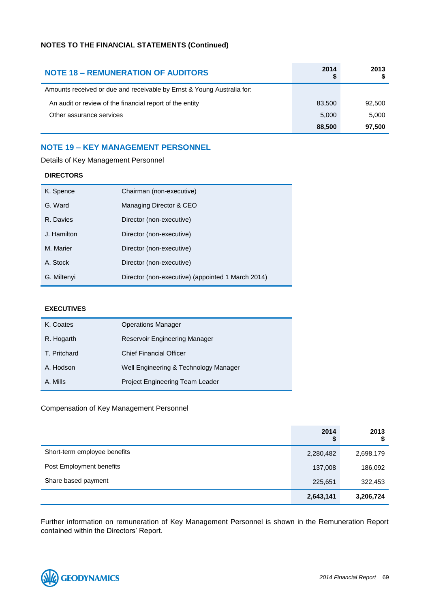| <b>NOTE 18 - REMUNERATION OF AUDITORS</b>                              | 2014   | 2013   |
|------------------------------------------------------------------------|--------|--------|
| Amounts received or due and receivable by Ernst & Young Australia for: |        |        |
| An audit or review of the financial report of the entity               | 83,500 | 92,500 |
| Other assurance services                                               | 5.000  | 5,000  |
|                                                                        | 88,500 | 97.500 |

### **NOTE 19 – KEY MANAGEMENT PERSONNEL**

| K. Spence   | Chairman (non-executive)                          |
|-------------|---------------------------------------------------|
| G. Ward     | Managing Director & CEO                           |
| R. Davies   | Director (non-executive)                          |
| J. Hamilton | Director (non-executive)                          |
| M. Marier   | Director (non-executive)                          |
| A. Stock    | Director (non-executive)                          |
| G. Miltenyi | Director (non-executive) (appointed 1 March 2014) |

### Details of Key Management Personnel

**DIRECTORS**

### **EXECUTIVES**

| K. Coates    | <b>Operations Manager</b>             |
|--------------|---------------------------------------|
| R. Hogarth   | <b>Reservoir Engineering Manager</b>  |
| T. Pritchard | <b>Chief Financial Officer</b>        |
| A. Hodson    | Well Engineering & Technology Manager |
| A. Mills     | Project Engineering Team Leader       |

### Compensation of Key Management Personnel

|                              | 2014<br>\$ | 2013<br>จ |
|------------------------------|------------|-----------|
| Short-term employee benefits | 2,280,482  | 2,698,179 |
| Post Employment benefits     | 137,008    | 186,092   |
| Share based payment          | 225,651    | 322,453   |
|                              | 2,643,141  | 3,206,724 |

Further information on remuneration of Key Management Personnel is shown in the Remuneration Report contained within the Directors' Report.

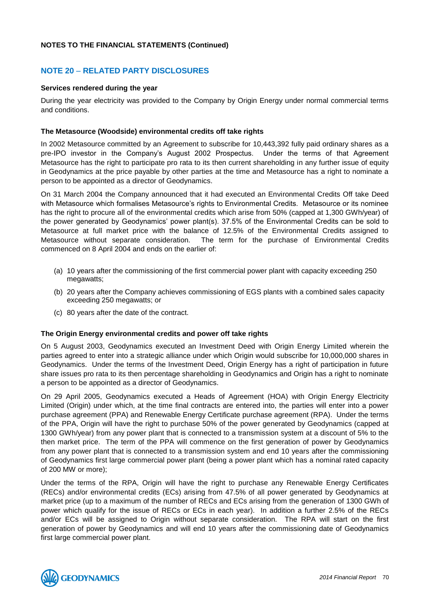### **NOTE 20** – **RELATED PARTY DISCLOSURES**

### **Services rendered during the year**

During the year electricity was provided to the Company by Origin Energy under normal commercial terms and conditions.

### **The Metasource (Woodside) environmental credits off take rights**

In 2002 Metasource committed by an Agreement to subscribe for 10,443,392 fully paid ordinary shares as a pre-IPO investor in the Company's August 2002 Prospectus. Under the terms of that Agreement Metasource has the right to participate pro rata to its then current shareholding in any further issue of equity in Geodynamics at the price payable by other parties at the time and Metasource has a right to nominate a person to be appointed as a director of Geodynamics.

On 31 March 2004 the Company announced that it had executed an Environmental Credits Off take Deed with Metasource which formalises Metasource's rights to Environmental Credits. Metasource or its nominee has the right to procure all of the environmental credits which arise from 50% (capped at 1,300 GWh/year) of the power generated by Geodynamics' power plant(s). 37.5% of the Environmental Credits can be sold to Metasource at full market price with the balance of 12.5% of the Environmental Credits assigned to Metasource without separate consideration. The term for the purchase of Environmental Credits commenced on 8 April 2004 and ends on the earlier of:

- (a) 10 years after the commissioning of the first commercial power plant with capacity exceeding 250 megawatts;
- (b) 20 years after the Company achieves commissioning of EGS plants with a combined sales capacity exceeding 250 megawatts; or
- (c) 80 years after the date of the contract.

### **The Origin Energy environmental credits and power off take rights**

On 5 August 2003, Geodynamics executed an Investment Deed with Origin Energy Limited wherein the parties agreed to enter into a strategic alliance under which Origin would subscribe for 10,000,000 shares in Geodynamics. Under the terms of the Investment Deed, Origin Energy has a right of participation in future share issues pro rata to its then percentage shareholding in Geodynamics and Origin has a right to nominate a person to be appointed as a director of Geodynamics.

On 29 April 2005, Geodynamics executed a Heads of Agreement (HOA) with Origin Energy Electricity Limited (Origin) under which, at the time final contracts are entered into, the parties will enter into a power purchase agreement (PPA) and Renewable Energy Certificate purchase agreement (RPA). Under the terms of the PPA, Origin will have the right to purchase 50% of the power generated by Geodynamics (capped at 1300 GWh/year) from any power plant that is connected to a transmission system at a discount of 5% to the then market price. The term of the PPA will commence on the first generation of power by Geodynamics from any power plant that is connected to a transmission system and end 10 years after the commissioning of Geodynamics first large commercial power plant (being a power plant which has a nominal rated capacity of 200 MW or more);

Under the terms of the RPA, Origin will have the right to purchase any Renewable Energy Certificates (RECs) and/or environmental credits (ECs) arising from 47.5% of all power generated by Geodynamics at market price (up to a maximum of the number of RECs and ECs arising from the generation of 1300 GWh of power which qualify for the issue of RECs or ECs in each year). In addition a further 2.5% of the RECs and/or ECs will be assigned to Origin without separate consideration. The RPA will start on the first generation of power by Geodynamics and will end 10 years after the commissioning date of Geodynamics first large commercial power plant.

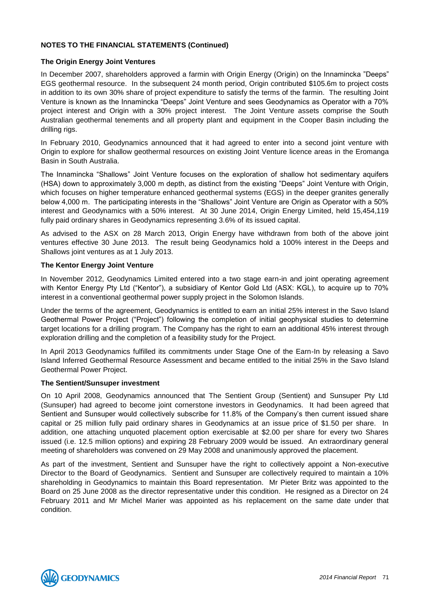### **The Origin Energy Joint Ventures**

In December 2007, shareholders approved a farmin with Origin Energy (Origin) on the Innamincka "Deeps" EGS geothermal resource. In the subsequent 24 month period, Origin contributed \$105.6m to project costs in addition to its own 30% share of project expenditure to satisfy the terms of the farmin. The resulting Joint Venture is known as the Innamincka "Deeps" Joint Venture and sees Geodynamics as Operator with a 70% project interest and Origin with a 30% project interest. The Joint Venture assets comprise the South Australian geothermal tenements and all property plant and equipment in the Cooper Basin including the drilling rigs.

In February 2010, Geodynamics announced that it had agreed to enter into a second joint venture with Origin to explore for shallow geothermal resources on existing Joint Venture licence areas in the Eromanga Basin in South Australia.

The Innamincka "Shallows" Joint Venture focuses on the exploration of shallow hot sedimentary aquifers (HSA) down to approximately 3,000 m depth, as distinct from the existing "Deeps" Joint Venture with Origin, which focuses on higher temperature enhanced geothermal systems (EGS) in the deeper granites generally below 4,000 m. The participating interests in the "Shallows" Joint Venture are Origin as Operator with a 50% interest and Geodynamics with a 50% interest. At 30 June 2014, Origin Energy Limited, held 15,454,119 fully paid ordinary shares in Geodynamics representing 3.6% of its issued capital.

As advised to the ASX on 28 March 2013, Origin Energy have withdrawn from both of the above joint ventures effective 30 June 2013. The result being Geodynamics hold a 100% interest in the Deeps and Shallows joint ventures as at 1 July 2013.

### **The Kentor Energy Joint Venture**

In November 2012, Geodynamics Limited entered into a two stage earn-in and joint operating agreement with Kentor Energy Pty Ltd ("Kentor"), a subsidiary of Kentor Gold Ltd (ASX: KGL), to acquire up to 70% interest in a conventional geothermal power supply project in the Solomon Islands.

Under the terms of the agreement, Geodynamics is entitled to earn an initial 25% interest in the Savo Island Geothermal Power Project ("Project") following the completion of initial geophysical studies to determine target locations for a drilling program. The Company has the right to earn an additional 45% interest through exploration drilling and the completion of a feasibility study for the Project.

In April 2013 Geodynamics fulfilled its commitments under Stage One of the Earn-In by releasing a Savo Island Inferred Geothermal Resource Assessment and became entitled to the initial 25% in the Savo Island Geothermal Power Project.

### **The Sentient/Sunsuper investment**

On 10 April 2008, Geodynamics announced that The Sentient Group (Sentient) and Sunsuper Pty Ltd (Sunsuper) had agreed to become joint cornerstone investors in Geodynamics. It had been agreed that Sentient and Sunsuper would collectively subscribe for 11.8% of the Company's then current issued share capital or 25 million fully paid ordinary shares in Geodynamics at an issue price of \$1.50 per share. In addition, one attaching unquoted placement option exercisable at \$2.00 per share for every two Shares issued (i.e. 12.5 million options) and expiring 28 February 2009 would be issued. An extraordinary general meeting of shareholders was convened on 29 May 2008 and unanimously approved the placement.

As part of the investment, Sentient and Sunsuper have the right to collectively appoint a Non-executive Director to the Board of Geodynamics. Sentient and Sunsuper are collectively required to maintain a 10% shareholding in Geodynamics to maintain this Board representation. Mr Pieter Britz was appointed to the Board on 25 June 2008 as the director representative under this condition. He resigned as a Director on 24 February 2011 and Mr Michel Marier was appointed as his replacement on the same date under that condition.

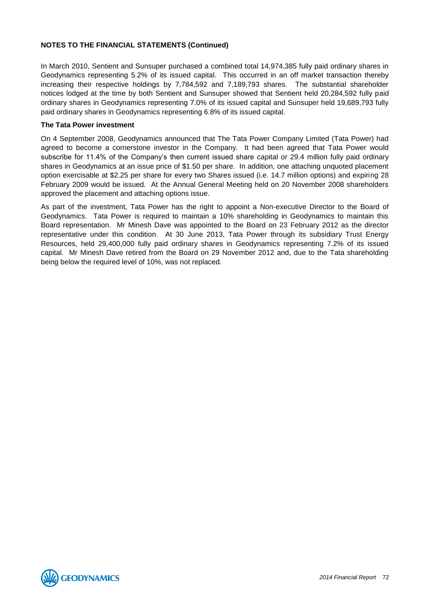In March 2010, Sentient and Sunsuper purchased a combined total 14,974,385 fully paid ordinary shares in Geodynamics representing 5.2% of its issued capital. This occurred in an off market transaction thereby increasing their respective holdings by 7,784,592 and 7,189,793 shares. The substantial shareholder notices lodged at the time by both Sentient and Sunsuper showed that Sentient held 20,284,592 fully paid ordinary shares in Geodynamics representing 7.0% of its issued capital and Sunsuper held 19,689,793 fully paid ordinary shares in Geodynamics representing 6.8% of its issued capital.

### **The Tata Power investment**

On 4 September 2008, Geodynamics announced that The Tata Power Company Limited (Tata Power) had agreed to become a cornerstone investor in the Company. It had been agreed that Tata Power would subscribe for 11.4% of the Company's then current issued share capital or 29.4 million fully paid ordinary shares in Geodynamics at an issue price of \$1.50 per share. In addition, one attaching unquoted placement option exercisable at \$2.25 per share for every two Shares issued (i.e. 14.7 million options) and expiring 28 February 2009 would be issued. At the Annual General Meeting held on 20 November 2008 shareholders approved the placement and attaching options issue.

As part of the investment, Tata Power has the right to appoint a Non-executive Director to the Board of Geodynamics. Tata Power is required to maintain a 10% shareholding in Geodynamics to maintain this Board representation. Mr Minesh Dave was appointed to the Board on 23 February 2012 as the director representative under this condition. At 30 June 2013, Tata Power through its subsidiary Trust Energy Resources, held 29,400,000 fully paid ordinary shares in Geodynamics representing 7.2% of its issued capital. Mr Minesh Dave retired from the Board on 29 November 2012 and, due to the Tata shareholding being below the required level of 10%, was not replaced.

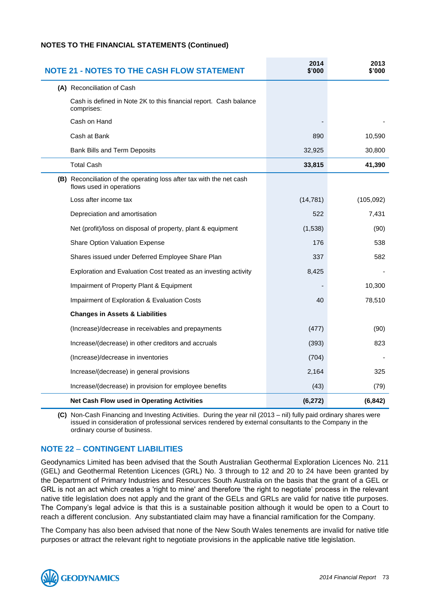| <b>NOTE 21 - NOTES TO THE CASH FLOW STATEMENT</b>                                                | 2014<br>\$'000 | 2013<br>\$'000 |
|--------------------------------------------------------------------------------------------------|----------------|----------------|
| (A) Reconciliation of Cash                                                                       |                |                |
| Cash is defined in Note 2K to this financial report. Cash balance<br>comprises:                  |                |                |
| Cash on Hand                                                                                     |                |                |
| Cash at Bank                                                                                     | 890            | 10,590         |
| <b>Bank Bills and Term Deposits</b>                                                              | 32,925         | 30,800         |
| <b>Total Cash</b>                                                                                | 33,815         | 41,390         |
| (B) Reconciliation of the operating loss after tax with the net cash<br>flows used in operations |                |                |
| Loss after income tax                                                                            | (14, 781)      | (105,092)      |
| Depreciation and amortisation                                                                    | 522            | 7,431          |
| Net (profit)/loss on disposal of property, plant & equipment                                     | (1,538)        | (90)           |
| <b>Share Option Valuation Expense</b>                                                            | 176            | 538            |
| Shares issued under Deferred Employee Share Plan                                                 | 337            | 582            |
| Exploration and Evaluation Cost treated as an investing activity                                 | 8,425          |                |
| Impairment of Property Plant & Equipment                                                         |                | 10,300         |
| Impairment of Exploration & Evaluation Costs                                                     | 40             | 78,510         |
| <b>Changes in Assets &amp; Liabilities</b>                                                       |                |                |
| (Increase)/decrease in receivables and prepayments                                               | (477)          | (90)           |
| Increase/(decrease) in other creditors and accruals                                              | (393)          | 823            |
| (Increase)/decrease in inventories                                                               | (704)          |                |
| Increase/(decrease) in general provisions                                                        | 2,164          | 325            |
| Increase/(decrease) in provision for employee benefits                                           | (43)           | (79)           |
| Net Cash Flow used in Operating Activities                                                       | (6, 272)       | (6, 842)       |

**(C)** Non-Cash Financing and Investing Activities. During the year nil (2013 – nil) fully paid ordinary shares were issued in consideration of professional services rendered by external consultants to the Company in the ordinary course of business.

#### **NOTE 22** – **CONTINGENT LIABILITIES**

Geodynamics Limited has been advised that the South Australian Geothermal Exploration Licences No. 211 (GEL) and Geothermal Retention Licences (GRL) No. 3 through to 12 and 20 to 24 have been granted by the Department of Primary Industries and Resources South Australia on the basis that the grant of a GEL or GRL is not an act which creates a 'right to mine' and therefore 'the right to negotiate' process in the relevant native title legislation does not apply and the grant of the GELs and GRLs are valid for native title purposes. The Company's legal advice is that this is a sustainable position although it would be open to a Court to reach a different conclusion. Any substantiated claim may have a financial ramification for the Company.

The Company has also been advised that none of the New South Wales tenements are invalid for native title purposes or attract the relevant right to negotiate provisions in the applicable native title legislation.

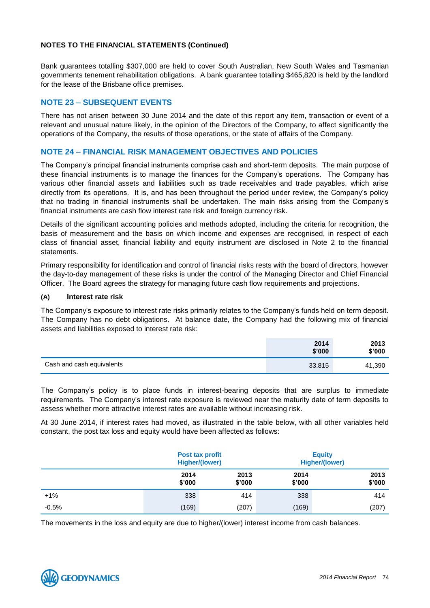Bank guarantees totalling \$307,000 are held to cover South Australian, New South Wales and Tasmanian governments tenement rehabilitation obligations. A bank guarantee totalling \$465,820 is held by the landlord for the lease of the Brisbane office premises.

#### **NOTE 23** – **SUBSEQUENT EVENTS**

There has not arisen between 30 June 2014 and the date of this report any item, transaction or event of a relevant and unusual nature likely, in the opinion of the Directors of the Company, to affect significantly the operations of the Company, the results of those operations, or the state of affairs of the Company.

#### **NOTE 24** – **FINANCIAL RISK MANAGEMENT OBJECTIVES AND POLICIES**

The Company's principal financial instruments comprise cash and short-term deposits. The main purpose of these financial instruments is to manage the finances for the Company's operations. The Company has various other financial assets and liabilities such as trade receivables and trade payables, which arise directly from its operations. It is, and has been throughout the period under review, the Company's policy that no trading in financial instruments shall be undertaken. The main risks arising from the Company's financial instruments are cash flow interest rate risk and foreign currency risk.

Details of the significant accounting policies and methods adopted, including the criteria for recognition, the basis of measurement and the basis on which income and expenses are recognised, in respect of each class of financial asset, financial liability and equity instrument are disclosed in Note 2 to the financial statements.

Primary responsibility for identification and control of financial risks rests with the board of directors, however the day-to-day management of these risks is under the control of the Managing Director and Chief Financial Officer. The Board agrees the strategy for managing future cash flow requirements and projections.

#### **(A) Interest rate risk**

The Company's exposure to interest rate risks primarily relates to the Company's funds held on term deposit. The Company has no debt obligations. At balance date, the Company had the following mix of financial assets and liabilities exposed to interest rate risk:

|                           | 2014<br>\$'000 | 2013<br>\$'000 |
|---------------------------|----------------|----------------|
| Cash and cash equivalents | 33,815         | 41,390         |

The Company's policy is to place funds in interest-bearing deposits that are surplus to immediate requirements. The Company's interest rate exposure is reviewed near the maturity date of term deposits to assess whether more attractive interest rates are available without increasing risk.

At 30 June 2014, if interest rates had moved, as illustrated in the table below, with all other variables held constant, the post tax loss and equity would have been affected as follows:

|         |                | <b>Post tax profit</b><br>Higher/(lower) |                | <b>Equity</b><br><b>Higher/(lower)</b> |  |
|---------|----------------|------------------------------------------|----------------|----------------------------------------|--|
|         | 2014<br>\$'000 | 2013<br>\$'000                           | 2014<br>\$'000 | 2013<br>\$'000                         |  |
| $+1%$   | 338            | 414                                      | 338            | 414                                    |  |
| $-0.5%$ | (169)          | (207)                                    | (169)          | (207)                                  |  |

The movements in the loss and equity are due to higher/(lower) interest income from cash balances.

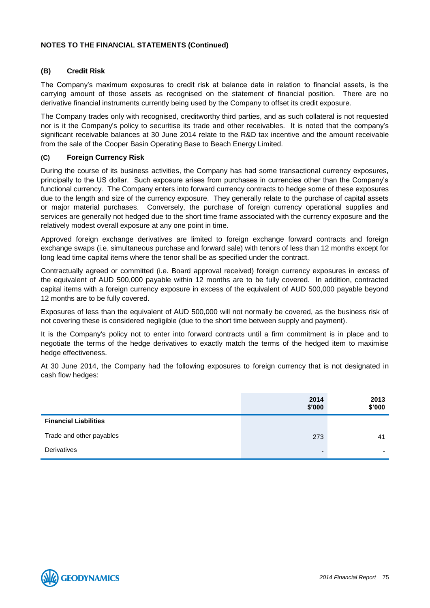#### **(B) Credit Risk**

The Company's maximum exposures to credit risk at balance date in relation to financial assets, is the carrying amount of those assets as recognised on the statement of financial position. There are no derivative financial instruments currently being used by the Company to offset its credit exposure.

The Company trades only with recognised, creditworthy third parties, and as such collateral is not requested nor is it the Company's policy to securitise its trade and other receivables. It is noted that the company's significant receivable balances at 30 June 2014 relate to the R&D tax incentive and the amount receivable from the sale of the Cooper Basin Operating Base to Beach Energy Limited.

#### **(C) Foreign Currency Risk**

During the course of its business activities, the Company has had some transactional currency exposures, principally to the US dollar. Such exposure arises from purchases in currencies other than the Company's functional currency. The Company enters into forward currency contracts to hedge some of these exposures due to the length and size of the currency exposure. They generally relate to the purchase of capital assets or major material purchases. Conversely, the purchase of foreign currency operational supplies and services are generally not hedged due to the short time frame associated with the currency exposure and the relatively modest overall exposure at any one point in time.

Approved foreign exchange derivatives are limited to foreign exchange forward contracts and foreign exchange swaps (i.e. simultaneous purchase and forward sale) with tenors of less than 12 months except for long lead time capital items where the tenor shall be as specified under the contract.

Contractually agreed or committed (i.e. Board approval received) foreign currency exposures in excess of the equivalent of AUD 500,000 payable within 12 months are to be fully covered. In addition, contracted capital items with a foreign currency exposure in excess of the equivalent of AUD 500,000 payable beyond 12 months are to be fully covered.

Exposures of less than the equivalent of AUD 500,000 will not normally be covered, as the business risk of not covering these is considered negligible (due to the short time between supply and payment).

It is the Company's policy not to enter into forward contracts until a firm commitment is in place and to negotiate the terms of the hedge derivatives to exactly match the terms of the hedged item to maximise hedge effectiveness.

At 30 June 2014, the Company had the following exposures to foreign currency that is not designated in cash flow hedges:

|                              | 2014<br>\$'000           | 2013<br>\$'000           |
|------------------------------|--------------------------|--------------------------|
| <b>Financial Liabilities</b> |                          |                          |
| Trade and other payables     | 273                      | -41                      |
| Derivatives                  | $\overline{\phantom{0}}$ | $\overline{\phantom{0}}$ |

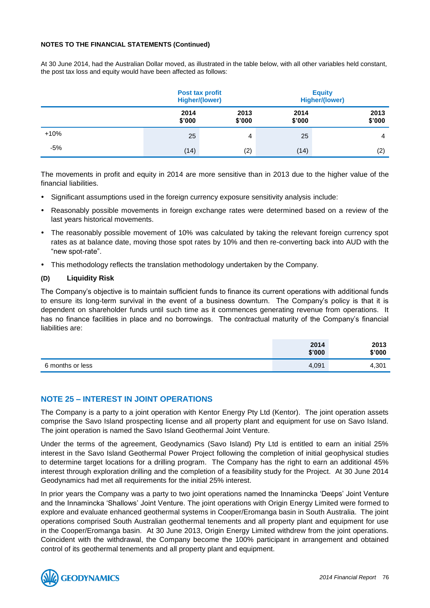At 30 June 2014, had the Australian Dollar moved, as illustrated in the table below, with all other variables held constant, the post tax loss and equity would have been affected as follows:

|        | Post tax profit<br><b>Higher/(lower)</b> |                |                | <b>Equity</b><br><b>Higher/(lower)</b> |  |
|--------|------------------------------------------|----------------|----------------|----------------------------------------|--|
|        | 2014<br>\$'000                           | 2013<br>\$'000 | 2014<br>\$'000 | 2013<br>\$'000                         |  |
| $+10%$ | 25                                       | 4              | 25             | 4                                      |  |
| $-5%$  | (14)                                     | (2)            | (14)           | (2)                                    |  |

The movements in profit and equity in 2014 are more sensitive than in 2013 due to the higher value of the financial liabilities.

- Significant assumptions used in the foreign currency exposure sensitivity analysis include:
- Reasonably possible movements in foreign exchange rates were determined based on a review of the last years historical movements.
- The reasonably possible movement of 10% was calculated by taking the relevant foreign currency spot rates as at balance date, moving those spot rates by 10% and then re-converting back into AUD with the "new spot-rate".
- This methodology reflects the translation methodology undertaken by the Company.

#### **(D) Liquidity Risk**

The Company's objective is to maintain sufficient funds to finance its current operations with additional funds to ensure its long-term survival in the event of a business downturn. The Company's policy is that it is dependent on shareholder funds until such time as it commences generating revenue from operations. It has no finance facilities in place and no borrowings. The contractual maturity of the Company's financial liabilities are:

|                  | 2014<br>\$'000 | 2013<br>\$'000 |
|------------------|----------------|----------------|
| 6 months or less | 4,091          | 4,301          |

## **NOTE 25 – INTEREST IN JOINT OPERATIONS**

The Company is a party to a joint operation with Kentor Energy Pty Ltd (Kentor). The joint operation assets comprise the Savo Island prospecting license and all property plant and equipment for use on Savo Island. The joint operation is named the Savo Island Geothermal Joint Venture.

Under the terms of the agreement, Geodynamics (Savo Island) Pty Ltd is entitled to earn an initial 25% interest in the Savo Island Geothermal Power Project following the completion of initial geophysical studies to determine target locations for a drilling program. The Company has the right to earn an additional 45% interest through exploration drilling and the completion of a feasibility study for the Project. At 30 June 2014 Geodynamics had met all requirements for the initial 25% interest.

In prior years the Company was a party to two joint operations named the Innamincka 'Deeps' Joint Venture and the Innamincka 'Shallows' Joint Venture. The joint operations with Origin Energy Limited were formed to explore and evaluate enhanced geothermal systems in Cooper/Eromanga basin in South Australia. The joint operations comprised South Australian geothermal tenements and all property plant and equipment for use in the Cooper/Eromanga basin. At 30 June 2013, Origin Energy Limited withdrew from the joint operations. Coincident with the withdrawal, the Company become the 100% participant in arrangement and obtained control of its geothermal tenements and all property plant and equipment.

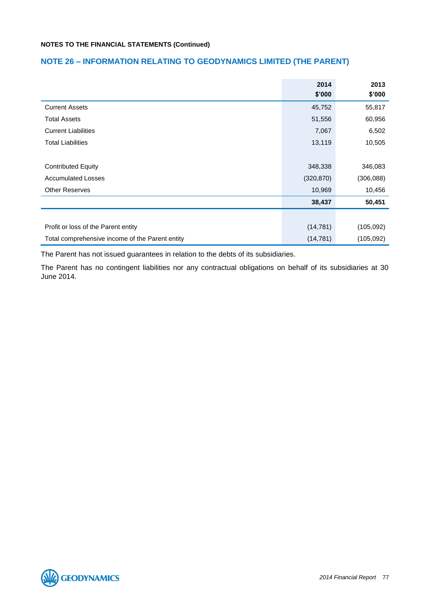# **NOTE 26 – INFORMATION RELATING TO GEODYNAMICS LIMITED (THE PARENT)**

|                                                 | 2014       | 2013       |
|-------------------------------------------------|------------|------------|
|                                                 | \$'000     | \$'000     |
| <b>Current Assets</b>                           | 45,752     | 55,817     |
| <b>Total Assets</b>                             | 51,556     | 60,956     |
| <b>Current Liabilities</b>                      | 7,067      | 6,502      |
| <b>Total Liabilities</b>                        | 13,119     | 10,505     |
|                                                 |            |            |
| <b>Contributed Equity</b>                       | 348,338    | 346,083    |
| <b>Accumulated Losses</b>                       | (320, 870) | (306, 088) |
| <b>Other Reserves</b>                           | 10,969     | 10,456     |
|                                                 | 38,437     | 50,451     |
|                                                 |            |            |
| Profit or loss of the Parent entity             | (14, 781)  | (105,092)  |
| Total comprehensive income of the Parent entity | (14, 781)  | (105,092)  |

The Parent has not issued guarantees in relation to the debts of its subsidiaries.

The Parent has no contingent liabilities nor any contractual obligations on behalf of its subsidiaries at 30 June 2014.

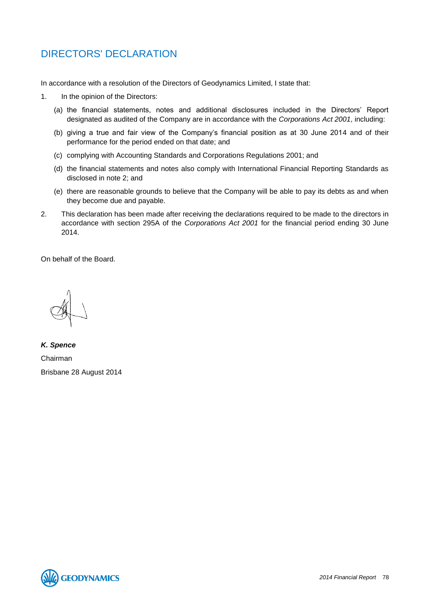# DIRECTORS' DECLARATION

In accordance with a resolution of the Directors of Geodynamics Limited, I state that:

- 1. In the opinion of the Directors:
	- (a) the financial statements, notes and additional disclosures included in the Directors' Report designated as audited of the Company are in accordance with the *Corporations Act 2001*, including:
	- (b) giving a true and fair view of the Company's financial position as at 30 June 2014 and of their performance for the period ended on that date; and
	- (c) complying with Accounting Standards and Corporations Regulations 2001; and
	- (d) the financial statements and notes also comply with International Financial Reporting Standards as disclosed in note 2; and
	- (e) there are reasonable grounds to believe that the Company will be able to pay its debts as and when they become due and payable.
- 2. This declaration has been made after receiving the declarations required to be made to the directors in accordance with section 295A of the *Corporations Act 2001* for the financial period ending 30 June 2014.

On behalf of the Board.

*K. Spence* Chairman Brisbane 28 August 2014

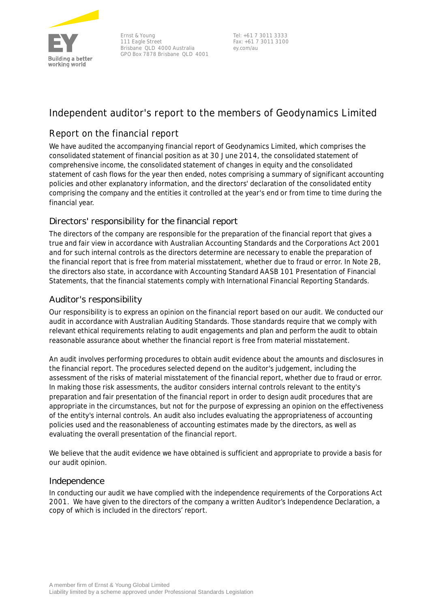

Ernst & Young 111 Eagle Street Brisbane QLD 4000 Australia GPO Box 7878 Brisbane QLD 4001

Tel: +61 7 3011 3333 Fax: +61 7 3011 3100 ey.com/au

# **Independent auditor's report to the members of Geodynamics Limited**

# **Report on the financial report**

We have audited the accompanying financial report of Geodynamics Limited, which comprises the consolidated statement of financial position as at 30 June 2014, the consolidated statement of comprehensive income, the consolidated statement of changes in equity and the consolidated statement of cash flows for the year then ended, notes comprising a summary of significant accounting policies and other explanatory information, and the directors' declaration of the consolidated entity comprising the company and the entities it controlled at the year's end or from time to time during the financial year.

# *Directors' responsibility for the financial report*

The directors of the company are responsible for the preparation of the financial report that gives a true and fair view in accordance with Australian Accounting Standards and the *Corporations Act 2001* and for such internal controls as the directors determine are necessary to enable the preparation of the financial report that is free from material misstatement, whether due to fraud or error. In Note 2B, the directors also state, in accordance with Accounting Standard AASB 101 *Presentation of Financial Statements*, that the financial statements comply with *International Financial Reporting Standards*.

# *Auditor's responsibility*

Our responsibility is to express an opinion on the financial report based on our audit. We conducted our audit in accordance with Australian Auditing Standards. Those standards require that we comply with relevant ethical requirements relating to audit engagements and plan and perform the audit to obtain reasonable assurance about whether the financial report is free from material misstatement.

An audit involves performing procedures to obtain audit evidence about the amounts and disclosures in the financial report. The procedures selected depend on the auditor's judgement, including the assessment of the risks of material misstatement of the financial report, whether due to fraud or error. In making those risk assessments, the auditor considers internal controls relevant to the entity's preparation and fair presentation of the financial report in order to design audit procedures that are appropriate in the circumstances, but not for the purpose of expressing an opinion on the effectiveness of the entity's internal controls. An audit also includes evaluating the appropriateness of accounting policies used and the reasonableness of accounting estimates made by the directors, as well as evaluating the overall presentation of the financial report.

We believe that the audit evidence we have obtained is sufficient and appropriate to provide a basis for our audit opinion.

## *Independence*

In conducting our audit we have complied with the independence requirements of the *Corporations Act 2001*. We have given to the directors of the company a written Auditor's Independence Declaration, a copy of which is included in the directors' report.